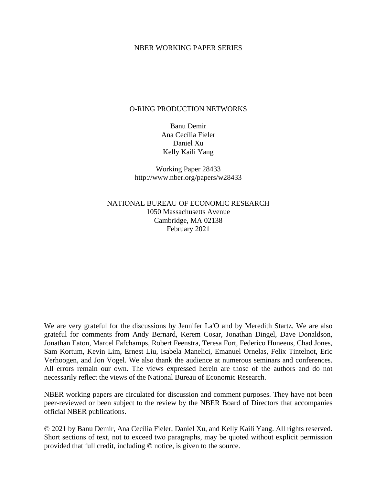#### NBER WORKING PAPER SERIES

#### O-RING PRODUCTION NETWORKS

Banu Demir Ana Cecília Fieler Daniel Xu Kelly Kaili Yang

Working Paper 28433 http://www.nber.org/papers/w28433

NATIONAL BUREAU OF ECONOMIC RESEARCH 1050 Massachusetts Avenue Cambridge, MA 02138 February 2021

We are very grateful for the discussions by Jennifer La'O and by Meredith Startz. We are also grateful for comments from Andy Bernard, Kerem Cosar, Jonathan Dingel, Dave Donaldson, Jonathan Eaton, Marcel Fafchamps, Robert Feenstra, Teresa Fort, Federico Huneeus, Chad Jones, Sam Kortum, Kevin Lim, Ernest Liu, Isabela Manelici, Emanuel Ornelas, Felix Tintelnot, Eric Verhoogen, and Jon Vogel. We also thank the audience at numerous seminars and conferences. All errors remain our own. The views expressed herein are those of the authors and do not necessarily reflect the views of the National Bureau of Economic Research.

NBER working papers are circulated for discussion and comment purposes. They have not been peer-reviewed or been subject to the review by the NBER Board of Directors that accompanies official NBER publications.

© 2021 by Banu Demir, Ana Cecília Fieler, Daniel Xu, and Kelly Kaili Yang. All rights reserved. Short sections of text, not to exceed two paragraphs, may be quoted without explicit permission provided that full credit, including © notice, is given to the source.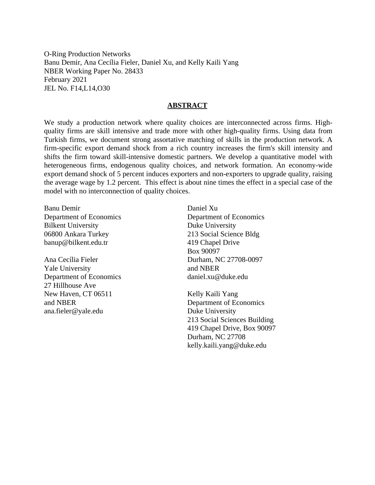O-Ring Production Networks Banu Demir, Ana Cecília Fieler, Daniel Xu, and Kelly Kaili Yang NBER Working Paper No. 28433 February 2021 JEL No. F14,L14,O30

#### **ABSTRACT**

We study a production network where quality choices are interconnected across firms. Highquality firms are skill intensive and trade more with other high-quality firms. Using data from Turkish firms, we document strong assortative matching of skills in the production network. A firm-specific export demand shock from a rich country increases the firm's skill intensity and shifts the firm toward skill-intensive domestic partners. We develop a quantitative model with heterogeneous firms, endogenous quality choices, and network formation. An economy-wide export demand shock of 5 percent induces exporters and non-exporters to upgrade quality, raising the average wage by 1.2 percent. This effect is about nine times the effect in a special case of the model with no interconnection of quality choices.

Banu Demir Department of Economics Bilkent University 06800 Ankara Turkey banup@bilkent.edu.tr

Ana Cecília Fieler Yale University Department of Economics 27 Hillhouse Ave New Haven, CT 06511 and NBER ana.fieler@yale.edu

Daniel Xu Department of Economics Duke University 213 Social Science Bldg 419 Chapel Drive Box 90097 Durham, NC 27708-0097 and NBER daniel.xu@duke.edu

Kelly Kaili Yang Department of Economics Duke University 213 Social Sciences Building 419 Chapel Drive, Box 90097 Durham, NC 27708 kelly.kaili.yang@duke.edu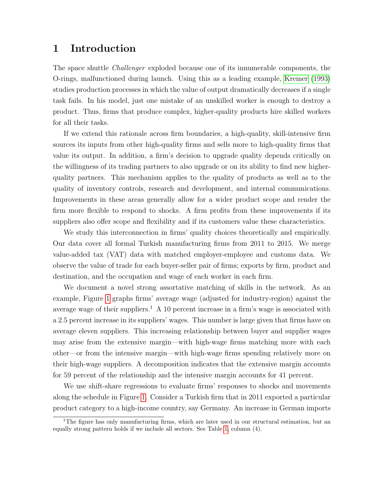# 1 Introduction

The space shuttle Challenger exploded because one of its innumerable components, the O-rings, malfunctioned during launch. Using this as a leading example, [Kremer \(1993\)](#page-47-0) studies production processes in which the value of output dramatically decreases if a single task fails. In his model, just one mistake of an unskilled worker is enough to destroy a product. Thus, firms that produce complex, higher-quality products hire skilled workers for all their tasks.

If we extend this rationale across firm boundaries, a high-quality, skill-intensive firm sources its inputs from other high-quality firms and sells more to high-quality firms that value its output. In addition, a firm's decision to upgrade quality depends critically on the willingness of its trading partners to also upgrade or on its ability to find new higherquality partners. This mechanism applies to the quality of products as well as to the quality of inventory controls, research and development, and internal communications. Improvements in these areas generally allow for a wider product scope and render the firm more flexible to respond to shocks. A firm profits from these improvements if its suppliers also offer scope and flexibility and if its customers value these characteristics.

We study this interconnection in firms' quality choices theoretically and empirically. Our data cover all formal Turkish manufacturing firms from 2011 to 2015. We merge value-added tax (VAT) data with matched employer-employee and customs data. We observe the value of trade for each buyer-seller pair of firms; exports by firm, product and destination, and the occupation and wage of each worker in each firm.

We document a novel strong assortative matching of skills in the network. As an example, Figure [1](#page-3-0) graphs firms' average wage (adjusted for industry-region) against the average wage of their suppliers.<sup>1</sup> A 10 percent increase in a firm's wage is associated with a 2.5 percent increase in its suppliers' wages. This number is large given that firms have on average eleven suppliers. This increasing relationship between buyer and supplier wages may arise from the extensive margin—with high-wage firms matching more with each other—or from the intensive margin—with high-wage firms spending relatively more on their high-wage suppliers. A decomposition indicates that the extensive margin accounts for 59 percent of the relationship and the intensive margin accounts for 41 percent.

We use shift-share regressions to evaluate firms' responses to shocks and movements along the schedule in Figure [1.](#page-3-0) Consider a Turkish firm that in 2011 exported a particular product category to a high-income country, say Germany. An increase in German imports

<sup>&</sup>lt;sup>1</sup>The figure has only manufacturing firms, which are later used in our structural estimation, but an equally strong pattern holds if we include all sectors. See Table [1,](#page-8-0) column (4).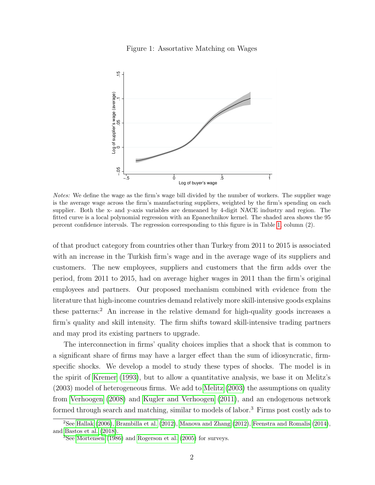

<span id="page-3-0"></span>

Notes: We define the wage as the firm's wage bill divided by the number of workers. The supplier wage is the average wage across the firm's manufacturing suppliers, weighted by the firm's spending on each supplier. Both the x- and y-axis variables are demeaned by 4-digit NACE industry and region. The fitted curve is a local polynomial regression with an Epanechnikov kernel. The shaded area shows the 95 percent confidence intervals. The regression corresponding to this figure is in Table [1,](#page-8-0) column (2).

of that product category from countries other than Turkey from 2011 to 2015 is associated with an increase in the Turkish firm's wage and in the average wage of its suppliers and customers. The new employees, suppliers and customers that the firm adds over the period, from 2011 to 2015, had on average higher wages in 2011 than the firm's original employees and partners. Our proposed mechanism combined with evidence from the literature that high-income countries demand relatively more skill-intensive goods explains these patterns:<sup>2</sup> An increase in the relative demand for high-quality goods increases a firm's quality and skill intensity. The firm shifts toward skill-intensive trading partners and may prod its existing partners to upgrade.

The interconnection in firms' quality choices implies that a shock that is common to a significant share of firms may have a larger effect than the sum of idiosyncratic, firmspecific shocks. We develop a model to study these types of shocks. The model is in the spirit of [Kremer \(1993\)](#page-47-0), but to allow a quantitative analysis, we base it on Melitz's (2003) model of heterogeneous firms. We add to [Melitz \(2003\)](#page-47-1) the assumptions on quality from [Verhoogen \(2008\)](#page-48-0) and [Kugler and Verhoogen \(2011\)](#page-47-2), and an endogenous network formed through search and matching, similar to models of labor.<sup>3</sup> Firms post costly ads to

<sup>&</sup>lt;sup>2</sup>See [Hallak](#page-46-0) [\(2006\)](#page-46-0), [Brambilla et al.](#page-45-0) [\(2012\)](#page-47-3), [Manova and Zhang](#page-47-3) (2012), [Feenstra and Romalis](#page-46-1) [\(2014\)](#page-46-1), and [Bastos et al.](#page-44-0) [\(2018\)](#page-44-0).

<sup>3</sup>See [Mortensen](#page-47-4) [\(1986\)](#page-47-4) and [Rogerson et al.](#page-47-5) [\(2005\)](#page-47-5) for surveys.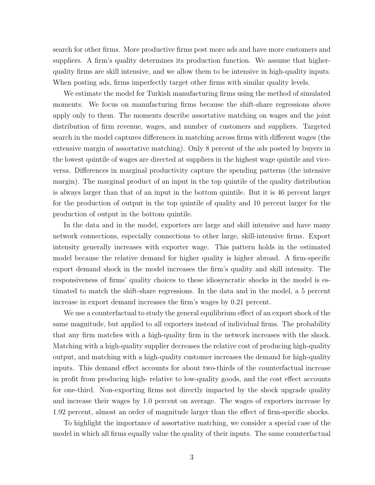search for other firms. More productive firms post more ads and have more customers and suppliers. A firm's quality determines its production function. We assume that higherquality firms are skill intensive, and we allow them to be intensive in high-quality inputs. When posting ads, firms imperfectly target other firms with similar quality levels.

We estimate the model for Turkish manufacturing firms using the method of simulated moments. We focus on manufacturing firms because the shift-share regressions above apply only to them. The moments describe assortative matching on wages and the joint distribution of firm revenue, wages, and number of customers and suppliers. Targeted search in the model captures differences in matching across firms with different wages (the extensive margin of assortative matching). Only 8 percent of the ads posted by buyers in the lowest quintile of wages are directed at suppliers in the highest wage quintile and viceversa. Differences in marginal productivity capture the spending patterns (the intensive margin). The marginal product of an input in the top quintile of the quality distribution is always larger than that of an input in the bottom quintile. But it is 46 percent larger for the production of output in the top quintile of quality and 10 percent larger for the production of output in the bottom quintile.

In the data and in the model, exporters are large and skill intensive and have many network connections, especially connections to other large, skill-intensive firms. Export intensity generally increases with exporter wage. This pattern holds in the estimated model because the relative demand for higher quality is higher abroad. A firm-specific export demand shock in the model increases the firm's quality and skill intensity. The responsiveness of firms' quality choices to these idiosyncratic shocks in the model is estimated to match the shift-share regressions. In the data and in the model, a 5 percent increase in export demand increases the firm's wages by 0.21 percent.

We use a counterfactual to study the general equilibrium effect of an export shock of the same magnitude, but applied to all exporters instead of individual firms. The probability that any firm matches with a high-quality firm in the network increases with the shock. Matching with a high-quality supplier decreases the relative cost of producing high-quality output, and matching with a high-quality customer increases the demand for high-quality inputs. This demand effect accounts for about two-thirds of the counterfactual increase in profit from producing high- relative to low-quality goods, and the cost effect accounts for one-third. Non-exporting firms not directly impacted by the shock upgrade quality and increase their wages by 1.0 percent on average. The wages of exporters increase by 1.92 percent, almost an order of magnitude larger than the effect of firm-specific shocks.

To highlight the importance of assortative matching, we consider a special case of the model in which all firms equally value the quality of their inputs. The same counterfactual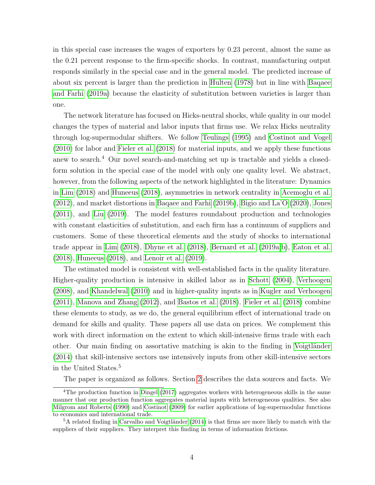in this special case increases the wages of exporters by 0.23 percent, almost the same as the 0.21 percent response to the firm-specific shocks. In contrast, manufacturing output responds similarly in the special case and in the general model. The predicted increase of about six percent is larger than the prediction in [Hulten \(1978\)](#page-46-2) but in line with [Baqaee](#page-44-1) [and Farhi \(2019a\)](#page-44-1) because the elasticity of substitution between varieties is larger than one.

The network literature has focused on Hicks-neutral shocks, while quality in our model changes the types of material and labor inputs that firms use. We relax Hicks neutrality through log-supermodular shifters. We follow [Teulings \(1995\)](#page-48-1) and [Costinot and Vogel](#page-45-1) [\(2010\)](#page-45-1) for labor and [Fieler et al. \(2018\)](#page-46-3) for material inputs, and we apply these functions anew to search.<sup>4</sup> Our novel search-and-matching set up is tractable and yields a closedform solution in the special case of the model with only one quality level. We abstract, however, from the following aspects of the network highlighted in the literature: Dynamics in [Lim \(2018\)](#page-47-6) and [Huneeus \(2018\)](#page-46-4), asymmetries in network centrality in [Acemoglu et al.](#page-44-2) [\(2012\)](#page-44-2), and market distortions in [Baqaee and Farhi \(2019b\)](#page-44-3), [Bigio and La'O \(2020\)](#page-44-4), [Jones](#page-46-5) [\(2011\)](#page-46-5), and [Liu \(2019\)](#page-47-7). The model features roundabout production and technologies with constant elasticities of substitution, and each firm has a continuum of suppliers and customers. Some of these theoretical elements and the study of shocks to international trade appear in [Lim \(2018\)](#page-47-6), [Dhyne et al. \(2018\)](#page-45-2), [Bernard et al. \(2019a,](#page-44-5)[b\)](#page-44-6), [Eaton et al.](#page-46-6) [\(2018\)](#page-46-6), [Huneeus \(2018\)](#page-46-4), and [Lenoir et al. \(2019\)](#page-47-8).

The estimated model is consistent with well-established facts in the quality literature. Higher-quality production is intensive in skilled labor as in [Schott \(2004\)](#page-47-9), [Verhoogen](#page-48-0) [\(2008\)](#page-48-0), and [Khandelwal \(2010\)](#page-46-7) and in higher-quality inputs as in [Kugler and Verhoogen](#page-47-2) [\(2011\)](#page-47-2), [Manova and Zhang \(2012\)](#page-47-3), and [Bastos et al. \(2018\)](#page-44-0). [Fieler et al. \(2018\)](#page-46-3) combine these elements to study, as we do, the general equilibrium effect of international trade on demand for skills and quality. These papers all use data on prices. We complement this work with direct information on the extent to which skill-intensive firms trade with each other. Our main finding on assortative matching is akin to the finding in Voigtländer [\(2014\)](#page-48-2) that skill-intensive sectors use intensively inputs from other skill-intensive sectors in the United States.<sup>5</sup>

The paper is organized as follows. Section [2](#page-6-0) describes the data sources and facts. We

<sup>&</sup>lt;sup>4</sup>The production function in [Dingel](#page-45-3)  $(2017)$  aggregates workers with heterogeneous skills in the same manner that our production function aggregates material inputs with heterogeneous qualities. See also [Milgrom and Roberts](#page-47-10) [\(1990\)](#page-47-10) and [Costinot](#page-45-4) [\(2009\)](#page-45-4) for earlier applications of log-supermodular functions to economics and international trade.

 ${}^{5}$ A related finding in Carvalho and Voigtländer [\(2014\)](#page-45-5) is that firms are more likely to match with the suppliers of their suppliers. They interpret this finding in terms of information frictions.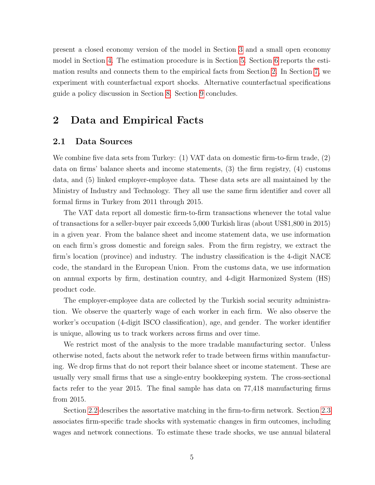present a closed economy version of the model in Section [3](#page-17-0) and a small open economy model in Section [4.](#page-27-0) The estimation procedure is in Section [5.](#page-29-0) Section [6](#page-32-0) reports the estimation results and connects them to the empirical facts from Section [2.](#page-6-0) In Section [7,](#page-35-0) we experiment with counterfactual export shocks. Alternative counterfactual specifications guide a policy discussion in Section [8.](#page-40-0) Section [9](#page-42-0) concludes.

# <span id="page-6-0"></span>2 Data and Empirical Facts

### 2.1 Data Sources

We combine five data sets from Turkey: (1) VAT data on domestic firm-to-firm trade, (2) data on firms' balance sheets and income statements, (3) the firm registry, (4) customs data, and (5) linked employer-employee data. These data sets are all maintained by the Ministry of Industry and Technology. They all use the same firm identifier and cover all formal firms in Turkey from 2011 through 2015.

The VAT data report all domestic firm-to-firm transactions whenever the total value of transactions for a seller-buyer pair exceeds 5,000 Turkish liras (about US\$1,800 in 2015) in a given year. From the balance sheet and income statement data, we use information on each firm's gross domestic and foreign sales. From the firm registry, we extract the firm's location (province) and industry. The industry classification is the 4-digit NACE code, the standard in the European Union. From the customs data, we use information on annual exports by firm, destination country, and 4-digit Harmonized System (HS) product code.

The employer-employee data are collected by the Turkish social security administration. We observe the quarterly wage of each worker in each firm. We also observe the worker's occupation (4-digit ISCO classification), age, and gender. The worker identifier is unique, allowing us to track workers across firms and over time.

We restrict most of the analysis to the more tradable manufacturing sector. Unless otherwise noted, facts about the network refer to trade between firms within manufacturing. We drop firms that do not report their balance sheet or income statement. These are usually very small firms that use a single-entry bookkeeping system. The cross-sectional facts refer to the year 2015. The final sample has data on 77,418 manufacturing firms from 2015.

Section [2.2](#page-7-0) describes the assortative matching in the firm-to-firm network. Section [2.3](#page-12-0) associates firm-specific trade shocks with systematic changes in firm outcomes, including wages and network connections. To estimate these trade shocks, we use annual bilateral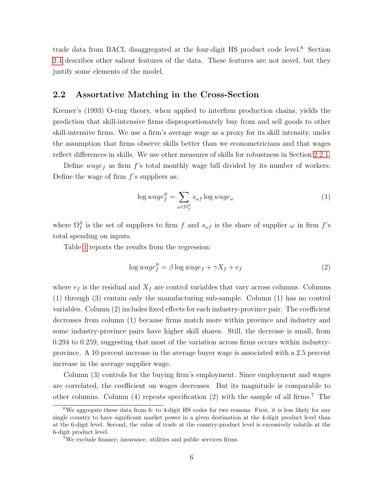trade data from BACI, disaggregated at the four-digit HS product code level.<sup>6</sup> Section [2.4](#page-16-0) describes other salient features of the data. These features are not novel, but they justify some elements of the model.

### <span id="page-7-0"></span>2.2 Assortative Matching in the Cross-Section

Kremer's (1993) O-ring theory, when applied to interfirm production chains, yields the prediction that skill-intensive firms disproportionately buy from and sell goods to other skill-intensive firms. We use a firm's average wage as a proxy for its skill intensity, under the assumption that firms observe skills better than we econometricians and that wages reflect differences in skills. We use other measures of skills for robustness in Section [2.2.1.](#page-11-0)

Define wage<sub>f</sub> as firm f's total monthly wage bill divided by its number of workers. Define the wage of firm  $f$ 's suppliers as:

<span id="page-7-1"></span>
$$
\log wage_f^S = \sum_{\omega \in \Omega_f^S} s_{\omega f} \log wage_{\omega}
$$
 (1)

where  $\Omega_f^S$  is the set of suppliers to firm f and  $s_{\omega f}$  is the share of supplier  $\omega$  in firm f's total spending on inputs.

Table [1](#page-8-0) reports the results from the regression:

$$
\log wage_f^S = \beta \log wage_f + \gamma X_f + e_f \tag{2}
$$

where  $e_f$  is the residual and  $X_f$  are control variables that vary across columns. Columns (1) through (3) contain only the manufacturing sub-sample. Column (1) has no control variables. Column (2) includes fixed effects for each industry-province pair. The coefficient decreases from column (1) because firms match more within province and industry and some industry-province pairs have higher skill shares. Still, the decrease is small, from 0.294 to 0.259, suggesting that most of the variation across firms occurs within industryprovince. A 10 percent increase in the average buyer wage is associated with a 2.5 percent increase in the average supplier wage.

Column (3) controls for the buying firm's employment. Since employment and wages are correlated, the coefficient on wages decreases. But its magnitude is comparable to other columns. Column  $(4)$  repeats specification  $(2)$  with the sample of all firms.<sup>7</sup> The

<sup>&</sup>lt;sup>6</sup>We aggregate these data from 6- to 4-digit HS codes for two reasons. First, it is less likely for any single country to have significant market power in a given destination at the 4-digit product level than at the 6-digit level. Second, the value of trade at the country-product level is excessively volatile at the 6-digit product level.

<sup>7</sup>We exclude finance, insurance, utilities and public services firms.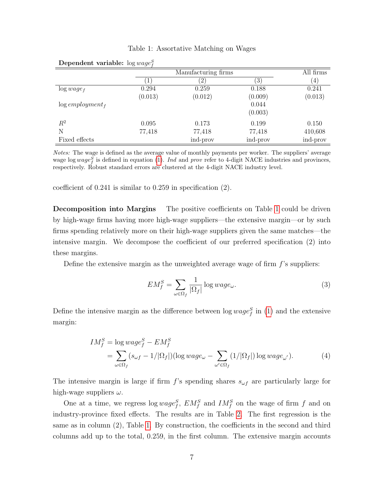#### Table 1: Assortative Matching on Wages

|                               |         | Manufacturing firms |               | All firms |
|-------------------------------|---------|---------------------|---------------|-----------|
|                               | 1       | $^{\prime}2)$       | $^{\prime}3)$ | (4)       |
| $\log wage_f$                 | 0.294   | 0.259               | 0.188         | 0.241     |
|                               | (0.013) | (0.012)             | (0.009)       | (0.013)   |
| $log$ employment <sub>f</sub> |         |                     | 0.044         |           |
|                               |         |                     | (0.003)       |           |
| $R^2$                         | 0.095   | 0.173               | 0.199         | 0.150     |
| N                             | 77,418  | 77,418              | 77,418        | 410,608   |
| Fixed effects                 |         | ind-prov            | ind-prov      | ind-prov  |

<span id="page-8-0"></span>Dependent variable:  $\log wage_f^S$ 

Notes: The wage is defined as the average value of monthly payments per worker. The suppliers' average wage log  $wage<sub>f</sub><sup>S</sup>$  is defined in equation [\(1\)](#page-7-1). Ind and prov refer to 4-digit NACE industries and provinces, respectively. Robust standard errors are clustered at the 4-digit NACE industry level.

coefficient of 0.241 is similar to 0.259 in specification (2).

Decomposition into Margins The positive coefficients on Table [1](#page-8-0) could be driven by high-wage firms having more high-wage suppliers—the extensive margin—or by such firms spending relatively more on their high-wage suppliers given the same matches—the intensive margin. We decompose the coefficient of our preferred specification (2) into these margins.

Define the extensive margin as the unweighted average wage of firm  $f$ 's suppliers:

<span id="page-8-2"></span><span id="page-8-1"></span>
$$
EM_f^S = \sum_{\omega \in \Omega_f} \frac{1}{|\Omega_f|} \log wage_{\omega}.
$$
 (3)

Define the intensive margin as the difference between  $\log wage_f^S$  in [\(1\)](#page-7-1) and the extensive margin:

$$
IM_f^S = \log wage_f^S - EM_f^S
$$
  
= 
$$
\sum_{\omega \in \Omega_f} (s_{\omega f} - 1/|\Omega_f|) (\log wage_\omega - \sum_{\omega' \in \Omega_f} (1/|\Omega_f|) \log wage_{\omega'}).
$$
 (4)

The intensive margin is large if firm f's spending shares  $s_{\omega f}$  are particularly large for high-wage suppliers  $\omega$ .

One at a time, we regress  $\log wage_f^S$ ,  $EM_f^S$  and  $IM_f^S$  on the wage of firm f and on industry-province fixed effects. The results are in Table [2.](#page-9-0) The first regression is the same as in column (2), Table [1.](#page-8-0) By construction, the coefficients in the second and third columns add up to the total, 0.259, in the first column. The extensive margin accounts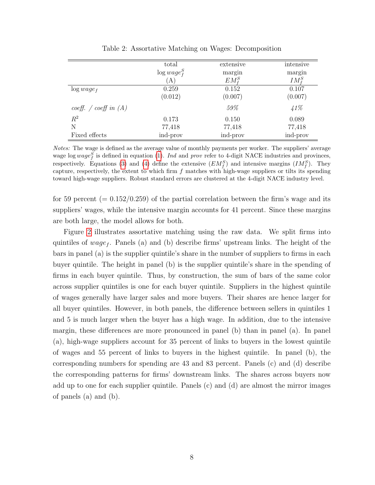<span id="page-9-0"></span>

|                         | total           | extensive    | intensive     |
|-------------------------|-----------------|--------------|---------------|
|                         | $\log wage_f^S$ | margin       | margin        |
|                         | (A)             | $EM_{t}^{S}$ | $IM^S_{\ell}$ |
| $\log wage_f$           | 0.259           | 0.152        | 0.107         |
|                         | (0.012)         | (0.007)      | (0.007)       |
| coeff. / coeff in $(A)$ |                 | $59\%$       | 41%           |
| $R^2$                   | 0.173           | 0.150        | 0.089         |
| N                       | 77,418          | 77,418       | 77,418        |
| Fixed effects           | ind-prov        | ind-prov     | ind-prov      |

Table 2: Assortative Matching on Wages: Decomposition

Notes: The wage is defined as the average value of monthly payments per worker. The suppliers' average wage log  $wage<sub>f</sub><sup>S</sup>$  is defined in equation [\(1\)](#page-7-1). Ind and prov refer to 4-digit NACE industries and provinces, respectively. Equations [\(3\)](#page-8-1) and [\(4\)](#page-8-2) define the extensive  $(EM_f^S)$  and intensive margins  $(IM_f^S)$ . They capture, respectively, the extent to which firm  $f$  matches with high-wage suppliers or tilts its spending toward high-wage suppliers. Robust standard errors are clustered at the 4-digit NACE industry level.

for 59 percent  $(= 0.152/0.259)$  of the partial correlation between the firm's wage and its suppliers' wages, while the intensive margin accounts for 41 percent. Since these margins are both large, the model allows for both.

Figure [2](#page-10-0) illustrates assortative matching using the raw data. We split firms into quintiles of  $wage_f$ . Panels (a) and (b) describe firms' upstream links. The height of the bars in panel (a) is the supplier quintile's share in the number of suppliers to firms in each buyer quintile. The height in panel (b) is the supplier quintile's share in the spending of firms in each buyer quintile. Thus, by construction, the sum of bars of the same color across supplier quintiles is one for each buyer quintile. Suppliers in the highest quintile of wages generally have larger sales and more buyers. Their shares are hence larger for all buyer quintiles. However, in both panels, the difference between sellers in quintiles 1 and 5 is much larger when the buyer has a high wage. In addition, due to the intensive margin, these differences are more pronounced in panel (b) than in panel (a). In panel (a), high-wage suppliers account for 35 percent of links to buyers in the lowest quintile of wages and 55 percent of links to buyers in the highest quintile. In panel (b), the corresponding numbers for spending are 43 and 83 percent. Panels (c) and (d) describe the corresponding patterns for firms' downstream links. The shares across buyers now add up to one for each supplier quintile. Panels (c) and (d) are almost the mirror images of panels (a) and (b).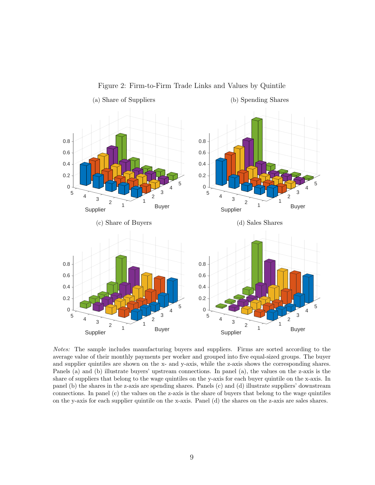<span id="page-10-0"></span>

Figure 2: Firm-to-Firm Trade Links and Values by Quintile

Notes: The sample includes manufacturing buyers and suppliers. Firms are sorted according to the average value of their monthly payments per worker and grouped into five equal-sized groups. The buyer and supplier quintiles are shown on the x- and y-axis, while the z-axis shows the corresponding shares. Panels (a) and (b) illustrate buyers' upstream connections. In panel (a), the values on the z-axis is the share of suppliers that belong to the wage quintiles on the y-axis for each buyer quintile on the x-axis. In panel (b) the shares in the z-axis are spending shares. Panels (c) and (d) illustrate suppliers' downstream connections. In panel (c) the values on the z-axis is the share of buyers that belong to the wage quintiles on the y-axis for each supplier quintile on the x-axis. Panel (d) the shares on the z-axis are sales shares.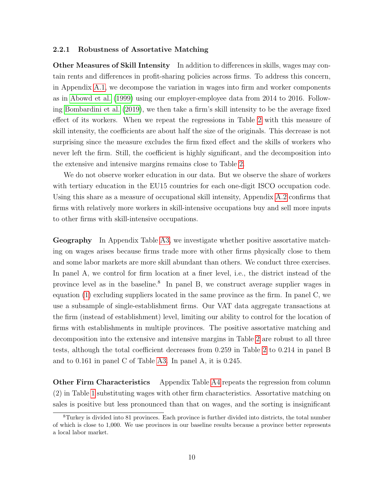#### <span id="page-11-0"></span>2.2.1 Robustness of Assortative Matching

Other Measures of Skill Intensity In addition to differences in skills, wages may contain rents and differences in profit-sharing policies across firms. To address this concern, in Appendix [A.1,](#page-50-0) we decompose the variation in wages into firm and worker components as in [Abowd et al. \(1999\)](#page-44-7) using our employer-employee data from 2014 to 2016. Following [Bombardini et al. \(2019\)](#page-45-6), we then take a firm's skill intensity to be the average fixed effect of its workers. When we repeat the regressions in Table [2](#page-9-0) with this measure of skill intensity, the coefficients are about half the size of the originals. This decrease is not surprising since the measure excludes the firm fixed effect and the skills of workers who never left the firm. Still, the coefficient is highly significant, and the decomposition into the extensive and intensive margins remains close to Table [2.](#page-9-0)

We do not observe worker education in our data. But we observe the share of workers with tertiary education in the EU15 countries for each one-digit ISCO occupation code. Using this share as a measure of occupational skill intensity, Appendix [A.2](#page-52-0) confirms that firms with relatively more workers in skill-intensive occupations buy and sell more inputs to other firms with skill-intensive occupations.

Geography In Appendix Table [A3,](#page-55-0) we investigate whether positive assortative matching on wages arises because firms trade more with other firms physically close to them and some labor markets are more skill abundant than others. We conduct three exercises. In panel A, we control for firm location at a finer level, i.e., the district instead of the province level as in the baseline.<sup>8</sup> In panel B, we construct average supplier wages in equation [\(1\)](#page-7-1) excluding suppliers located in the same province as the firm. In panel C, we use a subsample of single-establishment firms. Our VAT data aggregate transactions at the firm (instead of establishment) level, limiting our ability to control for the location of firms with establishments in multiple provinces. The positive assortative matching and decomposition into the extensive and intensive margins in Table [2](#page-9-0) are robust to all three tests, although the total coefficient decreases from 0.259 in Table [2](#page-9-0) to 0.214 in panel B and to 0.161 in panel C of Table [A3.](#page-55-0) In panel A, it is 0.245.

Other Firm Characteristics Appendix Table [A4](#page-56-0) repeats the regression from column (2) in Table [1](#page-8-0) substituting wages with other firm characteristics. Assortative matching on sales is positive but less pronounced than that on wages, and the sorting is insignificant

<sup>8</sup>Turkey is divided into 81 provinces. Each province is further divided into districts, the total number of which is close to 1,000. We use provinces in our baseline results because a province better represents a local labor market.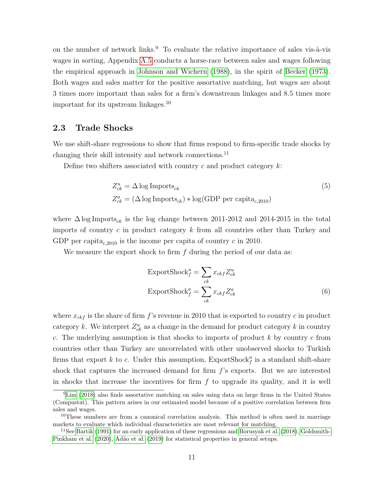on the number of network links.<sup>9</sup> To evaluate the relative importance of sales vis- $\hat{a}$ -vis wages in sorting, Appendix [A.5](#page-56-1) conducts a horse-race between sales and wages following the empirical approach in [Johnson and Wichern \(1988\)](#page-46-8), in the spirit of [Becker \(1973\)](#page-44-8). Both wages and sales matter for the positive assortative matching, but wages are about 3 times more important than sales for a firm's downstream linkages and 8.5 times more important for its upstream linkages.<sup>10</sup>

### <span id="page-12-0"></span>2.3 Trade Shocks

We use shift-share regressions to show that firms respond to firm-specific trade shocks by changing their skill intensity and network connections.<sup>11</sup>

Define two shifters associated with country  $c$  and product category  $k$ :

$$
Z_{ck}^{u} = \Delta \log \text{Imports}_{ck}
$$
  
\n
$$
Z_{ck}^{a} = (\Delta \log \text{Imports}_{ck}) * \log(\text{GDP per capita}_{c,2010})
$$
\n(5)

where  $\Delta \log \text{Imports}_{ck}$  is the log change between 2011-2012 and 2014-2015 in the total imports of country  $c$  in product category  $k$  from all countries other than Turkey and GDP per capita<sub>c,2010</sub> is the income per capita of country c in 2010.

We measure the export shock to firm  $f$  during the period of our data as:

<span id="page-12-1"></span>
$$
\text{ExportShock}_{f}^{u} = \sum_{ck} x_{ckf} Z_{ck}^{u}
$$
\n
$$
\text{ExportShock}_{f}^{a} = \sum_{ck} x_{ckf} Z_{ck}^{a}
$$
\n
$$
(6)
$$

where  $x_{ckf}$  is the share of firm f's revenue in 2010 that is exported to country c in product category k. We interpret  $Z_{ck}^u$  as a change in the demand for product category k in country c. The underlying assumption is that shocks to imports of product  $k$  by country c from countries other than Turkey are uncorrelated with other unobserved shocks to Turkish firms that export k to c. Under this assumption,  $\text{ExportShock}_{f}^{u}$  is a standard shift-share shock that captures the increased demand for firm  $f$ 's exports. But we are interested in shocks that increase the incentives for firm  $f$  to upgrade its quality, and it is well

<sup>9</sup>[Lim](#page-47-6) [\(2018\)](#page-47-6) also finds assortative matching on sales using data on large firms in the United States (Compustat). This pattern arises in our estimated model because of a positive correlation between firm sales and wages.

<sup>&</sup>lt;sup>10</sup>These numbers are from a canonical correlation analysis. This method is often used in marriage markets to evaluate which individual characteristics are most relevant for matching.

 $11$ See [Bartik](#page-44-9) [\(1991\)](#page-44-9) for an early application of these regressions and [Borusyak et al.](#page-45-7) [\(2018\)](#page-45-7), [Goldsmith-](#page-46-9)[Pinkham et al.](#page-46-9) [\(2020\)](#page-46-9), Adão et al. [\(2019\)](#page-44-10) for statistical properties in general setups.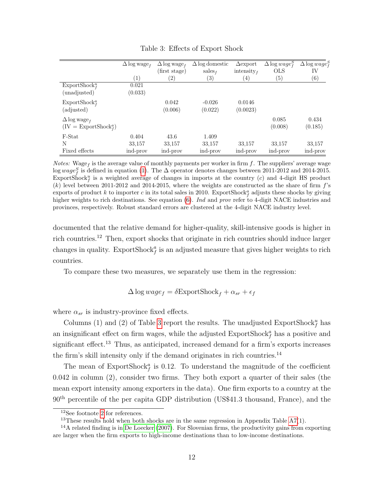<span id="page-13-0"></span>

|                                 | $\Delta \log \text{wage}_f$ | $\Delta \log$ wage <sub>f</sub> | $\Delta$ log domestic | $\Delta$ export | $\Delta \log wage_f^S$ | $\Delta \log wage_f^S$ |
|---------------------------------|-----------------------------|---------------------------------|-----------------------|-----------------|------------------------|------------------------|
|                                 |                             | (first stage)                   | sales <sub>f</sub>    | intensity $_f$  | <b>OLS</b>             | IV                     |
|                                 | (1)                         | (2)                             | $\left( 3\right)$     | (4)             | $\left( 5\right)$      | $\left( 6\right)$      |
| ExportShock <sup>u</sup>        | 0.021                       |                                 |                       |                 |                        |                        |
| (unadjusted)                    | (0.033)                     |                                 |                       |                 |                        |                        |
| ExportShock <sup>a</sup>        |                             | 0.042                           | $-0.026$              | 0.0146          |                        |                        |
| (adjusted)                      |                             | (0.006)                         | (0.022)               | (0.0023)        |                        |                        |
| $\Delta \log$ wage <sub>f</sub> |                             |                                 |                       |                 | 0.085                  | 0.434                  |
| $(IV = ExportShockfa)$          |                             |                                 |                       |                 | (0.008)                | (0.185)                |
| F-Stat                          | 0.404                       | 43.6                            | 1.409                 |                 |                        |                        |
| N                               | 33,157                      | 33,157                          | 33,157                | 33,157          | 33,157                 | 33,157                 |
| Fixed effects                   | ind-prov                    | ind-prov                        | ind-prov              | ind-prov        | ind-prov               | ind-prov               |

Table 3: Effects of Export Shock

*Notes:* Wage<sub>f</sub> is the average value of monthly payments per worker in firm f. The suppliers' average wage log wage $_f^S$  is defined in equation [\(1\)](#page-7-1). The  $\Delta$  operator denotes changes between 2011-2012 and 2014-2015. ExportShock<sup>u</sup> is a weighted average of changes in imports at the country  $(c)$  and 4-digit HS product  $(k)$  level between 2011-2012 and 2014-2015, where the weights are constructed as the share of firm  $f$ 's exports of product k to importer c in its total sales in 2010. ExportShock<sub>f</sub> adjusts these shocks by giving higher weights to rich destinations. See equation [\(6\)](#page-12-1). Ind and prov refer to 4-digit NACE industries and provinces, respectively. Robust standard errors are clustered at the 4-digit NACE industry level.

documented that the relative demand for higher-quality, skill-intensive goods is higher in rich countries.<sup>12</sup> Then, export shocks that originate in rich countries should induce larger changes in quality. ExportShock<sup>a</sup> is an adjusted measure that gives higher weights to rich countries.

To compare these two measures, we separately use them in the regression:

$$
\Delta \log wage_f = \delta \text{Exports} \text{hock}_f + \alpha_{sr} + \epsilon_f
$$

where  $\alpha_{sr}$  is industry-province fixed effects.

Columns (1) and (2) of Table [3](#page-13-0) report the results. The unadjusted ExportShock<sup>u</sup> has an insignificant effect on firm wages, while the adjusted  $\text{ExportShock}_{f}^{a}$  has a positive and significant effect.<sup>13</sup> Thus, as anticipated, increased demand for a firm's exports increases the firm's skill intensity only if the demand originates in rich countries.<sup>14</sup>

The mean of ExportShock<sup> $a$ </sup> is 0.12. To understand the magnitude of the coefficient 0.042 in column (2), consider two firms. They both export a quarter of their sales (the mean export intensity among exporters in the data). One firm exports to a country at the 90<sup>th</sup> percentile of the per capita GDP distribution (US\$41.3 thousand, France), and the

<sup>12</sup>See footnote [2](#page-3-0) for references.

<sup>&</sup>lt;sup>13</sup>These results hold when both shocks are in the same regression in Appendix Table  $A7(1)$ .

<sup>&</sup>lt;sup>14</sup>A related finding is in [De Loecker](#page-45-8) [\(2007\)](#page-45-8). For Slovenian firms, the productivity gains from exporting are larger when the firm exports to high-income destinations than to low-income destinations.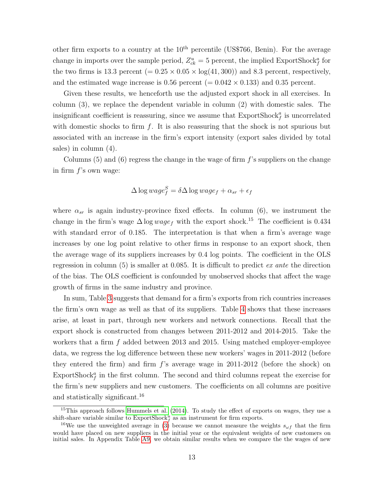other firm exports to a country at the  $10<sup>th</sup>$  percentile (US\$766, Benin). For the average change in imports over the sample period,  $Z_{ck}^u = 5$  percent, the implied ExportShock<sup>a</sup> for the two firms is 13.3 percent  $(= 0.25 \times 0.05 \times \log(41, 300))$  and 8.3 percent, respectively, and the estimated wage increase is 0.56 percent  $(= 0.042 \times 0.133)$  and 0.35 percent.

Given these results, we henceforth use the adjusted export shock in all exercises. In column (3), we replace the dependent variable in column (2) with domestic sales. The insignificant coefficient is reassuring, since we assume that  $\mathrm{ExportShock}_f^a$  is uncorrelated with domestic shocks to firm  $f$ . It is also reassuring that the shock is not spurious but associated with an increase in the firm's export intensity (export sales divided by total sales) in column (4).

Columns  $(5)$  and  $(6)$  regress the change in the wage of firm f's suppliers on the change in firm  $f$ 's own wage:

$$
\Delta \log wage_f^S = \delta \Delta \log wage_f + \alpha_{sr} + \epsilon_f
$$

where  $\alpha_{sr}$  is again industry-province fixed effects. In column (6), we instrument the change in the firm's wage  $\Delta \log wage_f$  with the export shock.<sup>15</sup> The coefficient is 0.434 with standard error of 0.185. The interpretation is that when a firm's average wage increases by one log point relative to other firms in response to an export shock, then the average wage of its suppliers increases by 0.4 log points. The coefficient in the OLS regression in column  $(5)$  is smaller at 0.085. It is difficult to predict *ex ante* the direction of the bias. The OLS coefficient is confounded by unobserved shocks that affect the wage growth of firms in the same industry and province.

In sum, Table [3](#page-13-0) suggests that demand for a firm's exports from rich countries increases the firm's own wage as well as that of its suppliers. Table [4](#page-15-0) shows that these increases arise, at least in part, through new workers and network connections. Recall that the export shock is constructed from changes between 2011-2012 and 2014-2015. Take the workers that a firm f added between 2013 and 2015. Using matched employer-employee data, we regress the log difference between these new workers' wages in 2011-2012 (before they entered the firm) and firm  $f$ 's average wage in 2011-2012 (before the shock) on  $\text{ExportShock}_{f}^{a}$  in the first column. The second and third columns repeat the exercise for the firm's new suppliers and new customers. The coefficients on all columns are positive and statistically significant.<sup>16</sup>

 $15$ This approach follows [Hummels et al.](#page-46-10) [\(2014\)](#page-46-10). To study the effect of exports on wages, they use a shift-share variable similar to  $\text{ExportShock}_{f}^{u}$  as an instrument for firm exports.

<sup>&</sup>lt;sup>16</sup>We use the unweighted average in [\(3\)](#page-8-1) because we cannot measure the weights  $s_{\omega f}$  that the firm would have placed on new suppliers in the initial year or the equivalent weights of new customers on initial sales. In Appendix Table [A9,](#page-63-0) we obtain similar results when we compare the the wages of new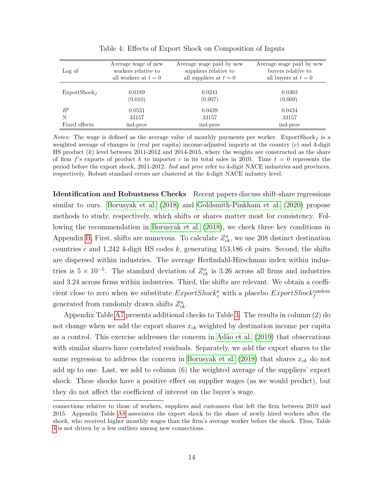<span id="page-15-0"></span>

|                          | Average wage of new  | Average wage paid by new | Average wage paid by new |
|--------------------------|----------------------|--------------------------|--------------------------|
| Log of                   | workers relative to  | suppliers relative to    | buyers relative to       |
|                          | all workers at $t=0$ | all suppliers at $t=0$   | all buyers at $t=0$      |
|                          |                      |                          |                          |
| ExportShock <sub>f</sub> | 0.0189               | 0.0241                   | 0.0303                   |
|                          | (0.010)              | (0.007)                  | (0.009)                  |
| $\,R^2$                  | 0.0531               | 0.0439                   | 0.0434                   |
| N                        | 33157                | 33157                    | 33157                    |
| Fixed effects            | ind-prov             | ind-prov                 | ind-prov                 |

Table 4: Effects of Export Shock on Composition of Inputs

*Notes:* The wage is defined as the average value of monthly payments per worker. ExportShock<sub>f</sub> is a weighted average of changes in (real per capita) income-adjusted imports at the country  $(c)$  and 4-digit HS product (k) level between 2011-2012 and 2014-2015, where the weights are constructed as the share of firm f's exports of product k to importer c in its total sales in 2010. Time  $t = 0$  represents the period before the export shock, 2011-2012. Ind and prov refer to 4-digit NACE industries and provinces, respectively. Robust standard errors are clustered at the 4-digit NACE industry level.

Identification and Robustness Checks Recent papers discuss shift-share regressions similar to ours. [Borusyak et al. \(2018\)](#page-45-7) and [Goldsmith-Pinkham et al. \(2020\)](#page-46-9) propose methods to study, respectively, which shifts or shares matter most for consistency. Following the recommendation in [Borusyak et al. \(2018\)](#page-45-7), we check three key conditions in Appendix [B.](#page-58-0) First, shifts are numerous. To calculate  $Z_{ck}^a$ , we use 208 distinct destination countries c and 1,242 4-digit HS codes k, generating 153,186 ck pairs. Second, the shifts are dispersed within industries. The average Herfindahl-Hirschman index within industries is  $5 \times 10^{-5}$ . The standard deviation of  $Z_{ck}^a$  is 3.26 across all firms and industries and 3.24 across firms within industries. Third, the shifts are relevant. We obtain a coefficient close to zero when we substitute  $Exportshock<sub>z</sub><sup>a</sup>$  with a placebo  $Exportshock<sub>f</sub><sup>random</sup>$ generated from randomly drawn shifts  $Z_{ck}^a$ .

Appendix Table [A7](#page-60-0) presents additional checks to Table [3.](#page-13-0) The results in column (2) do not change when we add the export shares  $x_{ck}$  weighted by destination income per capita as a control. This exercise addresses the concern in [Ad˜ao et al. \(2019\)](#page-44-10) that observations with similar shares have correlated residuals. Separately, we add the export shares to the same regression to address the concern in [Borusyak et al. \(2018\)](#page-45-7) that shares  $x_{ck}$  do not add up to one. Last, we add to column (6) the weighted average of the suppliers' export shock. These shocks have a positive effect on supplier wages (as we would predict), but they do not affect the coefficient of interest on the buyer's wage.

connections relative to those of workers, suppliers and customers that left the firm between 2010 and 2015. Appendix Table [A8](#page-62-0) associates the export shock to the share of newly hired workers after the shock, who received higher monthly wages than the firm's average worker before the shock. Thus, Table [4](#page-15-0) is not driven by a few outliers among new connections.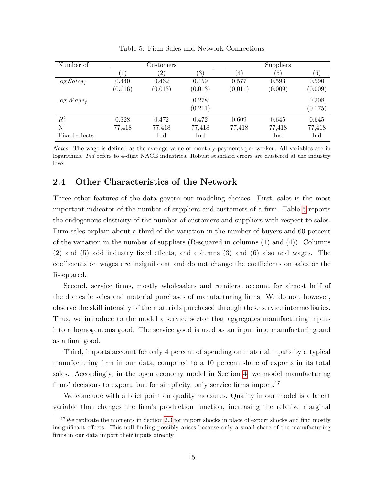<span id="page-16-1"></span>

| Number of      |         | Customers     |         |         | Suppliers        |                  |
|----------------|---------|---------------|---------|---------|------------------|------------------|
|                | 1       | $^{\prime}2)$ | 3)      | 4       | $\left(5\right)$ | $\left[6\right]$ |
| $\log Sales_f$ | 0.440   | 0.462         | 0.459   | 0.577   | 0.593            | 0.590            |
|                | (0.016) | (0.013)       | (0.013) | (0.011) | (0.009)          | (0.009)          |
| $\log Wage_f$  |         |               | 0.278   |         |                  | 0.208            |
|                |         |               | (0.211) |         |                  | (0.175)          |
| $\,R^2$        | 0.328   | 0.472         | 0.472   | 0.609   | 0.645            | 0.645            |
| N              | 77,418  | 77,418        | 77,418  | 77,418  | 77,418           | 77,418           |
| Fixed effects  |         | Ind           | Ind     |         | Ind              | Ind              |

Table 5: Firm Sales and Network Connections

Notes: The wage is defined as the average value of monthly payments per worker. All variables are in logarithms. Ind refers to 4-digit NACE industries. Robust standard errors are clustered at the industry level.

### <span id="page-16-0"></span>2.4 Other Characteristics of the Network

Three other features of the data govern our modeling choices. First, sales is the most important indicator of the number of suppliers and customers of a firm. Table [5](#page-16-1) reports the endogenous elasticity of the number of customers and suppliers with respect to sales. Firm sales explain about a third of the variation in the number of buyers and 60 percent of the variation in the number of suppliers (R-squared in columns (1) and (4)). Columns (2) and (5) add industry fixed effects, and columns (3) and (6) also add wages. The coefficients on wages are insignificant and do not change the coefficients on sales or the R-squared.

Second, service firms, mostly wholesalers and retailers, account for almost half of the domestic sales and material purchases of manufacturing firms. We do not, however, observe the skill intensity of the materials purchased through these service intermediaries. Thus, we introduce to the model a service sector that aggregates manufacturing inputs into a homogeneous good. The service good is used as an input into manufacturing and as a final good.

Third, imports account for only 4 percent of spending on material inputs by a typical manufacturing firm in our data, compared to a 10 percent share of exports in its total sales. Accordingly, in the open economy model in Section [4,](#page-27-0) we model manufacturing firms' decisions to export, but for simplicity, only service firms import.<sup>17</sup>

We conclude with a brief point on quality measures. Quality in our model is a latent variable that changes the firm's production function, increasing the relative marginal

<sup>&</sup>lt;sup>17</sup>We replicate the moments in Section [2.3](#page-12-0) for import shocks in place of export shocks and find mostly insignificant effects. This null finding possibly arises because only a small share of the manufacturing firms in our data import their inputs directly.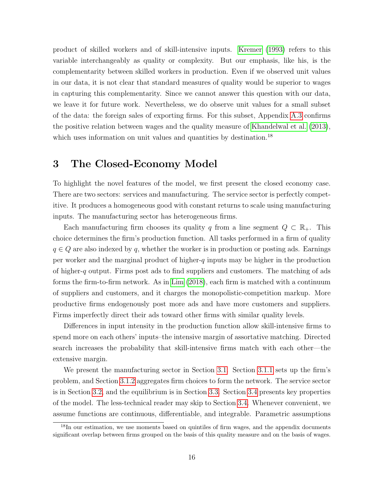product of skilled workers and of skill-intensive inputs. [Kremer \(1993\)](#page-47-0) refers to this variable interchangeably as quality or complexity. But our emphasis, like his, is the complementarity between skilled workers in production. Even if we observed unit values in our data, it is not clear that standard measures of quality would be superior to wages in capturing this complementarity. Since we cannot answer this question with our data, we leave it for future work. Nevertheless, we do observe unit values for a small subset of the data: the foreign sales of exporting firms. For this subset, Appendix [A.3](#page-53-0) confirms the positive relation between wages and the quality measure of [Khandelwal et al. \(2013\)](#page-46-11), which uses information on unit values and quantities by destination.<sup>18</sup>

# <span id="page-17-0"></span>3 The Closed-Economy Model

To highlight the novel features of the model, we first present the closed economy case. There are two sectors: services and manufacturing. The service sector is perfectly competitive. It produces a homogeneous good with constant returns to scale using manufacturing inputs. The manufacturing sector has heterogeneous firms.

Each manufacturing firm chooses its quality q from a line segment  $Q \subset \mathbb{R}_+$ . This choice determines the firm's production function. All tasks performed in a firm of quality  $q \in Q$  are also indexed by q, whether the worker is in production or posting ads. Earnings per worker and the marginal product of higher-q inputs may be higher in the production of higher-q output. Firms post ads to find suppliers and customers. The matching of ads forms the firm-to-firm network. As in [Lim \(2018\)](#page-47-6), each firm is matched with a continuum of suppliers and customers, and it charges the monopolistic-competition markup. More productive firms endogenously post more ads and have more customers and suppliers. Firms imperfectly direct their ads toward other firms with similar quality levels.

Differences in input intensity in the production function allow skill-intensive firms to spend more on each others' inputs–the intensive margin of assortative matching. Directed search increases the probability that skill-intensive firms match with each other—the extensive margin.

We present the manufacturing sector in Section [3.1.](#page-18-0) Section [3.1.1](#page-18-1) sets up the firm's problem, and Section [3.1.2](#page-20-0) aggregates firm choices to form the network. The service sector is in Section [3.2,](#page-23-0) and the equilibrium is in Section [3.3.](#page-24-0) Section [3.4](#page-25-0) presents key properties of the model. The less-technical reader may skip to Section [3.4.](#page-25-0) Whenever convenient, we assume functions are continuous, differentiable, and integrable. Parametric assumptions

<sup>&</sup>lt;sup>18</sup>In our estimation, we use moments based on quintiles of firm wages, and the appendix documents significant overlap between firms grouped on the basis of this quality measure and on the basis of wages.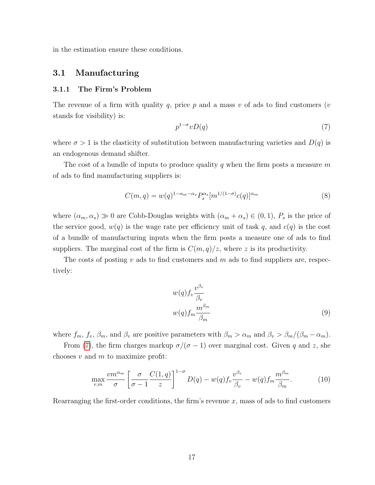in the estimation ensure these conditions.

### <span id="page-18-0"></span>3.1 Manufacturing

#### <span id="page-18-1"></span>3.1.1 The Firm's Problem

The revenue of a firm with quality q, price p and a mass v of ads to find customers (v stands for visibility) is:

<span id="page-18-4"></span><span id="page-18-2"></span>
$$
p^{1-\sigma}vD(q) \tag{7}
$$

where  $\sigma > 1$  is the elasticity of substitution between manufacturing varieties and  $D(q)$  is an endogenous demand shifter.

The cost of a bundle of inputs to produce quality q when the firm posts a measure  $m$ of ads to find manufacturing suppliers is:

$$
C(m,q) = w(q)^{1-\alpha_m-\alpha_s} P_s^{\alpha_s} [m^{1/(1-\sigma)} c(q)]^{\alpha_m}
$$
\n(8)

where  $(\alpha_m, \alpha_s) \gg 0$  are Cobb-Douglas weights with  $(\alpha_m + \alpha_s) \in (0, 1)$ ,  $P_s$  is the price of the service good,  $w(q)$  is the wage rate per efficiency unit of task q, and  $c(q)$  is the cost of a bundle of manufacturing inputs when the firm posts a measure one of ads to find suppliers. The marginal cost of the firm is  $C(m, q)/z$ , where z is its productivity.

The costs of posting v ads to find customers and m ads to find suppliers are, respectively:

<span id="page-18-5"></span><span id="page-18-3"></span>
$$
w(q)f_v \frac{v^{\beta_v}}{\beta_v}
$$
  

$$
w(q)f_m \frac{m^{\beta_m}}{\beta_m}
$$
 (9)

where  $f_m$ ,  $f_v$ ,  $\beta_m$ , and  $\beta_v$  are positive parameters with  $\beta_m > \alpha_m$  and  $\beta_v > \beta_m/(\beta_m - \alpha_m)$ .

From [\(7\)](#page-18-2), the firm charges markup  $\sigma/(\sigma - 1)$  over marginal cost. Given q and z, she chooses  $v$  and  $m$  to maximize profit:

$$
\max_{v,m} \frac{vm^{\alpha_m}}{\sigma} \left[ \frac{\sigma}{\sigma - 1} \frac{C(1, q)}{z} \right]^{1 - \sigma} D(q) - w(q) f_v \frac{v^{\beta_v}}{\beta_v} - w(q) f_m \frac{m^{\beta_m}}{\beta_m}.
$$
 (10)

Rearranging the first-order conditions, the firm's revenue  $x$ , mass of ads to find customers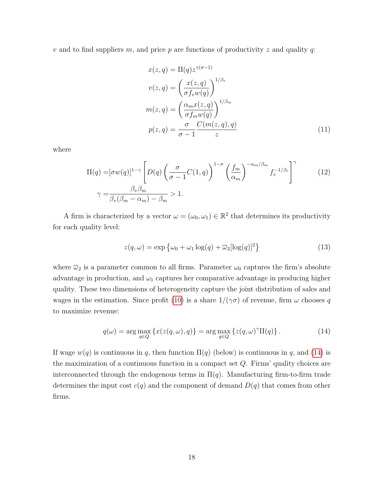v and to find suppliers m, and price p are functions of productivity z and quality q:

<span id="page-19-1"></span>
$$
x(z,q) = \Pi(q) z^{\gamma(\sigma-1)}
$$
  
\n
$$
v(z,q) = \left(\frac{x(z,q)}{\sigma f_v w(q)}\right)^{1/\beta_v}
$$
  
\n
$$
m(z,q) = \left(\frac{\alpha_m x(z,q)}{\sigma f_m w(q)}\right)^{1/\beta_m}
$$
  
\n
$$
p(z,q) = \frac{\sigma}{\sigma-1} \frac{C(m(z,q),q)}{z}
$$
\n(11)

where

$$
\Pi(q) = [\sigma w(q)]^{1-\gamma} \left[ D(q) \left( \frac{\sigma}{\sigma - 1} C(1, q) \right)^{1-\sigma} \left( \frac{f_m}{\alpha_m} \right)^{-\alpha_m/\beta_m} f_v^{-1/\beta_v} \right]^\gamma \qquad (12)
$$

$$
\gamma = \frac{\beta_v \beta_m}{\beta_v (\beta_m - \alpha_m) - \beta_m} > 1.
$$

A firm is characterized by a vector  $\omega = (\omega_0, \omega_1) \in \mathbb{R}^2$  that determines its productivity for each quality level:

<span id="page-19-2"></span>
$$
z(q,\omega) = \exp\left\{\omega_0 + \omega_1 \log(q) + \overline{\omega}_2[\log(q)]^2\right\}
$$
 (13)

where  $\overline{\omega}_2$  is a parameter common to all firms. Parameter  $\omega_0$  captures the firm's absolute advantage in production, and  $\omega_1$  captures her comparative advantage in producing higher quality. These two dimensions of heterogeneity capture the joint distribution of sales and wages in the estimation. Since profit [\(10\)](#page-18-3) is a share  $1/(\gamma \sigma)$  of revenue, firm  $\omega$  chooses q to maximize revenue:

<span id="page-19-0"></span>
$$
q(\omega) = \arg \max_{q \in Q} \left\{ x(z(q, \omega), q) \right\} = \arg \max_{q \in Q} \left\{ z(q, \omega)^\gamma \Pi(q) \right\}.
$$
 (14)

If wage  $w(q)$  is continuous in q, then function  $\Pi(q)$  (below) is continuous in q, and [\(14\)](#page-19-0) is the maximization of a continuous function in a compact set  $Q$ . Firms' quality choices are interconnected through the endogenous terms in  $\Pi(q)$ . Manufacturing firm-to-firm trade determines the input cost  $c(q)$  and the component of demand  $D(q)$  that comes from other firms.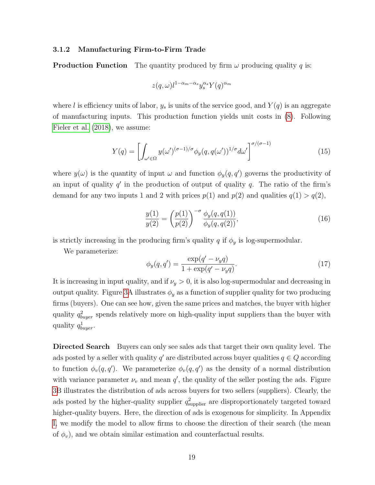#### <span id="page-20-0"></span>3.1.2 Manufacturing Firm-to-Firm Trade

**Production Function** The quantity produced by firm  $\omega$  producing quality q is:

$$
z(q,\omega)l^{1-\alpha_m-\alpha_s}y_s^{\alpha_s}Y(q)^{\alpha_m}
$$

where l is efficiency units of labor,  $y_s$  is units of the service good, and  $Y(q)$  is an aggregate of manufacturing inputs. This production function yields unit costs in [\(8\)](#page-18-4). Following [Fieler et al. \(2018\)](#page-46-3), we assume:

<span id="page-20-1"></span>
$$
Y(q) = \left[ \int_{\omega' \in \Omega} y(\omega')^{(\sigma - 1)/\sigma} \phi_y(q, q(\omega'))^{1/\sigma} d\omega' \right]^{\sigma/(\sigma - 1)}
$$
(15)

where  $y(\omega)$  is the quantity of input  $\omega$  and function  $\phi_y(q,q')$  governs the productivity of an input of quality  $q'$  in the production of output of quality  $q$ . The ratio of the firm's demand for any two inputs 1 and 2 with prices  $p(1)$  and  $p(2)$  and qualities  $q(1) > q(2)$ ,

<span id="page-20-2"></span>
$$
\frac{y(1)}{y(2)} = \left(\frac{p(1)}{p(2)}\right)^{-\sigma} \frac{\phi_y(q, q(1))}{\phi_y(q, q(2))},\tag{16}
$$

is strictly increasing in the producing firm's quality q if  $\phi_y$  is log-supermodular.

We parameterize:

<span id="page-20-3"></span>
$$
\phi_y(q, q') = \frac{\exp(q' - \nu_y q)}{1 + \exp(q' - \nu_y q)}.
$$
\n(17)

It is increasing in input quality, and if  $\nu_y > 0$ , it is also log-supermodular and decreasing in output quality. Figure [3A](#page-21-0) illustrates  $\phi_y$  as a function of supplier quality for two producing firms (buyers). One can see how, given the same prices and matches, the buyer with higher quality  $q_{burger}^2$  spends relatively more on high-quality input suppliers than the buyer with quality  $q_{buffer}^1$ .

Directed Search Buyers can only see sales ads that target their own quality level. The ads posted by a seller with quality  $q'$  are distributed across buyer qualities  $q \in Q$  according to function  $\phi_v(q,q')$ . We parameterize  $\phi_v(q,q')$  as the density of a normal distribution with variance parameter  $\nu_v$  and mean q', the quality of the seller posting the ads. Figure [3B](#page-21-0) illustrates the distribution of ads across buyers for two sellers (suppliers). Clearly, the ads posted by the higher-quality supplier  $q_{\text{supplier}}^2$  are disproportionately targeted toward higher-quality buyers. Here, the direction of ads is exogenous for simplicity. In Appendix [I,](#page-79-0) we modify the model to allow firms to choose the direction of their search (the mean of  $\phi_v$ ), and we obtain similar estimation and counterfactual results.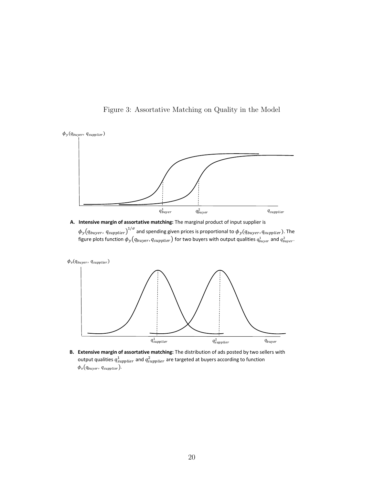<span id="page-21-0"></span>

Figure 3: Assortative Matching on Quality in the Model

**A. Intensive margin of assortative matching:** The marginal product of input supplier is  $\phi_y\!\left(q_{buyer},q_{supplier}\right)^{1/\sigma}$  and spending given prices is proportional to  $\phi_y(q_{buyer},q_{supplier})$ . The figure plots function  $\phi_y(q_{buyer},q_{supplier})$  for two buyers with output qualities  $q^1_{buyer}$  and  $q^2_{buyer}.$ 



**B. Extensive margin of assortative matching:** The distribution of ads posted by two sellers with output qualities  $q_{supplier}^1$  and  $q_{supplier}^2$  are targeted at buyers according to function  $\phi_v(q_{buyer}, q_{supplier}).$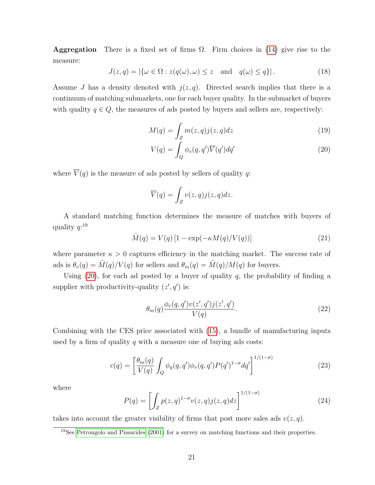**Aggregation** There is a fixed set of firms  $\Omega$ . Firm choices in [\(14\)](#page-19-0) give rise to the measure:

<span id="page-22-3"></span>
$$
J(z,q) = |\{\omega \in \Omega : z(q(\omega), \omega) \le z \text{ and } q(\omega) \le q\}|. \tag{18}
$$

Assume J has a density denoted with  $j(z, q)$ . Directed search implies that there is a continuum of matching submarkets, one for each buyer quality. In the submarket of buyers with quality  $q \in Q$ , the measures of ads posted by buyers and sellers are, respectively:

$$
M(q) = \int_{Z} m(z, q) j(z, q) dz
$$
\n(19)

<span id="page-22-1"></span><span id="page-22-0"></span>
$$
V(q) = \int_{Q} \phi_{v}(q, q') \overline{V}(q') dq' \qquad (20)
$$

where  $\overline{V}(q)$  is the measure of ads posted by sellers of quality q:

$$
\overline{V}(q) = \int_{Z} v(z, q) j(z, q) dz.
$$

A standard matching function determines the measure of matches with buyers of quality  $q:$ <sup>19</sup>

<span id="page-22-4"></span>
$$
\tilde{M}(q) = V(q) \left[ 1 - \exp(-\kappa M(q)/V(q)) \right] \tag{21}
$$

where parameter  $\kappa > 0$  captures efficiency in the matching market. The success rate of ads is  $\theta_v(q) = \tilde{M}(q)/V(q)$  for sellers and  $\theta_m(q) = \tilde{M}(q)/M(q)$  for buyers.

Using  $(20)$ , for each ad posted by a buyer of quality q, the probability of finding a supplier with productivity-quality  $(z', q')$  is:

<span id="page-22-5"></span><span id="page-22-2"></span>
$$
\theta_m(q)\frac{\phi_v(q,q')v(z',q')j(z',q')}{V(q)}.\tag{22}
$$

Combining with the CES price associated with [\(15\)](#page-20-1), a bundle of manufacturing inputs used by a firm of quality  $q$  with a measure one of buying ads costs:

$$
c(q) = \left[\frac{\theta_m(q)}{V(q)} \int_Q \phi_y(q, q') \phi_v(q, q') P(q')^{1-\sigma} dq'\right]^{1/(1-\sigma)}
$$
(23)

where

$$
P(q) = \left[ \int_{Z} p(z,q)^{1-\sigma} v(z,q) j(z,q) dz \right]^{1/(1-\sigma)}
$$
\n(24)

takes into account the greater visibility of firms that post more sales ads  $v(z, q)$ .

 $19$ See [Petrongolo and Pissarides](#page-47-11) [\(2001\)](#page-47-11) for a survey on matching functions and their properties.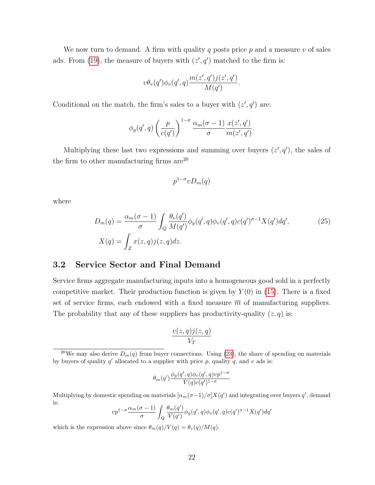We now turn to demand. A firm with quality q posts price  $p$  and a measure  $v$  of sales ads. From [\(19\)](#page-22-1), the measure of buyers with  $(z', q')$  matched to the firm is:

$$
v\theta_v(q')\phi_v(q',q)\frac{m(z',q')j(z',q')}{M(q')}.
$$

Conditional on the match, the firm's sales to a buyer with  $(z', q')$  are:

$$
\phi_y(q',q) \left(\frac{p}{c(q')}\right)^{1-\sigma} \frac{\alpha_m(\sigma-1)}{\sigma} \frac{x(z',q')}{m(z',q')}.
$$

Multiplying these last two expressions and summing over buyers  $(z', q')$ , the sales of the firm to other manufacturing firms  $\rm{are}^{20}$ 

<span id="page-23-1"></span>
$$
p^{1-\sigma}vD_m(q)
$$

where

$$
D_m(q) = \frac{\alpha_m(\sigma - 1)}{\sigma} \int_Q \frac{\theta_v(q')}{M(q')} \phi_y(q', q) \phi_v(q', q) c(q')^{\sigma - 1} X(q') dq',
$$
\n
$$
X(q) = \int_Z x(z, q) j(z, q) dz.
$$
\n(25)

### <span id="page-23-0"></span>3.2 Service Sector and Final Demand

Service firms aggregate manufacturing inputs into a homogeneous good sold in a perfectly competitive market. Their production function is given by  $Y(0)$  in [\(15\)](#page-20-1). There is a fixed set of service firms, each endowed with a fixed measure  $\overline{m}$  of manufacturing suppliers. The probability that any of these suppliers has productivity-quality  $(z, q)$  is:

$$
\frac{v(z,q)j(z,q)}{V_T}
$$

$$
\theta_m(q') \frac{\phi_y(q',q)\phi_v(q',q)vp^{1-\sigma}}{V(q)c(q')^{1-\sigma}}
$$

Multiplying by domestic spending on materials  $[\alpha_m(\sigma-1)/\sigma]X(q')$  and integrating over buyers q', demand is:  $\overline{a}$ 

$$
vp^{1-\sigma} \frac{\alpha_m(\sigma-1)}{\sigma} \int_Q \frac{\theta_m(q')}{V(q')}\phi_y(q',q)\phi_v(q',q)c(q')^{\sigma-1}X(q')dq'
$$

which is the expression above since  $\theta_m(q)/V(q) = \theta_v(q)/M(q)$ .

<sup>&</sup>lt;sup>20</sup>We may also derive  $D_m(q)$  from buyer connections. Using [\(23\)](#page-22-2), the share of spending on materials by buyers of quality  $q'$  allocated to a supplier with price p, quality q, and v ads is: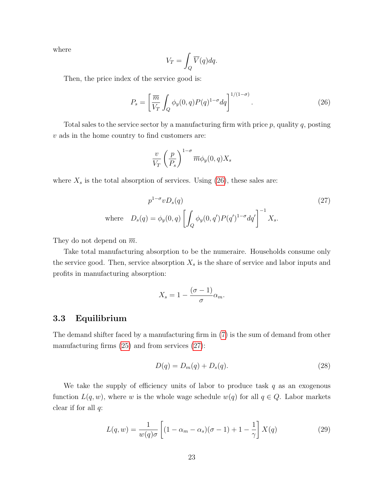where

<span id="page-24-1"></span>
$$
V_T = \int_Q \overline{V}(q) dq.
$$

Then, the price index of the service good is:

$$
P_s = \left[\frac{\overline{m}}{V_T} \int_Q \phi_y(0, q) P(q)^{1-\sigma} dq\right]^{1/(1-\sigma)}.
$$
\n(26)

Total sales to the service sector by a manufacturing firm with price  $p$ , quality  $q$ , posting  $v$  ads in the home country to find customers are:

<span id="page-24-2"></span>
$$
\frac{v}{V_T} \left(\frac{p}{P_s}\right)^{1-\sigma} \overline{m} \phi_y(0,q) X_s
$$

where  $X_s$  is the total absorption of services. Using [\(26\)](#page-24-1), these sales are:

$$
p^{1-\sigma}vD_s(q)
$$
  
where 
$$
D_s(q) = \phi_y(0, q) \left[ \int_Q \phi_y(0, q') P(q')^{1-\sigma} dq' \right]^{-1} X_s.
$$
 (27)

They do not depend on  $\overline{m}$ .

Take total manufacturing absorption to be the numeraire. Households consume only the service good. Then, service absorption  $X_s$  is the share of service and labor inputs and profits in manufacturing absorption:

$$
X_s = 1 - \frac{(\sigma - 1)}{\sigma} \alpha_m.
$$

### <span id="page-24-0"></span>3.3 Equilibrium

The demand shifter faced by a manufacturing firm in [\(7\)](#page-18-2) is the sum of demand from other manufacturing firms  $(25)$  and from services  $(27)$ :

<span id="page-24-3"></span>
$$
D(q) = D_m(q) + D_s(q). \t\t(28)
$$

We take the supply of efficiency units of labor to produce task q as an exogenous function  $L(q, w)$ , where w is the whole wage schedule  $w(q)$  for all  $q \in Q$ . Labor markets clear if for all  $q$ :

<span id="page-24-4"></span>
$$
L(q, w) = \frac{1}{w(q)\sigma} \left[ (1 - \alpha_m - \alpha_s)(\sigma - 1) + 1 - \frac{1}{\gamma} \right] X(q)
$$
 (29)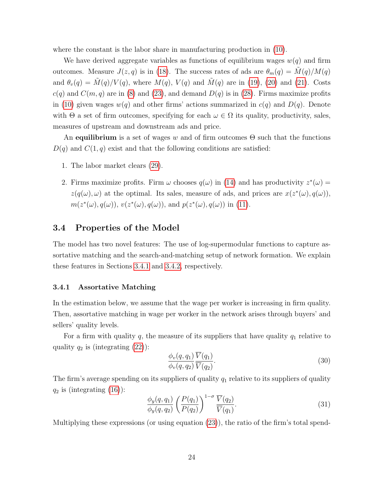where the constant is the labor share in manufacturing production in [\(10\)](#page-18-3).

We have derived aggregate variables as functions of equilibrium wages  $w(q)$  and firm outcomes. Measure  $J(z, q)$  is in [\(18\)](#page-22-3). The success rates of ads are  $\theta_m(q) = M(q)/M(q)$ and  $\theta_v(q) = \tilde{M}(q)/V(q)$ , where  $M(q)$ ,  $V(q)$  and  $\tilde{M}(q)$  are in [\(19\)](#page-22-1), [\(20\)](#page-22-0) and [\(21\)](#page-22-4). Costs  $c(q)$  and  $C(m, q)$  are in [\(8\)](#page-18-4) and [\(23\)](#page-22-2), and demand  $D(q)$  is in [\(28\)](#page-24-3). Firms maximize profits in [\(10\)](#page-18-3) given wages  $w(q)$  and other firms' actions summarized in  $c(q)$  and  $D(q)$ . Denote with  $\Theta$  a set of firm outcomes, specifying for each  $\omega \in \Omega$  its quality, productivity, sales, measures of upstream and downstream ads and price.

An equilibrium is a set of wages w and of firm outcomes  $\Theta$  such that the functions  $D(q)$  and  $C(1,q)$  exist and that the following conditions are satisfied:

- 1. The labor market clears [\(29\)](#page-24-4).
- 2. Firms maximize profits. Firm  $\omega$  chooses  $q(\omega)$  in [\(14\)](#page-19-0) and has productivity  $z^*(\omega) =$  $z(q(\omega), \omega)$  at the optimal. Its sales, measure of ads, and prices are  $x(z^*(\omega), q(\omega))$ ,  $m(z^*(\omega), q(\omega))$ ,  $v(z^*(\omega), q(\omega))$ , and  $p(z^*(\omega), q(\omega))$  in [\(11\)](#page-19-1).

#### <span id="page-25-0"></span>3.4 Properties of the Model

The model has two novel features: The use of log-supermodular functions to capture assortative matching and the search-and-matching setup of network formation. We explain these features in Sections [3.4.1](#page-25-1) and [3.4.2,](#page-26-0) respectively.

#### <span id="page-25-1"></span>3.4.1 Assortative Matching

In the estimation below, we assume that the wage per worker is increasing in firm quality. Then, assortative matching in wage per worker in the network arises through buyers' and sellers' quality levels.

For a firm with quality q, the measure of its suppliers that have quality  $q_1$  relative to quality  $q_2$  is (integrating  $(22)$ ):

<span id="page-25-2"></span>
$$
\frac{\phi_v(q, q_1)}{\phi_v(q, q_2)} \frac{\overline{V}(q_1)}{\overline{V}(q_2)}.
$$
\n(30)

The firm's average spending on its suppliers of quality  $q_1$  relative to its suppliers of quality  $q_2$  is (integrating  $(16)$ ):

<span id="page-25-3"></span>
$$
\frac{\phi_y(q, q_1)}{\phi_y(q, q_2)} \left(\frac{P(q_1)}{P(q_2)}\right)^{1-\sigma} \frac{\overline{V}(q_2)}{\overline{V}(q_1)}.
$$
\n(31)

Multiplying these expressions (or using equation  $(23)$ ), the ratio of the firm's total spend-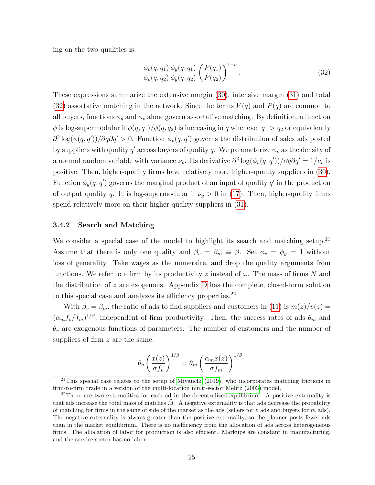ing on the two qualities is:

<span id="page-26-1"></span>
$$
\frac{\phi_v(q, q_1)}{\phi_v(q, q_2)} \frac{\phi_y(q, q_1)}{\phi_y(q, q_2)} \left(\frac{P(q_1)}{P(q_2)}\right)^{1-\sigma}.
$$
\n(32)

These expressions summarize the extensive margin [\(30\)](#page-25-2), intensive margin [\(31\)](#page-25-3) and total [\(32\)](#page-26-1) assortative matching in the network. Since the terms  $\overline{V}(q)$  and  $P(q)$  are common to all buyers, functions  $\phi_y$  and  $\phi_v$  alone govern assortative matching. By definition, a function  $\phi$  is log-supermodular if  $\phi(q, q_1)/\phi(q, q_2)$  is increasing in q whenever  $q_1 > q_2$  or equivalently  $\partial^2 \log(\phi(q, q'))/\partial q \partial q' > 0$ . Function  $\phi_v(q, q')$  governs the distribution of sales ads posted by suppliers with quality  $q'$  across buyers of quality q. We parameterize  $\phi_v$  as the density of a normal random variable with variance  $\nu_v$ . Its derivative  $\partial^2 \log(\phi_v(q, q'))/\partial q \partial q' = 1/\nu_v$  is positive. Then, higher-quality firms have relatively more higher-quality suppliers in [\(30\)](#page-25-2). Function  $\phi_y(q, q')$  governs the marginal product of an input of quality q' in the production of output quality q. It is log-supermodular if  $\nu_y > 0$  in [\(17\)](#page-20-3). Then, higher-quality firms spend relatively more on their higher-quality suppliers in [\(31\)](#page-25-3).

#### <span id="page-26-0"></span>3.4.2 Search and Matching

We consider a special case of the model to highlight its search and matching setup.<sup>21</sup> Assume that there is only one quality and  $\beta_v = \beta_m \equiv \beta$ . Set  $\phi_v = \phi_y = 1$  without loss of generality. Take wages as the numeraire, and drop the quality arguments from functions. We refer to a firm by its productivity z instead of  $\omega$ . The mass of firms N and the distribution of  $z$  are exogenous. Appendix [D](#page-64-0) has the complete, closed-form solution to this special case and analyzes its efficiency properties.<sup>22</sup>

With  $\beta_v = \beta_m$ , the ratio of ads to find suppliers and customers in [\(11\)](#page-19-1) is  $m(z)/v(z) =$  $(\alpha_m f_v/f_m)^{1/\beta}$ , independent of firm productivity. Then, the success rates of ads  $\theta_m$  and  $\theta_v$  are exogenous functions of parameters. The number of customers and the number of suppliers of firm z are the same:

$$
\theta_v \left( \frac{x(z)}{\sigma f_v} \right)^{1/\beta} = \theta_m \left( \frac{\alpha_m x(z)}{\sigma f_m} \right)^{1/\beta}.
$$

 $21$ This special case relates to the setup of [Miyauchi](#page-47-12) [\(2019\)](#page-47-12), who incorporates matching frictions in firm-to-firm trade in a version of the multi-location multi-sector [Melitz](#page-47-1) [\(2003\)](#page-47-1) model.

<sup>&</sup>lt;sup>22</sup>There are two externalities for each ad in the decentralized equilibrium. A positive externality is that ads increase the total mass of matches  $M$ . A negative externality is that ads decrease the probability of matching for firms in the same of side of the market as the ads (sellers for v ads and buyers for m ads). The negative externality is always greater than the positive externality, so the planner posts fewer ads than in the market equilibrium. There is no inefficiency from the allocation of ads across heterogeneous firms. The allocation of labor for production is also efficient. Markups are constant in manufacturing, and the service sector has no labor.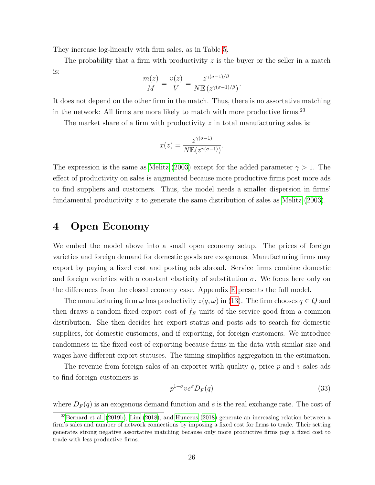They increase log-linearly with firm sales, as in Table [5.](#page-16-1)

The probability that a firm with productivity  $z$  is the buyer or the seller in a match is:

$$
\frac{m(z)}{M} = \frac{v(z)}{V} = \frac{z^{\gamma(\sigma - 1)/\beta}}{N \mathbb{E} (z^{\gamma(\sigma - 1)/\beta})}.
$$

It does not depend on the other firm in the match. Thus, there is no assortative matching in the network: All firms are more likely to match with more productive firms.<sup>23</sup>

The market share of a firm with productivity  $z$  in total manufacturing sales is:

$$
x(z) = \frac{z^{\gamma(\sigma - 1)}}{N \mathbb{E}(z^{\gamma(\sigma - 1)})}.
$$

The expression is the same as [Melitz \(2003\)](#page-47-1) except for the added parameter  $\gamma > 1$ . The effect of productivity on sales is augmented because more productive firms post more ads to find suppliers and customers. Thus, the model needs a smaller dispersion in firms' fundamental productivity z to generate the same distribution of sales as [Melitz \(2003\)](#page-47-1).

# <span id="page-27-0"></span>4 Open Economy

We embed the model above into a small open economy setup. The prices of foreign varieties and foreign demand for domestic goods are exogenous. Manufacturing firms may export by paying a fixed cost and posting ads abroad. Service firms combine domestic and foreign varieties with a constant elasticity of substitution  $\sigma$ . We focus here only on the differences from the closed economy case. Appendix [E](#page-69-0) presents the full model.

The manufacturing firm  $\omega$  has productivity  $z(q,\omega)$  in [\(13\)](#page-19-2). The firm chooses  $q \in Q$  and then draws a random fixed export cost of  $f_E$  units of the service good from a common distribution. She then decides her export status and posts ads to search for domestic suppliers, for domestic customers, and if exporting, for foreign customers. We introduce randomness in the fixed cost of exporting because firms in the data with similar size and wages have different export statuses. The timing simplifies aggregation in the estimation.

The revenue from foreign sales of an exporter with quality q, price  $p$  and  $v$  sales ads to find foreign customers is:

$$
p^{1-\sigma}ve^{\sigma}D_F(q) \tag{33}
$$

where  $D_F(q)$  is an exogenous demand function and e is the real exchange rate. The cost of

<sup>&</sup>lt;sup>23</sup>[Bernard et al.](#page-44-6) [\(2019b\)](#page-44-6), [Lim](#page-47-6) [\(2018\)](#page-46-4), and [Huneeus](#page-46-4) (2018) generate an increasing relation between a firm's sales and number of network connections by imposing a fixed cost for firms to trade. Their setting generates strong negative assortative matching because only more productive firms pay a fixed cost to trade with less productive firms.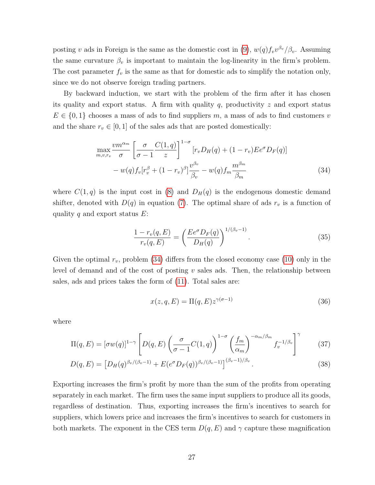posting v ads in Foreign is the same as the domestic cost in [\(9\)](#page-18-5),  $w(q) f_v v^{\beta_v}/\beta_v$ . Assuming the same curvature  $\beta_v$  is important to maintain the log-linearity in the firm's problem. The cost parameter  $f_v$  is the same as that for domestic ads to simplify the notation only, since we do not observe foreign trading partners.

By backward induction, we start with the problem of the firm after it has chosen its quality and export status. A firm with quality q, productivity  $z$  and export status  $E \in \{0,1\}$  chooses a mass of ads to find suppliers m, a mass of ads to find customers v and the share  $r_v \in [0, 1]$  of the sales ads that are posted domestically:

$$
\max_{m,v,r_v} \frac{vm^{\alpha_m}}{\sigma} \left[ \frac{\sigma}{\sigma - 1} \frac{C(1, q)}{z} \right]^{1-\sigma} \left[ r_v D_H(q) + (1 - r_v) E e^{\sigma} D_F(q) \right]
$$

$$
- w(q) f_v \left[ r_v^{\beta} + (1 - r_v)^{\beta} \right] \frac{v^{\beta_v}}{\beta_v} - w(q) f_m \frac{m^{\beta_m}}{\beta_m} \tag{34}
$$

where  $C(1, q)$  is the input cost in [\(8\)](#page-18-4) and  $D_H(q)$  is the endogenous domestic demand shifter, denoted with  $D(q)$  in equation [\(7\)](#page-18-2). The optimal share of ads  $r_v$  is a function of quality q and export status  $E$ :

<span id="page-28-0"></span>
$$
\frac{1 - r_v(q, E)}{r_v(q, E)} = \left(\frac{E e^{\sigma} D_F(q)}{D_H(q)}\right)^{1/(\beta_v - 1)}.
$$
\n(35)

Given the optimal  $r_v$ , problem [\(34\)](#page-28-0) differs from the closed economy case [\(10\)](#page-18-3) only in the level of demand and of the cost of posting  $v$  sales ads. Then, the relationship between sales, ads and prices takes the form of [\(11\)](#page-19-1). Total sales are:

$$
x(z,q,E) = \Pi(q,E)z^{\gamma(\sigma-1)}
$$
\n(36)

where

$$
\Pi(q, E) = [\sigma w(q)]^{1-\gamma} \left[ D(q, E) \left( \frac{\sigma}{\sigma - 1} C(1, q) \right)^{1-\sigma} \left( \frac{f_m}{\alpha_m} \right)^{-\alpha_m/\beta_m} f_v^{-1/\beta_v} \right]^\gamma \tag{37}
$$

$$
D(q, E) = \left[ D_H(q)^{\beta_v/(\beta_v - 1)} + E(e^{\sigma} D_F(q))^{\beta_v/(\beta_v - 1)} \right]^{(\beta_v - 1)/\beta_v}.
$$
\n(38)

Exporting increases the firm's profit by more than the sum of the profits from operating separately in each market. The firm uses the same input suppliers to produce all its goods, regardless of destination. Thus, exporting increases the firm's incentives to search for suppliers, which lowers price and increases the firm's incentives to search for customers in both markets. The exponent in the CES term  $D(q, E)$  and  $\gamma$  capture these magnification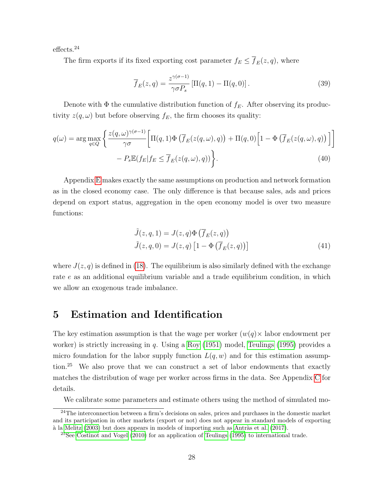effects.<sup>24</sup>

The firm exports if its fixed exporting cost parameter  $f_E \leq \overline{f}_E(z, q)$ , where

<span id="page-29-2"></span><span id="page-29-1"></span>
$$
\overline{f}_E(z,q) = \frac{z^{\gamma(\sigma-1)}}{\gamma \sigma P_s} \left[ \Pi(q,1) - \Pi(q,0) \right]. \tag{39}
$$

Denote with  $\Phi$  the cumulative distribution function of  $f_E$ . After observing its productivity  $z(q, \omega)$  but before observing  $f_E$ , the firm chooses its quality:

$$
q(\omega) = \arg \max_{q \in Q} \left\{ \frac{z(q, \omega)^{\gamma(\sigma - 1)}}{\gamma \sigma} \left[ \Pi(q, 1) \Phi \left( \overline{f}_E(z(q, \omega), q) \right) + \Pi(q, 0) \left[ 1 - \Phi \left( \overline{f}_E(z(q, \omega), q) \right) \right] \right] - P_s \mathbb{E}(f_E | f_E \le \overline{f}_E(z(q, \omega), q)) \right\}.
$$
\n(40)

Appendix [E](#page-69-0) makes exactly the same assumptions on production and network formation as in the closed economy case. The only difference is that because sales, ads and prices depend on export status, aggregation in the open economy model is over two measure functions:

$$
\tilde{J}(z,q,1) = J(z,q)\Phi\left(\overline{f}_E(z,q)\right)
$$
  

$$
\tilde{J}(z,q,0) = J(z,q)\left[1 - \Phi\left(\overline{f}_E(z,q)\right)\right]
$$
\n(41)

where  $J(z, q)$  is defined in [\(18\)](#page-22-3). The equilibrium is also similarly defined with the exchange rate e as an additional equilibrium variable and a trade equilibrium condition, in which we allow an exogenous trade imbalance.

# <span id="page-29-0"></span>5 Estimation and Identification

The key estimation assumption is that the wage per worker  $(w(q) \times \text{ labor endowment per})$ worker) is strictly increasing in q. Using a Roy  $(1951)$  model, Teulings  $(1995)$  provides a micro foundation for the labor supply function  $L(q, w)$  and for this estimation assumption.<sup>25</sup> We also prove that we can construct a set of labor endowments that exactly matches the distribution of wage per worker across firms in the data. See Appendix [C](#page-62-1) for details.

We calibrate some parameters and estimate others using the method of simulated mo-

 $24$ The interconnection between a firm's decisions on sales, prices and purchases in the domestic market and its participation in other markets (export or not) does not appear in standard models of exporting  $\alpha$  la [Melitz](#page-47-1) [\(2003\)](#page-47-1) but does appears in models of importing such as Antràs et al. [\(2017\)](#page-44-11).

 $^{25}$ See [Costinot and Vogel](#page-45-1) [\(2010\)](#page-45-1) for an application of [Teulings](#page-48-1) [\(1995\)](#page-48-1) to international trade.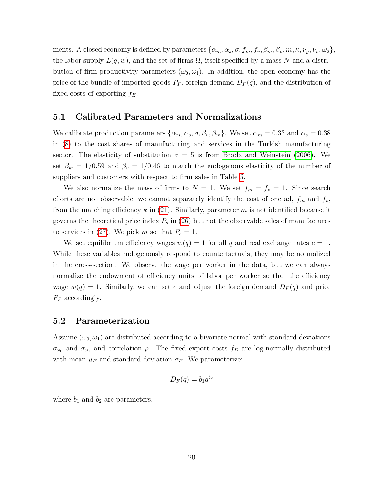ments. A closed economy is defined by parameters  $\{\alpha_m, \alpha_s, \sigma, f_m, f_v, \beta_m, \beta_v, \overline{m}, \kappa, \nu_y, \nu_v, \overline{\omega}_2\},\$ the labor supply  $L(q, w)$ , and the set of firms  $\Omega$ , itself specified by a mass N and a distribution of firm productivity parameters  $(\omega_0, \omega_1)$ . In addition, the open economy has the price of the bundle of imported goods  $P_F$ , foreign demand  $D_F(q)$ , and the distribution of fixed costs of exporting  $f_E$ .

### 5.1 Calibrated Parameters and Normalizations

We calibrate production parameters  $\{\alpha_m, \alpha_s, \sigma, \beta_v, \beta_m\}$ . We set  $\alpha_m = 0.33$  and  $\alpha_s = 0.38$ in [\(8\)](#page-18-4) to the cost shares of manufacturing and services in the Turkish manufacturing sector. The elasticity of substitution  $\sigma = 5$  is from [Broda and Weinstein \(2006\)](#page-45-9). We set  $\beta_m = 1/0.59$  and  $\beta_v = 1/0.46$  to match the endogenous elasticity of the number of suppliers and customers with respect to firm sales in Table [5.](#page-16-1)

We also normalize the mass of firms to  $N = 1$ . We set  $f_m = f_v = 1$ . Since search efforts are not observable, we cannot separately identify the cost of one ad,  $f_m$  and  $f_v$ , from the matching efficiency  $\kappa$  in [\(21\)](#page-22-4). Similarly, parameter  $\overline{m}$  is not identified because it governs the theoretical price index  $P_s$  in [\(26\)](#page-24-1) but not the observable sales of manufactures to services in [\(27\)](#page-24-2). We pick  $\overline{m}$  so that  $P_s = 1$ .

We set equilibrium efficiency wages  $w(q) = 1$  for all q and real exchange rates  $e = 1$ . While these variables endogenously respond to counterfactuals, they may be normalized in the cross-section. We observe the wage per worker in the data, but we can always normalize the endowment of efficiency units of labor per worker so that the efficiency wage  $w(q) = 1$ . Similarly, we can set e and adjust the foreign demand  $D_F(q)$  and price  $P_F$  accordingly.

### 5.2 Parameterization

Assume  $(\omega_0, \omega_1)$  are distributed according to a bivariate normal with standard deviations  $\sigma_{\omega_0}$  and  $\sigma_{\omega_1}$  and correlation  $\rho$ . The fixed export costs  $f_E$  are log-normally distributed with mean  $\mu_E$  and standard deviation  $\sigma_E$ . We parameterize:

$$
D_F(q) = b_1 q^{b_2}
$$

where  $b_1$  and  $b_2$  are parameters.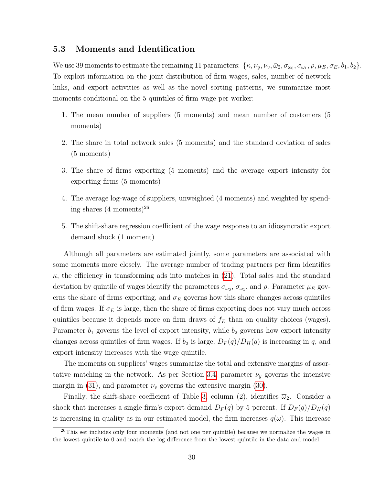#### 5.3 Moments and Identification

We use 39 moments to estimate the remaining 11 parameters:  $\{\kappa, \nu_y, \nu_v, \bar{\omega}_2, \sigma_{\omega_0}, \sigma_{\omega_1}, \rho, \mu_E, \sigma_E, b_1, b_2\}.$ To exploit information on the joint distribution of firm wages, sales, number of network links, and export activities as well as the novel sorting patterns, we summarize most moments conditional on the 5 quintiles of firm wage per worker:

- 1. The mean number of suppliers (5 moments) and mean number of customers (5 moments)
- 2. The share in total network sales (5 moments) and the standard deviation of sales (5 moments)
- 3. The share of firms exporting (5 moments) and the average export intensity for exporting firms (5 moments)
- 4. The average log-wage of suppliers, unweighted (4 moments) and weighted by spending shares  $(4 \text{ moments})^{26}$
- 5. The shift-share regression coefficient of the wage response to an idiosyncratic export demand shock (1 moment)

Although all parameters are estimated jointly, some parameters are associated with some moments more closely. The average number of trading partners per firm identifies  $\kappa$ , the efficiency in transforming ads into matches in [\(21\)](#page-22-4). Total sales and the standard deviation by quintile of wages identify the parameters  $\sigma_{\omega_0}$ ,  $\sigma_{\omega_1}$ , and  $\rho$ . Parameter  $\mu_E$  governs the share of firms exporting, and  $\sigma_E$  governs how this share changes across quintiles of firm wages. If  $\sigma_E$  is large, then the share of firms exporting does not vary much across quintiles because it depends more on firm draws of  $f_E$  than on quality choices (wages). Parameter  $b_1$  governs the level of export intensity, while  $b_2$  governs how export intensity changes across quintiles of firm wages. If  $b_2$  is large,  $D_F(q)/D_H(q)$  is increasing in q, and export intensity increases with the wage quintile.

The moments on suppliers' wages summarize the total and extensive margins of assor-tative matching in the network. As per Section [3.4,](#page-25-0) parameter  $\nu_y$  governs the intensive margin in [\(31\)](#page-25-3), and parameter  $\nu_v$  governs the extensive margin [\(30\)](#page-25-2).

Finally, the shift-share coefficient of Table [3,](#page-13-0) column (2), identifies  $\overline{\omega}_2$ . Consider a shock that increases a single firm's export demand  $D_F(q)$  by 5 percent. If  $D_F(q)/D_H(q)$ is increasing in quality as in our estimated model, the firm increases  $q(\omega)$ . This increase

 $^{26}$ This set includes only four moments (and not one per quintile) because we normalize the wages in the lowest quintile to 0 and match the log difference from the lowest quintile in the data and model.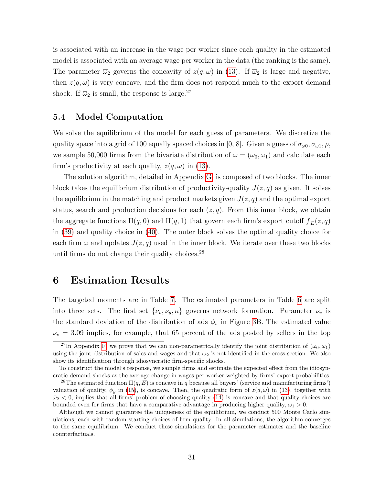is associated with an increase in the wage per worker since each quality in the estimated model is associated with an average wage per worker in the data (the ranking is the same). The parameter  $\overline{\omega}_2$  governs the concavity of  $z(q,\omega)$  in [\(13\)](#page-19-2). If  $\overline{\omega}_2$  is large and negative, then  $z(q,\omega)$  is very concave, and the firm does not respond much to the export demand shock. If  $\overline{\omega}_2$  is small, the response is large.<sup>27</sup>

### 5.4 Model Computation

We solve the equilibrium of the model for each guess of parameters. We discretize the quality space into a grid of 100 equally spaced choices in [0, 8]. Given a guess of  $\sigma_{\omega 0}, \sigma_{\omega 1}, \rho$ , we sample 50,000 firms from the bivariate distribution of  $\omega = (\omega_0, \omega_1)$  and calculate each firm's productivity at each quality,  $z(q, \omega)$  in [\(13\)](#page-19-2).

The solution algorithm, detailed in Appendix [G,](#page-74-0) is composed of two blocks. The inner block takes the equilibrium distribution of productivity-quality  $J(z, q)$  as given. It solves the equilibrium in the matching and product markets given  $J(z, q)$  and the optimal export status, search and production decisions for each  $(z, q)$ . From this inner block, we obtain the aggregate functions  $\Pi(q, 0)$  and  $\Pi(q, 1)$  that govern each firm's export cutoff  $f_E(z, q)$ in [\(39\)](#page-29-1) and quality choice in [\(40\)](#page-29-2). The outer block solves the optimal quality choice for each firm  $\omega$  and updates  $J(z, q)$  used in the inner block. We iterate over these two blocks until firms do not change their quality choices. $^{28}$ 

## <span id="page-32-0"></span>6 Estimation Results

The targeted moments are in Table [7.](#page-34-0) The estimated parameters in Table [6](#page-33-0) are split into three sets. The first set  $\{\nu_v, \nu_y, \kappa\}$  governs network formation. Parameter  $\nu_v$  is the standard deviation of the distribution of ads  $\phi_v$  in Figure [3B](#page-21-0). The estimated value  $\nu_v = 3.09$  implies, for example, that 65 percent of the ads posted by sellers in the top

<sup>&</sup>lt;sup>27</sup>In Appendix [F,](#page-72-0) we prove that we can non-parametrically identify the joint distribution of  $(\omega_0, \omega_1)$ using the joint distribution of sales and wages and that  $\overline{\omega}_2$  is not identified in the cross-section. We also show its identification through idiosyncratic firm-specific shocks.

To construct the model's response, we sample firms and estimate the expected effect from the idiosyncratic demand shocks as the average change in wages per worker weighted by firms' export probabilities.

<sup>&</sup>lt;sup>28</sup>The estimated function  $\Pi(q, E)$  is concave in q because all buyers' (service and manufacturing firms') valuation of quality,  $\phi_y$  in [\(15\)](#page-20-1), is concave. Then, the quadratic form of  $z(q,\omega)$  in [\(13\)](#page-19-2), together with  $\bar{\omega}_2$  < 0, implies that all firms' problem of choosing quality [\(14\)](#page-19-0) is concave and that quality choices are bounded even for firms that have a comparative advantage in producing higher quality,  $\omega_1 > 0$ .

Although we cannot guarantee the uniqueness of the equilibrium, we conduct 500 Monte Carlo simulations, each with random starting choices of firm quality. In all simulations, the algorithm converges to the same equilibrium. We conduct these simulations for the parameter estimates and the baseline counterfactuals.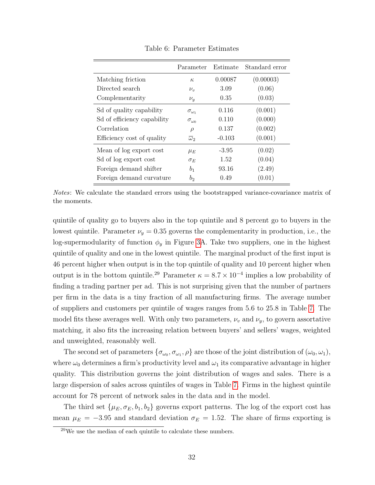<span id="page-33-0"></span>

|                              | Parameter             | Estimate | Standard error |
|------------------------------|-----------------------|----------|----------------|
| Matching friction            | $\kappa$              | 0.00087  | (0.00003)      |
| Directed search              | $\nu_{\nu}$           | 3.09     | (0.06)         |
| Complementarity              | $\nu_y$               | 0.35     | (0.03)         |
| Sol of quality capability    | $\sigma_{\omega_1}$   | 0.116    | (0.001)        |
| Sol of efficiency capability | $\sigma_{\omega 0}$   | 0.110    | (0.000)        |
| Correlation                  | $\rho$                | 0.137    | (0.002)        |
| Efficiency cost of quality   | $\overline{\omega}_2$ | $-0.103$ | (0.001)        |
| Mean of log export cost      | $\mu_E$               | $-3.95$  | (0.02)         |
| Sd of log export cost        | $\sigma_E$            | 1.52     | (0.04)         |
| Foreign demand shifter       | b <sub>1</sub>        | 93.16    | (2.49)         |
| Foreign demand curvature     | $b_2$                 | 0.49     | (0.01)         |

Table 6: Parameter Estimates

Notes: We calculate the standard errors using the bootstrapped variance-covariance matrix of the moments.

quintile of quality go to buyers also in the top quintile and 8 percent go to buyers in the lowest quintile. Parameter  $\nu_y = 0.35$  governs the complementarity in production, i.e., the log-supermodularity of function  $\phi_y$  in Figure [3A](#page-21-0). Take two suppliers, one in the highest quintile of quality and one in the lowest quintile. The marginal product of the first input is 46 percent higher when output is in the top quintile of quality and 10 percent higher when output is in the bottom quintile.<sup>29</sup> Parameter  $\kappa = 8.7 \times 10^{-4}$  implies a low probability of finding a trading partner per ad. This is not surprising given that the number of partners per firm in the data is a tiny fraction of all manufacturing firms. The average number of suppliers and customers per quintile of wages ranges from 5.6 to 25.8 in Table [7.](#page-34-0) The model fits these averages well. With only two parameters,  $\nu_v$  and  $\nu_y$ , to govern assortative matching, it also fits the increasing relation between buyers' and sellers' wages, weighted and unweighted, reasonably well.

The second set of parameters  $\{\sigma_{\omega_0}, \sigma_{\omega_1}, \rho\}$  are those of the joint distribution of  $(\omega_0, \omega_1)$ , where  $\omega_0$  determines a firm's productivity level and  $\omega_1$  its comparative advantage in higher quality. This distribution governs the joint distribution of wages and sales. There is a large dispersion of sales across quintiles of wages in Table [7.](#page-34-0) Firms in the highest quintile account for 78 percent of network sales in the data and in the model.

The third set  $\{\mu_E, \sigma_E, b_1, b_2\}$  governs export patterns. The log of the export cost has mean  $\mu_E = -3.95$  and standard deviation  $\sigma_E = 1.52$ . The share of firms exporting is

 $29$ We use the median of each quintile to calculate these numbers.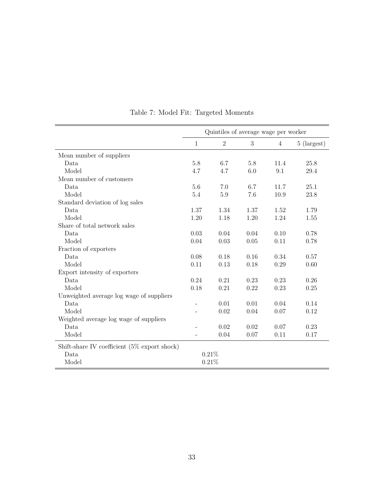<span id="page-34-0"></span>

|                                                 | Quintiles of average wage per worker |                |      |                |             |
|-------------------------------------------------|--------------------------------------|----------------|------|----------------|-------------|
|                                                 | $\mathbf{1}$                         | $\overline{2}$ | 3    | $\overline{4}$ | 5 (largest) |
| Mean number of suppliers                        |                                      |                |      |                |             |
| Data                                            | $5.8\,$                              | 6.7            | 5.8  | 11.4           | 25.8        |
| Model                                           | 4.7                                  | 4.7            | 6.0  | 9.1            | 29.4        |
| Mean number of customers                        |                                      |                |      |                |             |
| Data                                            | 5.6                                  | 7.0            | 6.7  | 11.7           | 25.1        |
| Model                                           | 5.4                                  | $5.9\,$        | 7.6  | 10.9           | 23.8        |
| Standard deviation of log sales                 |                                      |                |      |                |             |
| Data                                            | 1.37                                 | 1.34           | 1.37 | 1.52           | 1.79        |
| Model                                           | 1.20                                 | 1.18           | 1.20 | 1.24           | 1.55        |
| Share of total network sales                    |                                      |                |      |                |             |
| Data                                            | 0.03                                 | 0.04           | 0.04 | 0.10           | 0.78        |
| Model                                           | 0.04                                 | 0.03           | 0.05 | 0.11           | 0.78        |
| Fraction of exporters                           |                                      |                |      |                |             |
| Data                                            | 0.08                                 | 0.18           | 0.16 | 0.34           | 0.57        |
| Model                                           | 0.11                                 | 0.13           | 0.18 | 0.29           | 0.60        |
| Export intensity of exporters                   |                                      |                |      |                |             |
| Data                                            | 0.24                                 | 0.21           | 0.23 | 0.23           | 0.26        |
| Model                                           | 0.18                                 | 0.21           | 0.22 | 0.23           | 0.25        |
| Unweighted average log wage of suppliers        |                                      |                |      |                |             |
| Data                                            | $\overline{\phantom{0}}$             | 0.01           | 0.01 | 0.04           | 0.14        |
| Model                                           |                                      | 0.02           | 0.04 | 0.07           | 0.12        |
| Weighted average log wage of suppliers          |                                      |                |      |                |             |
| Data                                            |                                      | 0.02           | 0.02 | 0.07           | 0.23        |
| Model                                           | $\overline{\phantom{0}}$             | 0.04           | 0.07 | 0.11           | 0.17        |
| Shift-share IV coefficient $(5\%$ export shock) |                                      |                |      |                |             |
| Data                                            |                                      | $0.21\%$       |      |                |             |
| Model                                           |                                      | 0.21%          |      |                |             |

Table 7: Model Fit: Targeted Moments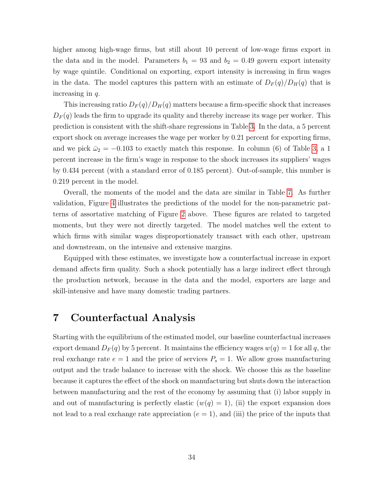higher among high-wage firms, but still about 10 percent of low-wage firms export in the data and in the model. Parameters  $b_1 = 93$  and  $b_2 = 0.49$  govern export intensity by wage quintile. Conditional on exporting, export intensity is increasing in firm wages in the data. The model captures this pattern with an estimate of  $D_F(q)/D_H(q)$  that is increasing in  $q$ .

This increasing ratio  $D_F(q)/D_H(q)$  matters because a firm-specific shock that increases  $D_F(q)$  leads the firm to upgrade its quality and thereby increase its wage per worker. This prediction is consistent with the shift-share regressions in Table [3.](#page-13-0) In the data, a 5 percent export shock on average increases the wage per worker by 0.21 percent for exporting firms, and we pick  $\bar{\omega}_2 = -0.103$  to exactly match this response. In column (6) of Table [3,](#page-13-0) a 1 percent increase in the firm's wage in response to the shock increases its suppliers' wages by 0.434 percent (with a standard error of 0.185 percent). Out-of-sample, this number is 0.219 percent in the model.

Overall, the moments of the model and the data are similar in Table [7.](#page-34-0) As further validation, Figure [4](#page-36-0) illustrates the predictions of the model for the non-parametric patterns of assortative matching of Figure [2](#page-10-0) above. These figures are related to targeted moments, but they were not directly targeted. The model matches well the extent to which firms with similar wages disproportionately transact with each other, upstream and downstream, on the intensive and extensive margins.

Equipped with these estimates, we investigate how a counterfactual increase in export demand affects firm quality. Such a shock potentially has a large indirect effect through the production network, because in the data and the model, exporters are large and skill-intensive and have many domestic trading partners.

# <span id="page-35-0"></span>7 Counterfactual Analysis

Starting with the equilibrium of the estimated model, our baseline counterfactual increases export demand  $D_F(q)$  by 5 percent. It maintains the efficiency wages  $w(q) = 1$  for all q, the real exchange rate  $e = 1$  and the price of services  $P_s = 1$ . We allow gross manufacturing output and the trade balance to increase with the shock. We choose this as the baseline because it captures the effect of the shock on manufacturing but shuts down the interaction between manufacturing and the rest of the economy by assuming that (i) labor supply in and out of manufacturing is perfectly elastic  $(w(q) = 1)$ , (ii) the export expansion does not lead to a real exchange rate appreciation  $(e = 1)$ , and (iii) the price of the inputs that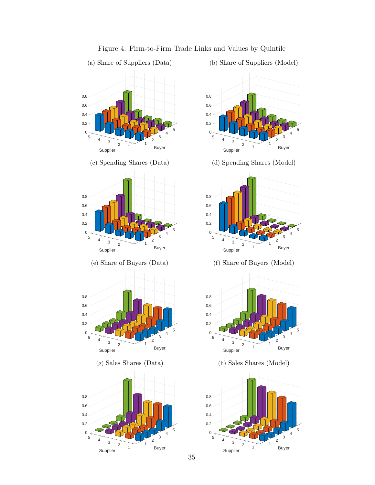

#### Figure 4: Firm-to-Firm Trade Links and Values by Quintile



Buyer

(b) Share of Suppliers (Model)

35

Supplier

 $\overline{2}$ 

2  $\sim$  1 1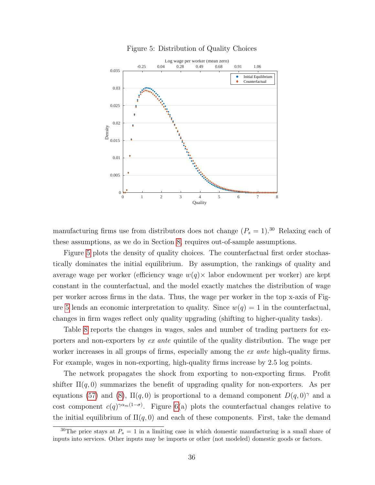<span id="page-37-0"></span>

Figure 5: Distribution of Quality Choices

manufacturing firms use from distributors does not change  $(P_s = 1)$ .<sup>30</sup> Relaxing each of these assumptions, as we do in Section [8,](#page-40-0) requires out-of-sample assumptions.

Figure [5](#page-37-0) plots the density of quality choices. The counterfactual first order stochastically dominates the initial equilibrium. By assumption, the rankings of quality and average wage per worker (efficiency wage  $w(q) \times$  labor endowment per worker) are kept constant in the counterfactual, and the model exactly matches the distribution of wage per worker across firms in the data. Thus, the wage per worker in the top x-axis of Fig-ure [5](#page-37-0) lends an economic interpretation to quality. Since  $w(q) = 1$  in the counterfactual, changes in firm wages reflect only quality upgrading (shifting to higher-quality tasks).

Table [8](#page-38-0) reports the changes in wages, sales and number of trading partners for exporters and non-exporters by ex ante quintile of the quality distribution. The wage per worker increases in all groups of firms, especially among the ex ante high-quality firms. For example, wages in non-exporting, high-quality firms increase by 2.5 log points.

The network propagates the shock from exporting to non-exporting firms. Profit shifter  $\Pi(q, 0)$  summarizes the benefit of upgrading quality for non-exporters. As per equations [\(57\)](#page-69-0) and [\(8\)](#page-18-0),  $\Pi(q, 0)$  is proportional to a demand component  $D(q, 0)^\gamma$  and a cost component  $c(q)^{\gamma \alpha_m(1-\sigma)}$ . Figure [6\(](#page-38-1)a) plots the counterfactual changes relative to the initial equilibrium of  $\Pi(q, 0)$  and each of these components. First, take the demand

<sup>&</sup>lt;sup>30</sup>The price stays at  $P_s = 1$  in a limiting case in which domestic manufacturing is a small share of inputs into services. Other inputs may be imports or other (not modeled) domestic goods or factors.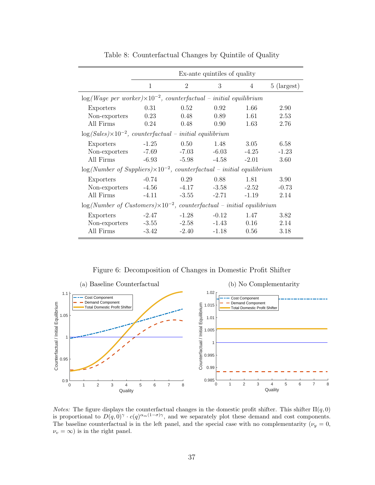<span id="page-38-0"></span>

|                                                                                     | Ex-ante quintiles of quality |                |         |                |               |
|-------------------------------------------------------------------------------------|------------------------------|----------------|---------|----------------|---------------|
|                                                                                     | 1                            | $\overline{2}$ | 3       | $\overline{4}$ | $5$ (largest) |
| $\log(Wage\ per\ worker) \times 10^{-2}$ , counterfactual – initial equilibrium     |                              |                |         |                |               |
| Exporters                                                                           | 0.31                         | 0.52           | 0.92    | 1.66           | 2.90          |
| Non-exporters                                                                       | 0.23                         | 0.48           | 0.89    | 1.61           | 2.53          |
| All Firms                                                                           | 0.24                         | 0.48           | 0.90    | 1.63           | 2.76          |
| $\log(Sales) \times 10^{-2}$ , counterfactual – initial equilibrium                 |                              |                |         |                |               |
| Exporters                                                                           | $-1.25$                      | 0.50           | 1.48    | 3.05           | 6.58          |
| Non-exporters                                                                       | -7.69                        | $-7.03$        | $-6.03$ | $-4.25$        | $-1.23$       |
| All Firms                                                                           | $-6.93$                      | $-5.98$        | $-4.58$ | $-2.01$        | 3.60          |
| $\log(Number$ of Suppliers) $\times 10^{-2}$ , counterfactual – initial equilibrium |                              |                |         |                |               |
| Exporters                                                                           | $-0.74$                      | 0.29           | 0.88    | 1.81           | 3.90          |
| Non-exporters                                                                       | $-4.56$                      | -4.17          | $-3.58$ | $-2.52$        | $-0.73$       |
| All Firms                                                                           | $-4.11$                      | $-3.55$        | $-2.71$ | $-1.19$        | 2.14          |
| $\log(Number$ of Customers $)\times 10^{-2}$ , counterfactual – initial equilibrium |                              |                |         |                |               |
| Exporters                                                                           | $-2.47$                      | $-1.28$        | $-0.12$ | 1.47           | 3.82          |
| Non-exporters                                                                       | $-3.55$                      | $-2.58$        | $-1.43$ | 0.16           | 2.14          |
| All Firms                                                                           | $-3.42$                      | $-2.40$        | -1.18   | 0.56           | 3.18          |

Table 8: Counterfactual Changes by Quintile of Quality

Figure 6: Decomposition of Changes in Domestic Profit Shifter

<span id="page-38-1"></span>

*Notes:* The figure displays the counterfactual changes in the domestic profit shifter. This shifter  $\Pi(q, 0)$ is proportional to  $D(q,0)^\gamma \cdot c(q)^{\alpha_m(1-\sigma)\gamma}$ , and we separately plot these demand and cost components. The baseline counterfactual is in the left panel, and the special case with no complementarity  $(\nu_y = 0,$  $\nu_v = \infty$ ) is in the right panel.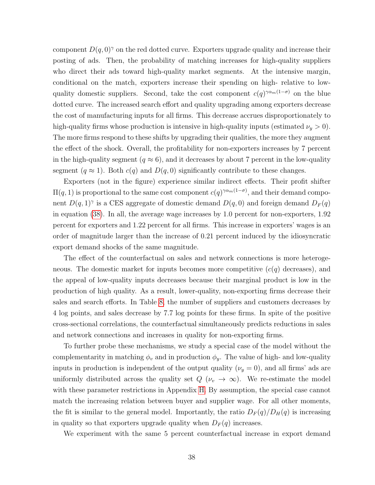component  $D(q, 0)^\gamma$  on the red dotted curve. Exporters upgrade quality and increase their posting of ads. Then, the probability of matching increases for high-quality suppliers who direct their ads toward high-quality market segments. At the intensive margin, conditional on the match, exporters increase their spending on high- relative to lowquality domestic suppliers. Second, take the cost component  $c(q)^{\gamma \alpha_m(1-\sigma)}$  on the blue dotted curve. The increased search effort and quality upgrading among exporters decrease the cost of manufacturing inputs for all firms. This decrease accrues disproportionately to high-quality firms whose production is intensive in high-quality inputs (estimated  $\nu_y > 0$ ). The more firms respond to these shifts by upgrading their qualities, the more they augment the effect of the shock. Overall, the profitability for non-exporters increases by 7 percent in the high-quality segment ( $q \approx 6$ ), and it decreases by about 7 percent in the low-quality segment  $(q \approx 1)$ . Both  $c(q)$  and  $D(q, 0)$  significantly contribute to these changes.

Exporters (not in the figure) experience similar indirect effects. Their profit shifter  $\Pi(q, 1)$  is proportional to the same cost component  $c(q)^{\gamma \alpha_m(1-\sigma)}$ , and their demand component  $D(q, 1)$ <sup>γ</sup> is a CES aggregate of domestic demand  $D(q, 0)$  and foreign demand  $D<sub>F</sub>(q)$ in equation [\(38\)](#page-28-0). In all, the average wage increases by 1.0 percent for non-exporters, 1.92 percent for exporters and 1.22 percent for all firms. This increase in exporters' wages is an order of magnitude larger than the increase of 0.21 percent induced by the idiosyncratic export demand shocks of the same magnitude.

The effect of the counterfactual on sales and network connections is more heterogeneous. The domestic market for inputs becomes more competitive  $(c(q)$  decreases), and the appeal of low-quality inputs decreases because their marginal product is low in the production of high quality. As a result, lower-quality, non-exporting firms decrease their sales and search efforts. In Table [8,](#page-38-0) the number of suppliers and customers decreases by 4 log points, and sales decrease by 7.7 log points for these firms. In spite of the positive cross-sectional correlations, the counterfactual simultaneously predicts reductions in sales and network connections and increases in quality for non-exporting firms.

To further probe these mechanisms, we study a special case of the model without the complementarity in matching  $\phi_v$  and in production  $\phi_y$ . The value of high- and low-quality inputs in production is independent of the output quality ( $\nu_y = 0$ ), and all firms' ads are uniformly distributed across the quality set  $Q(\nu_v \to \infty)$ . We re-estimate the model with these parameter restrictions in Appendix [H.](#page-77-0) By assumption, the special case cannot match the increasing relation between buyer and supplier wage. For all other moments, the fit is similar to the general model. Importantly, the ratio  $D_F(q)/D_H(q)$  is increasing in quality so that exporters upgrade quality when  $D_F(q)$  increases.

We experiment with the same 5 percent counterfactual increase in export demand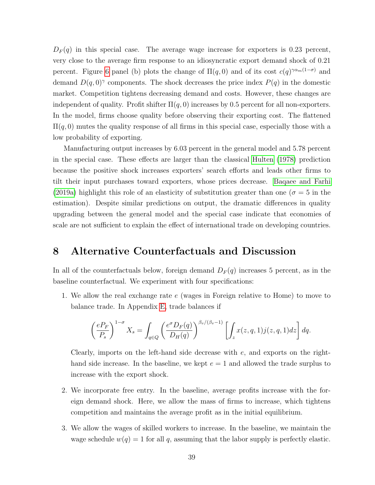$D_F(q)$  in this special case. The average wage increase for exporters is 0.23 percent, very close to the average firm response to an idiosyncratic export demand shock of 0.21 percent. Figure [6](#page-38-1) panel (b) plots the change of  $\Pi(q,0)$  and of its cost  $c(q)^{\gamma \alpha_m(1-\sigma)}$  and demand  $D(q, 0)^\gamma$  components. The shock decreases the price index  $P(q)$  in the domestic market. Competition tightens decreasing demand and costs. However, these changes are independent of quality. Profit shifter  $\Pi(q, 0)$  increases by 0.5 percent for all non-exporters. In the model, firms choose quality before observing their exporting cost. The flattened  $\Pi(q, 0)$  mutes the quality response of all firms in this special case, especially those with a low probability of exporting.

Manufacturing output increases by 6.03 percent in the general model and 5.78 percent in the special case. These effects are larger than the classical [Hulten \(1978\)](#page-46-0) prediction because the positive shock increases exporters' search efforts and leads other firms to tilt their input purchases toward exporters, whose prices decrease. [Baqaee and Farhi](#page-44-0) [\(2019a\)](#page-44-0) highlight this role of an elasticity of substitution greater than one ( $\sigma = 5$  in the estimation). Despite similar predictions on output, the dramatic differences in quality upgrading between the general model and the special case indicate that economies of scale are not sufficient to explain the effect of international trade on developing countries.

### <span id="page-40-0"></span>8 Alternative Counterfactuals and Discussion

In all of the counterfactuals below, foreign demand  $D_F(q)$  increases 5 percent, as in the baseline counterfactual. We experiment with four specifications:

1. We allow the real exchange rate e (wages in Foreign relative to Home) to move to balance trade. In Appendix [E,](#page-69-1) trade balances if

$$
\left(\frac{eP_F}{P_s}\right)^{1-\sigma} X_s = \int_{q\in Q} \left(\frac{e^{\sigma} D_F(q)}{D_H(q)}\right)^{\beta_v/(\beta_v-1)} \left[\int_z x(z,q,1)j(z,q,1)dz\right]dq.
$$

Clearly, imports on the left-hand side decrease with e, and exports on the righthand side increase. In the baseline, we kept  $e = 1$  and allowed the trade surplus to increase with the export shock.

- 2. We incorporate free entry. In the baseline, average profits increase with the foreign demand shock. Here, we allow the mass of firms to increase, which tightens competition and maintains the average profit as in the initial equilibrium.
- 3. We allow the wages of skilled workers to increase. In the baseline, we maintain the wage schedule  $w(q) = 1$  for all q, assuming that the labor supply is perfectly elastic.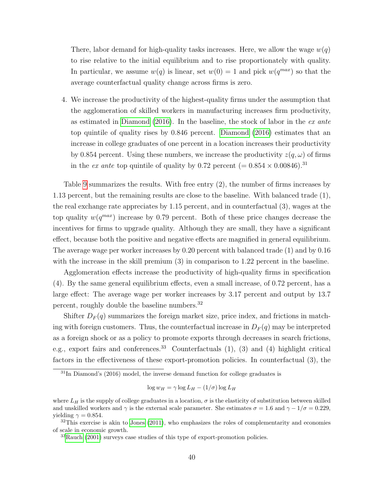There, labor demand for high-quality tasks increases. Here, we allow the wage  $w(q)$ to rise relative to the initial equilibrium and to rise proportionately with quality. In particular, we assume  $w(q)$  is linear, set  $w(0) = 1$  and pick  $w(q^{max})$  so that the average counterfactual quality change across firms is zero.

4. We increase the productivity of the highest-quality firms under the assumption that the agglomeration of skilled workers in manufacturing increases firm productivity, as estimated in Diamond  $(2016)$ . In the baseline, the stock of labor in the *ex ante* top quintile of quality rises by 0.846 percent. [Diamond \(2016\)](#page-45-0) estimates that an increase in college graduates of one percent in a location increases their productivity by 0.854 percent. Using these numbers, we increase the productivity  $z(q,\omega)$  of firms in the ex ante top quintile of quality by 0.72 percent (=  $0.854 \times 0.00846$ ).<sup>31</sup>

Table [9](#page-42-0) summarizes the results. With free entry (2), the number of firms increases by 1.13 percent, but the remaining results are close to the baseline. With balanced trade (1), the real exchange rate appreciates by 1.15 percent, and in counterfactual (3), wages at the top quality  $w(q^{max})$  increase by 0.79 percent. Both of these price changes decrease the incentives for firms to upgrade quality. Although they are small, they have a significant effect, because both the positive and negative effects are magnified in general equilibrium. The average wage per worker increases by 0.20 percent with balanced trade (1) and by 0.16 with the increase in the skill premium  $(3)$  in comparison to 1.22 percent in the baseline.

Agglomeration effects increase the productivity of high-quality firms in specification (4). By the same general equilibrium effects, even a small increase, of 0.72 percent, has a large effect: The average wage per worker increases by 3.17 percent and output by 13.7 percent, roughly double the baseline numbers.<sup>32</sup>

Shifter  $D_F(q)$  summarizes the foreign market size, price index, and frictions in matching with foreign customers. Thus, the counterfactual increase in  $D_F(q)$  may be interpreted as a foreign shock or as a policy to promote exports through decreases in search frictions, e.g., export fairs and conferences.<sup>33</sup> Counterfactuals  $(1)$ ,  $(3)$  and  $(4)$  highlight critical factors in the effectiveness of these export-promotion policies. In counterfactual (3), the

$$
\log w_H = \gamma \log L_H - (1/\sigma) \log L_H
$$

 $31$ In Diamond's (2016) model, the inverse demand function for college graduates is

where  $L_H$  is the supply of college graduates in a location,  $\sigma$  is the elasticity of substitution between skilled and unskilled workers and  $\gamma$  is the external scale parameter. She estimates  $\sigma = 1.6$  and  $\gamma - 1/\sigma = 0.229$ , vielding  $\gamma = 0.854$ .

 $32$ This exercise is akin to [Jones](#page-46-1) [\(2011\)](#page-46-1), who emphasizes the roles of complementarity and economies of scale in economic growth.

<sup>33</sup>[Rauch](#page-47-0) [\(2001\)](#page-47-0) surveys case studies of this type of export-promotion policies.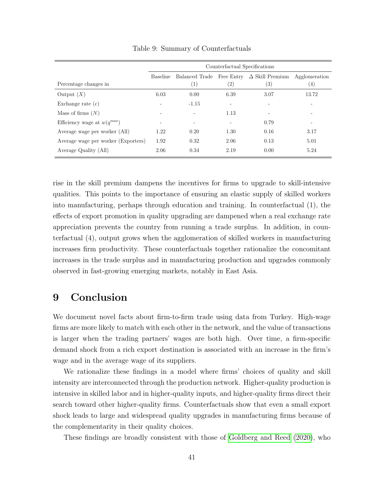<span id="page-42-0"></span>

|                                     | Counterfactual Specifications |                          |                   |                              |                   |
|-------------------------------------|-------------------------------|--------------------------|-------------------|------------------------------|-------------------|
|                                     | Baseline                      | Balanced Trade           | Free Entry        | $\Delta$ Skill Premium       | Agglomeration     |
| Percentage changes in               |                               | (1)                      | $\left( 2\right)$ | (3)                          | $\left( 4\right)$ |
| Output $(X)$                        | 6.03                          | 0.00                     | 6.39              | 3.07                         | 13.72             |
| Exchange rate $(e)$                 | ۰                             | $-1.15$                  |                   |                              |                   |
| Mass of firms $(N)$                 | $\overline{\phantom{0}}$      | $\sim$                   | 1.13              | $\qquad \qquad \blacksquare$ |                   |
| Efficiency wage at $w(q^{max})$     | $\overline{\phantom{a}}$      | $\overline{\phantom{a}}$ |                   | 0.79                         |                   |
| Average wage per worker (All)       | 1.22                          | 0.20                     | 1.30              | 0.16                         | 3.17              |
| Average wage per worker (Exporters) | 1.92                          | 0.32                     | 2.06              | 0.13                         | 5.01              |
| Average Quality (All)               | 2.06                          | 0.34                     | 2.19              | 0.00                         | 5.24              |

Table 9: Summary of Counterfactuals

rise in the skill premium dampens the incentives for firms to upgrade to skill-intensive qualities. This points to the importance of ensuring an elastic supply of skilled workers into manufacturing, perhaps through education and training. In counterfactual (1), the effects of export promotion in quality upgrading are dampened when a real exchange rate appreciation prevents the country from running a trade surplus. In addition, in counterfactual (4), output grows when the agglomeration of skilled workers in manufacturing increases firm productivity. These counterfactuals together rationalize the concomitant increases in the trade surplus and in manufacturing production and upgrades commonly observed in fast-growing emerging markets, notably in East Asia.

## 9 Conclusion

We document novel facts about firm-to-firm trade using data from Turkey. High-wage firms are more likely to match with each other in the network, and the value of transactions is larger when the trading partners' wages are both high. Over time, a firm-specific demand shock from a rich export destination is associated with an increase in the firm's wage and in the average wage of its suppliers.

We rationalize these findings in a model where firms' choices of quality and skill intensity are interconnected through the production network. Higher-quality production is intensive in skilled labor and in higher-quality inputs, and higher-quality firms direct their search toward other higher-quality firms. Counterfactuals show that even a small export shock leads to large and widespread quality upgrades in manufacturing firms because of the complementarity in their quality choices.

These findings are broadly consistent with those of [Goldberg and Reed \(2020\)](#page-46-2), who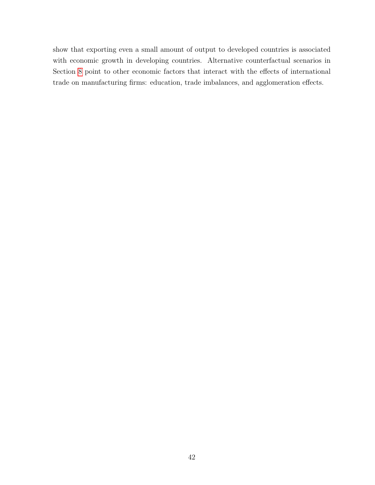show that exporting even a small amount of output to developed countries is associated with economic growth in developing countries. Alternative counterfactual scenarios in Section [8](#page-40-0) point to other economic factors that interact with the effects of international trade on manufacturing firms: education, trade imbalances, and agglomeration effects.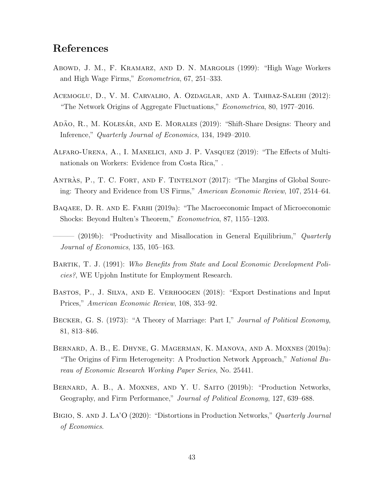## References

- <span id="page-44-1"></span>Abowd, J. M., F. Kramarz, and D. N. Margolis (1999): "High Wage Workers and High Wage Firms," Econometrica, 67, 251–333.
- Acemoglu, D., V. M. Carvalho, A. Ozdaglar, and A. Tahbaz-Salehi (2012): "The Network Origins of Aggregate Fluctuations," Econometrica, 80, 1977–2016.
- <span id="page-44-3"></span>ADÃO, R., M. KOLESÁR, AND E. MORALES (2019): "Shift-Share Designs: Theory and Inference," Quarterly Journal of Economics, 134, 1949–2010.
- <span id="page-44-4"></span>Alfaro-Urena, A., I. Manelici, and J. P. Vasquez (2019): "The Effects of Multinationals on Workers: Evidence from Costa Rica," .
- ANTRAS, P., T. C. FORT, AND F. TINTELNOT (2017): "The Margins of Global Sourcing: Theory and Evidence from US Firms," American Economic Review, 107, 2514–64.
- <span id="page-44-0"></span>BAQAEE, D. R. AND E. FARHI (2019a): "The Macroeconomic Impact of Microeconomic Shocks: Beyond Hulten's Theorem," Econometrica, 87, 1155–1203.
- (2019b): "Productivity and Misallocation in General Equilibrium," Quarterly Journal of Economics, 135, 105–163.
- Bartik, T. J. (1991): Who Benefits from State and Local Economic Development Policies?, WE Upjohn Institute for Employment Research.
- Bastos, P., J. Silva, and E. Verhoogen (2018): "Export Destinations and Input Prices," American Economic Review, 108, 353–92.
- <span id="page-44-2"></span>BECKER, G. S. (1973): "A Theory of Marriage: Part I," Journal of Political Economy, 81, 813–846.
- Bernard, A. B., E. Dhyne, G. Magerman, K. Manova, and A. Moxnes (2019a): "The Origins of Firm Heterogeneity: A Production Network Approach," National Bureau of Economic Research Working Paper Series, No. 25441.
- Bernard, A. B., A. Moxnes, and Y. U. Saito (2019b): "Production Networks, Geography, and Firm Performance," Journal of Political Economy, 127, 639–688.
- BIGIO, S. AND J. LA'O (2020): "Distortions in Production Networks," Quarterly Journal of Economics.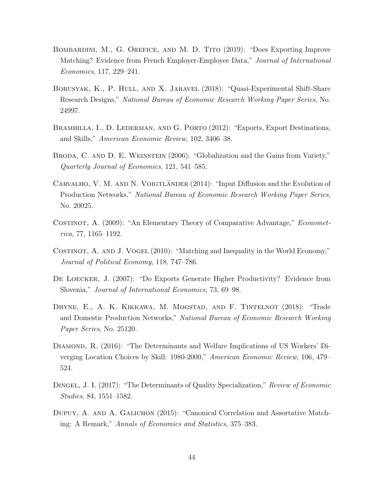- <span id="page-45-1"></span>Bombardini, M., G. Orefice, and M. D. Tito (2019): "Does Exporting Improve Matching? Evidence from French Employer-Employee Data," Journal of International Economics, 117, 229–241.
- <span id="page-45-3"></span>BORUSYAK, K., P. HULL, AND X. JARAVEL (2018): "Quasi-Experimental Shift-Share Research Designs," National Bureau of Economic Research Working Paper Series, No. 24997.
- BRAMBILLA, I., D. LEDERMAN, AND G. PORTO (2012): "Exports, Export Destinations, and Skills," American Economic Review, 102, 3406–38.
- BRODA, C. AND D. E. WEINSTEIN (2006): "Globalization and the Gains from Variety," Quarterly Journal of Economics, 121, 541–585.
- CARVALHO, V. M. AND N. VOIGTLANDER (2014): "Input Diffusion and the Evolution of Production Networks," National Bureau of Economic Research Working Paper Series, No. 20025.
- COSTINOT, A. (2009): "An Elementary Theory of Comparative Advantage," *Economet*rica, 77, 1165–1192.
- COSTINOT, A. AND J. VOGEL (2010): "Matching and Inequality in the World Economy," Journal of Political Economy, 118, 747–786.
- De Loecker, J. (2007): "Do Exports Generate Higher Productivity? Evidence from Slovenia," Journal of International Economics, 73, 69–98.
- Dhyne, E., A. K. Kikkawa, M. Mogstad, and F. Tintelnot (2018): "Trade and Domestic Production Networks," National Bureau of Economic Research Working Paper Series, No. 25120.
- <span id="page-45-0"></span>Diamond, R. (2016): "The Determinants and Welfare Implications of US Workers' Diverging Location Choices by Skill: 1980-2000," American Economic Review, 106, 479– 524.
- Dingel, J. I. (2017): "The Determinants of Quality Specialization," Review of Economic Studies, 84, 1551–1582.
- <span id="page-45-2"></span>DUPUY, A. AND A. GALICHON (2015): "Canonical Correlation and Assortative Matching: A Remark," Annals of Economics and Statistics, 375–383.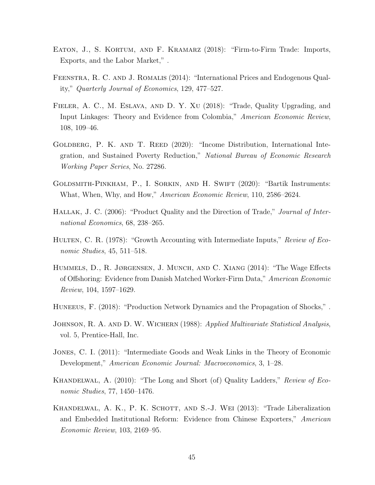- EATON, J., S. KORTUM, AND F. KRAMARZ (2018): "Firm-to-Firm Trade: Imports, Exports, and the Labor Market," .
- Feenstra, R. C. and J. Romalis (2014): "International Prices and Endogenous Quality," Quarterly Journal of Economics, 129, 477–527.
- Fieler, A. C., M. Eslava, and D. Y. Xu (2018): "Trade, Quality Upgrading, and Input Linkages: Theory and Evidence from Colombia," American Economic Review, 108, 109–46.
- <span id="page-46-2"></span>GOLDBERG, P. K. AND T. REED (2020): "Income Distribution, International Integration, and Sustained Poverty Reduction," National Bureau of Economic Research Working Paper Series, No. 27286.
- Goldsmith-Pinkham, P., I. Sorkin, and H. Swift (2020): "Bartik Instruments: What, When, Why, and How," American Economic Review, 110, 2586–2624.
- HALLAK, J. C. (2006): "Product Quality and the Direction of Trade," Journal of International Economics, 68, 238–265.
- <span id="page-46-0"></span>HULTEN, C. R. (1978): "Growth Accounting with Intermediate Inputs," Review of Economic Studies, 45, 511–518.
- Hummels, D., R. Jørgensen, J. Munch, and C. Xiang (2014): "The Wage Effects of Offshoring: Evidence from Danish Matched Worker-Firm Data," American Economic Review, 104, 1597–1629.
- Huneeus, F. (2018): "Production Network Dynamics and the Propagation of Shocks," .
- <span id="page-46-4"></span>JOHNSON, R. A. AND D. W. WICHERN (1988): Applied Multivariate Statistical Analysis, vol. 5, Prentice-Hall, Inc.
- <span id="page-46-1"></span>Jones, C. I. (2011): "Intermediate Goods and Weak Links in the Theory of Economic Development," American Economic Journal: Macroeconomics, 3, 1–28.
- KHANDELWAL, A. (2010): "The Long and Short (of) Quality Ladders," Review of Economic Studies, 77, 1450–1476.
- <span id="page-46-3"></span>Khandelwal, A. K., P. K. Schott, and S.-J. Wei (2013): "Trade Liberalization and Embedded Institutional Reform: Evidence from Chinese Exporters," American Economic Review, 103, 2169–95.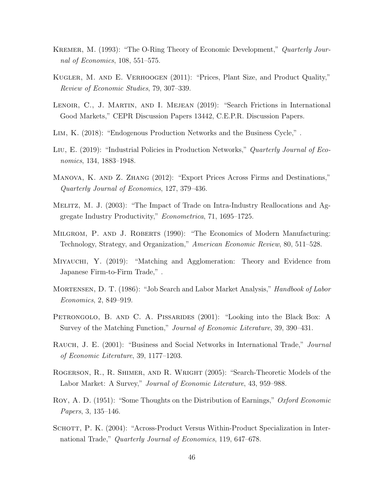- <span id="page-47-1"></span>Kremer, M. (1993): "The O-Ring Theory of Economic Development," Quarterly Journal of Economics, 108, 551–575.
- Kugler, M. and E. Verhoogen (2011): "Prices, Plant Size, and Product Quality," Review of Economic Studies, 79, 307–339.
- LENOIR, C., J. MARTIN, AND I. MEJEAN (2019): "Search Frictions in International Good Markets," CEPR Discussion Papers 13442, C.E.P.R. Discussion Papers.
- Lim, K. (2018): "Endogenous Production Networks and the Business Cycle," .
- Liu, E. (2019): "Industrial Policies in Production Networks," Quarterly Journal of Economics, 134, 1883–1948.
- Manova, K. and Z. Zhang (2012): "Export Prices Across Firms and Destinations," Quarterly Journal of Economics, 127, 379–436.
- <span id="page-47-2"></span>Melitz, M. J. (2003): "The Impact of Trade on Intra-Industry Reallocations and Aggregate Industry Productivity," Econometrica, 71, 1695–1725.
- MILGROM, P. AND J. ROBERTS (1990): "The Economics of Modern Manufacturing: Technology, Strategy, and Organization," American Economic Review, 80, 511–528.
- Miyauchi, Y. (2019): "Matching and Agglomeration: Theory and Evidence from Japanese Firm-to-Firm Trade," .
- MORTENSEN, D. T. (1986): "Job Search and Labor Market Analysis," *Handbook of Labor* Economics, 2, 849–919.
- PETRONGOLO, B. AND C. A. PISSARIDES (2001): "Looking into the Black Box: A Survey of the Matching Function," Journal of Economic Literature, 39, 390–431.
- <span id="page-47-0"></span>RAUCH, J. E. (2001): "Business and Social Networks in International Trade," Journal of Economic Literature, 39, 1177–1203.
- Rogerson, R., R. Shimer, and R. Wright (2005): "Search-Theoretic Models of the Labor Market: A Survey," Journal of Economic Literature, 43, 959–988.
- Roy, A. D. (1951): "Some Thoughts on the Distribution of Earnings," Oxford Economic Papers, 3, 135–146.
- SCHOTT, P. K. (2004): "Across-Product Versus Within-Product Specialization in International Trade," Quarterly Journal of Economics, 119, 647–678.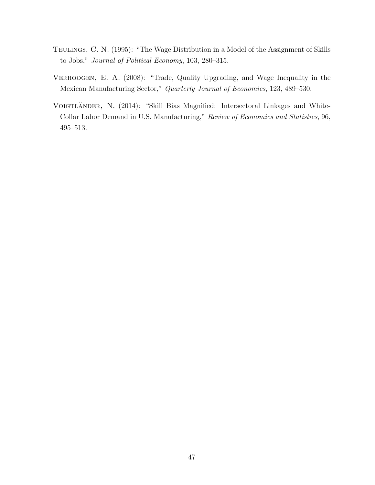- TEULINGS, C. N. (1995): "The Wage Distribution in a Model of the Assignment of Skills to Jobs," Journal of Political Economy, 103, 280–315.
- Verhoogen, E. A. (2008): "Trade, Quality Upgrading, and Wage Inequality in the Mexican Manufacturing Sector," Quarterly Journal of Economics, 123, 489–530.
- VOIGTLÄNDER, N. (2014): "Skill Bias Magnified: Intersectoral Linkages and White-Collar Labor Demand in U.S. Manufacturing," Review of Economics and Statistics, 96, 495–513.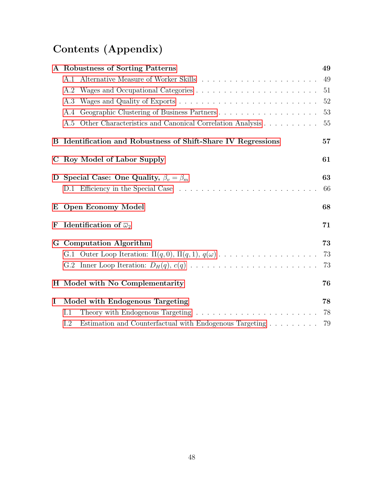# Contents (Appendix)

|          | A Robustness of Sorting Patterns                                                                      | 49 |
|----------|-------------------------------------------------------------------------------------------------------|----|
|          | Alternative Measure of Worker Skills $\ldots \ldots \ldots \ldots \ldots \ldots \ldots \ldots$<br>A.1 | 49 |
|          | A.2                                                                                                   | 51 |
|          | A.3                                                                                                   | 52 |
|          | Geographic Clustering of Business Partners<br>A.4                                                     | 53 |
|          | A.5 Other Characteristics and Canonical Correlation Analysis                                          | 55 |
|          | B Identification and Robustness of Shift-Share IV Regressions                                         | 57 |
|          | C Roy Model of Labor Supply                                                                           | 61 |
|          | D Special Case: One Quality, $\beta_v = \beta_m$                                                      | 63 |
|          |                                                                                                       | 66 |
|          | E Open Economy Model                                                                                  | 68 |
| F        | Identification of $\overline{\omega}_2$                                                               | 71 |
|          | G Computation Algorithm                                                                               | 73 |
|          | G.1 Outer Loop Iteration: $\Pi(q,0), \Pi(q,1), q(\omega) \ldots \ldots \ldots \ldots \ldots \ldots$   | 73 |
|          |                                                                                                       | 73 |
|          | H Model with No Complementarity                                                                       | 76 |
| $\bf{I}$ | Model with Endogenous Targeting                                                                       | 78 |
|          | Theory with Endogenous Targeting $\ldots \ldots \ldots \ldots \ldots \ldots \ldots \ldots$<br>I.1     | 78 |
|          | Estimation and Counterfactual with Endogenous Targeting<br>$1.2\,$                                    | 79 |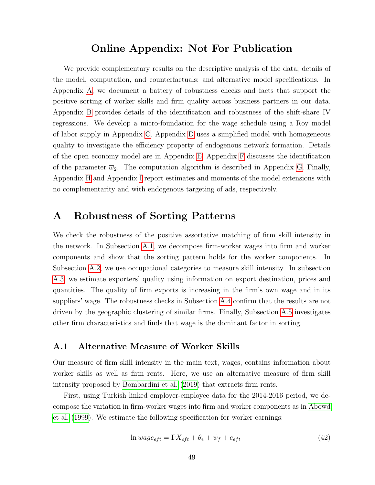### Online Appendix: Not For Publication

We provide complementary results on the descriptive analysis of the data; details of the model, computation, and counterfactuals; and alternative model specifications. In Appendix [A,](#page-50-0) we document a battery of robustness checks and facts that support the positive sorting of worker skills and firm quality across business partners in our data. Appendix [B](#page-58-0) provides details of the identification and robustness of the shift-share IV regressions. We develop a micro-foundation for the wage schedule using a Roy model of labor supply in Appendix [C.](#page-62-0) Appendix [D](#page-64-0) uses a simplified model with homogeneous quality to investigate the efficiency property of endogenous network formation. Details of the open economy model are in Appendix [E.](#page-69-1) Appendix [F](#page-72-0) discusses the identification of the parameter  $\overline{\omega}_2$ . The computation algorithm is described in Appendix [G.](#page-74-0) Finally, Appendix [H](#page-77-0) and Appendix [I](#page-79-0) report estimates and moments of the model extensions with no complementarity and with endogenous targeting of ads, respectively.

## <span id="page-50-0"></span>A Robustness of Sorting Patterns

We check the robustness of the positive assortative matching of firm skill intensity in the network. In Subsection [A.1,](#page-50-1) we decompose firm-worker wages into firm and worker components and show that the sorting pattern holds for the worker components. In Subsection [A.2,](#page-52-0) we use occupational categories to measure skill intensity. In subsection [A.3,](#page-53-0) we estimate exporters' quality using information on export destination, prices and quantities. The quality of firm exports is increasing in the firm's own wage and in its suppliers' wage. The robustness checks in Subsection [A.4](#page-54-0) confirm that the results are not driven by the geographic clustering of similar firms. Finally, Subsection [A.5](#page-56-0) investigates other firm characteristics and finds that wage is the dominant factor in sorting.

#### <span id="page-50-1"></span>A.1 Alternative Measure of Worker Skills

Our measure of firm skill intensity in the main text, wages, contains information about worker skills as well as firm rents. Here, we use an alternative measure of firm skill intensity proposed by [Bombardini et al. \(2019\)](#page-45-1) that extracts firm rents.

First, using Turkish linked employer-employee data for the 2014-2016 period, we decompose the variation in firm-worker wages into firm and worker components as in [Abowd](#page-44-1) [et al. \(1999\)](#page-44-1). We estimate the following specification for worker earnings:

<span id="page-50-2"></span>
$$
\ln wage_{eff} = \Gamma X_{eff} + \theta_e + \psi_f + e_{eff} \tag{42}
$$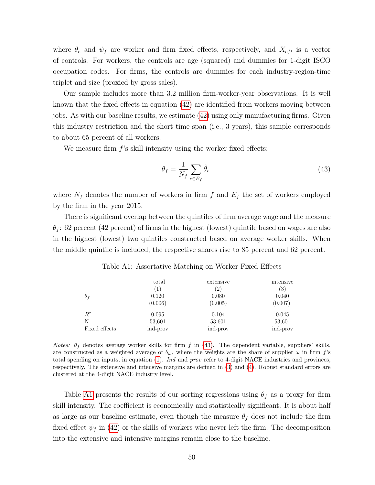where  $\theta_e$  and  $\psi_f$  are worker and firm fixed effects, respectively, and  $X_{\text{eff}}$  is a vector of controls. For workers, the controls are age (squared) and dummies for 1-digit ISCO occupation codes. For firms, the controls are dummies for each industry-region-time triplet and size (proxied by gross sales).

Our sample includes more than 3.2 million firm-worker-year observations. It is well known that the fixed effects in equation [\(42\)](#page-50-2) are identified from workers moving between jobs. As with our baseline results, we estimate [\(42\)](#page-50-2) using only manufacturing firms. Given this industry restriction and the short time span (i.e., 3 years), this sample corresponds to about 65 percent of all workers.

We measure firm  $f$ 's skill intensity using the worker fixed effects:

<span id="page-51-0"></span>
$$
\theta_f = \frac{1}{N_f} \sum_{e \in E_f} \hat{\theta}_e \tag{43}
$$

where  $N_f$  denotes the number of workers in firm f and  $E_f$  the set of workers employed by the firm in the year 2015.

There is significant overlap between the quintiles of firm average wage and the measure  $\theta_f$ : 62 percent (42 percent) of firms in the highest (lowest) quintile based on wages are also in the highest (lowest) two quintiles constructed based on average worker skills. When the middle quintile is included, the respective shares rise to 85 percent and 62 percent.

<span id="page-51-1"></span>

|                | total<br>$\left(1\right)$ | extensive<br>$\left( 2\right)$ | intensive<br>$\left( 3\right)$ |
|----------------|---------------------------|--------------------------------|--------------------------------|
| $\theta_f$     | 0.120                     | 0.080                          | 0.040                          |
|                | (0.006)                   | (0.005)                        | (0.007)                        |
| $\mathbb{R}^2$ | 0.095                     | 0.104                          | 0.045                          |
| N              | 53,601                    | 53,601                         | 53,601                         |
| Fixed effects  | ind-prov                  | ind-prov                       | ind-prov                       |

Table A1: Assortative Matching on Worker Fixed Effects

Notes:  $\theta_f$  denotes average worker skills for firm f in [\(43\)](#page-51-0). The dependent variable, suppliers' skills, are constructed as a weighted average of  $\theta_{\omega}$ , where the weights are the share of supplier  $\omega$  in firm f's total spending on inputs, in equation [\(1\)](#page-7-0). Ind and prov refer to 4-digit NACE industries and provinces, respectively. The extensive and intensive margins are defined in [\(3\)](#page-8-0) and [\(4\)](#page-8-1). Robust standard errors are clustered at the 4-digit NACE industry level.

Table [A1](#page-51-1) presents the results of our sorting regressions using  $\theta_f$  as a proxy for firm skill intensity. The coefficient is economically and statistically significant. It is about half as large as our baseline estimate, even though the measure  $\theta_f$  does not include the firm fixed effect  $\psi_f$  in [\(42\)](#page-50-2) or the skills of workers who never left the firm. The decomposition into the extensive and intensive margins remain close to the baseline.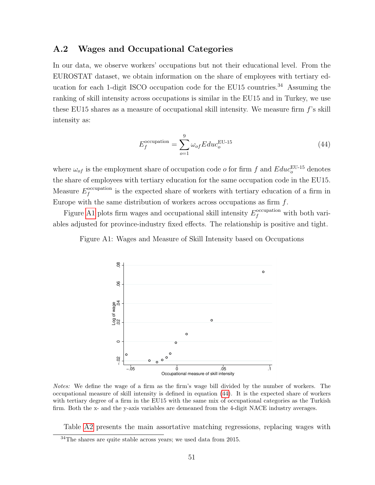#### <span id="page-52-0"></span>A.2 Wages and Occupational Categories

In our data, we observe workers' occupations but not their educational level. From the EUROSTAT dataset, we obtain information on the share of employees with tertiary education for each 1-digit ISCO occupation code for the EU15 countries.<sup>34</sup> Assuming the ranking of skill intensity across occupations is similar in the EU15 and in Turkey, we use these EU15 shares as a measure of occupational skill intensity. We measure firm  $f$ 's skill intensity as:

<span id="page-52-2"></span>
$$
E_f^{\text{occupation}} = \sum_{o=1}^{9} \omega_{of} E du c_o^{\text{EU-15}}
$$
\n(44)

where  $\omega_{of}$  is the employment share of occupation code o for firm f and  $Edu_c^{\text{EU-15}}$  denotes the share of employees with tertiary education for the same occupation code in the EU15. Measure  $E_f^{\text{occupation}}$  $\int_{f}^{\text{occupation}}$  is the expected share of workers with tertiary education of a firm in Europe with the same distribution of workers across occupations as firm  $f$ .

<span id="page-52-1"></span>Figure [A1](#page-52-1) plots firm wages and occupational skill intensity  $E_f^{\text{occupation}}$  with both variables adjusted for province-industry fixed effects. The relationship is positive and tight.

Figure A1: Wages and Measure of Skill Intensity based on Occupations



Notes: We define the wage of a firm as the firm's wage bill divided by the number of workers. The occupational measure of skill intensity is defined in equation [\(44\)](#page-52-2). It is the expected share of workers with tertiary degree of a firm in the EU15 with the same mix of occupational categories as the Turkish firm. Both the x- and the y-axis variables are demeaned from the 4-digit NACE industry averages.

Table [A2](#page-53-1) presents the main assortative matching regressions, replacing wages with

 $34$ The shares are quite stable across years; we used data from 2015.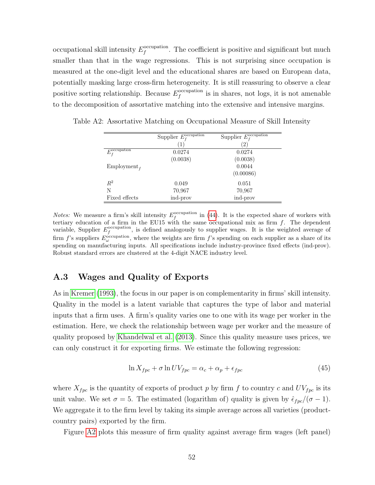occupational skill intensity  $E_f^{\text{occupation}}$  $f_f^{\text{occupation}}$ . The coefficient is positive and significant but much smaller than that in the wage regressions. This is not surprising since occupation is measured at the one-digit level and the educational shares are based on European data, potentially masking large cross-firm heterogeneity. It is still reassuring to observe a clear positive sorting relationship. Because  $E_f^{\text{occupation}}$  $\int_{f}^{\text{occupation}}$  is in shares, not logs, it is not amenable to the decomposition of assortative matching into the extensive and intensive margins.

|                                        | Supplier $E_{\scriptsize{f}}^{\overline{\text{occupation}}}$ | Supplier $\overline{E_{f}^{\mathrm{occupation}}}$ |
|----------------------------------------|--------------------------------------------------------------|---------------------------------------------------|
|                                        | $\left  \right $                                             | (2)                                               |
| $E_{f}^{\overline{\text{occupation}}}$ | 0.0274                                                       | 0.0274                                            |
|                                        | (0.0038)                                                     | (0.0038)                                          |
| Employment <sub>f</sub>                |                                                              | 0.0044                                            |
|                                        |                                                              | (0.00086)                                         |
| $R^2$                                  | 0.049                                                        | 0.051                                             |
| N                                      | 70,967                                                       | 70,967                                            |
| Fixed effects                          | ind-prov                                                     | ind-prov                                          |

<span id="page-53-1"></span>Table A2: Assortative Matching on Occupational Measure of Skill Intensity

*Notes:* We measure a firm's skill intensity  $E_f^{\text{occupation}}$  in [\(44\)](#page-52-2). It is the expected share of workers with tertiary education of a firm in the EU15 with the same occupational mix as firm  $f$ . The dependent variable, Supplier  $E_f^{\text{occupation}}$ , is defined analogously to supplier wages. It is the weighted average of firm f's suppliers  $E_{\omega}^{\text{occupation}}$ , where the weights are firm f's spending on each supplier as a share of its spending on manufacturing inputs. All specifications include industry-province fixed effects (ind-prov). Robust standard errors are clustered at the 4-digit NACE industry level.

#### <span id="page-53-0"></span>A.3 Wages and Quality of Exports

As in [Kremer \(1993\)](#page-47-1), the focus in our paper is on complementarity in firms' skill intensity. Quality in the model is a latent variable that captures the type of labor and material inputs that a firm uses. A firm's quality varies one to one with its wage per worker in the estimation. Here, we check the relationship between wage per worker and the measure of quality proposed by [Khandelwal et al. \(2013\)](#page-46-3). Since this quality measure uses prices, we can only construct it for exporting firms. We estimate the following regression:

<span id="page-53-2"></span>
$$
\ln X_{fpc} + \sigma \ln UV_{fpc} = \alpha_c + \alpha_p + \epsilon_{fpc} \tag{45}
$$

where  $X_{fpc}$  is the quantity of exports of product p by firm f to country c and  $UV_{fpc}$  is its unit value. We set  $\sigma = 5$ . The estimated (logarithm of) quality is given by  $\hat{\epsilon}_{fpc}/(\sigma - 1)$ . We aggregate it to the firm level by taking its simple average across all varieties (productcountry pairs) exported by the firm.

Figure [A2](#page-54-1) plots this measure of firm quality against average firm wages (left panel)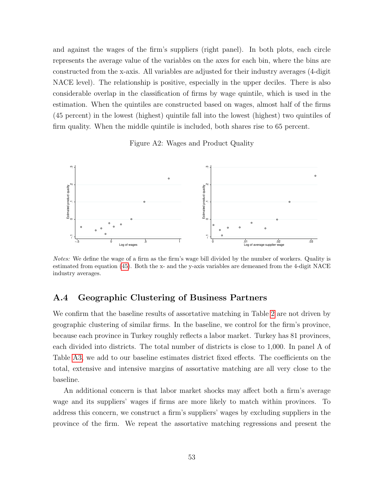and against the wages of the firm's suppliers (right panel). In both plots, each circle represents the average value of the variables on the axes for each bin, where the bins are constructed from the x-axis. All variables are adjusted for their industry averages (4-digit NACE level). The relationship is positive, especially in the upper deciles. There is also considerable overlap in the classification of firms by wage quintile, which is used in the estimation. When the quintiles are constructed based on wages, almost half of the firms (45 percent) in the lowest (highest) quintile fall into the lowest (highest) two quintiles of firm quality. When the middle quintile is included, both shares rise to 65 percent.

Figure A2: Wages and Product Quality

<span id="page-54-1"></span>

Notes: We define the wage of a firm as the firm's wage bill divided by the number of workers. Quality is estimated from equation [\(45\)](#page-53-2). Both the x- and the y-axis variables are demeaned from the 4-digit NACE industry averages.

#### <span id="page-54-0"></span>A.4 Geographic Clustering of Business Partners

We confirm that the baseline results of assortative matching in Table [2](#page-9-0) are not driven by geographic clustering of similar firms. In the baseline, we control for the firm's province, because each province in Turkey roughly reflects a labor market. Turkey has 81 provinces, each divided into districts. The total number of districts is close to 1,000. In panel A of Table [A3,](#page-55-0) we add to our baseline estimates district fixed effects. The coefficients on the total, extensive and intensive margins of assortative matching are all very close to the baseline.

An additional concern is that labor market shocks may affect both a firm's average wage and its suppliers' wages if firms are more likely to match within provinces. To address this concern, we construct a firm's suppliers' wages by excluding suppliers in the province of the firm. We repeat the assortative matching regressions and present the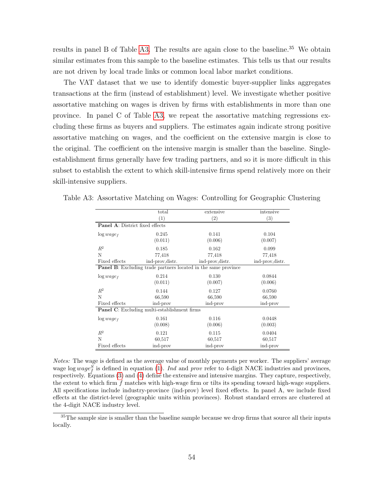results in panel B of Table [A3.](#page-55-0) The results are again close to the baseline.<sup>35</sup> We obtain similar estimates from this sample to the baseline estimates. This tells us that our results are not driven by local trade links or common local labor market conditions.

The VAT dataset that we use to identify domestic buyer-supplier links aggregates transactions at the firm (instead of establishment) level. We investigate whether positive assortative matching on wages is driven by firms with establishments in more than one province. In panel C of Table [A3,](#page-55-0) we repeat the assortative matching regressions excluding these firms as buyers and suppliers. The estimates again indicate strong positive assortative matching on wages, and the coefficient on the extensive margin is close to the original. The coefficient on the intensive margin is smaller than the baseline. Singleestablishment firms generally have few trading partners, and so it is more difficult in this subset to establish the extent to which skill-intensive firms spend relatively more on their skill-intensive suppliers.

|                                        | total                                               | extensive                                                             | intensive         |
|----------------------------------------|-----------------------------------------------------|-----------------------------------------------------------------------|-------------------|
|                                        | $\left(1\right)$                                    | $\left( 2\right)$                                                     | $\left( 3\right)$ |
| <b>Panel A: District fixed effects</b> |                                                     |                                                                       |                   |
| $\log wage_f$                          | 0.245                                               | 0.141                                                                 | 0.104             |
|                                        | (0.011)                                             | (0.006)                                                               | (0.007)           |
| $R^2$                                  | 0.185                                               | 0.162                                                                 | 0.099             |
| N                                      | 77,418                                              | 77,418                                                                | 77,418            |
| Fixed effects                          | ind-prov, distr.                                    | ind-prov, distr.                                                      | ind-prov, distr.  |
|                                        |                                                     | <b>Panel B:</b> Excluding trade partners located in the same province |                   |
| $\log wage_f$                          | 0.214                                               | 0.130                                                                 | 0.0844            |
|                                        | (0.011)                                             | (0.007)                                                               | (0.006)           |
| $R^2$                                  | 0.144                                               | 0.127                                                                 | 0.0760            |
| N                                      | 66,590                                              | 66,590                                                                | 66,590            |
| Fixed effects                          | ind-prov                                            | ind-prov                                                              | ind-prov          |
|                                        | <b>Panel C:</b> Excluding multi-establishment firms |                                                                       |                   |
| $\log wage_f$                          | 0.161                                               | 0.116                                                                 | 0.0448            |
|                                        | (0.008)                                             | (0.006)                                                               | (0.003)           |
| $R^2$                                  | 0.121                                               | 0.115                                                                 | 0.0404            |
| N                                      | 60,517                                              | 60,517                                                                | 60,517            |
| Fixed effects                          | ind-prov                                            | ind-prov                                                              | ind-prov          |

<span id="page-55-0"></span>Table A3: Assortative Matching on Wages: Controlling for Geographic Clustering

Notes: The wage is defined as the average value of monthly payments per worker. The suppliers' average wage log  $wage<sub>f</sub><sup>S</sup>$  is defined in equation [\(1\)](#page-7-0). Ind and prov refer to 4-digit NACE industries and provinces, respectively. Equations [\(3\)](#page-8-0) and [\(4\)](#page-8-1) define the extensive and intensive margins. They capture, respectively, the extent to which firm f matches with high-wage firm or tilts its spending toward high-wage suppliers. All specifications include industry-province (ind-prov) level fixed effects. In panel A, we include fixed effects at the district-level (geographic units within provinces). Robust standard errors are clustered at the 4-digit NACE industry level.

<sup>35</sup>The sample size is smaller than the baseline sample because we drop firms that source all their inputs locally.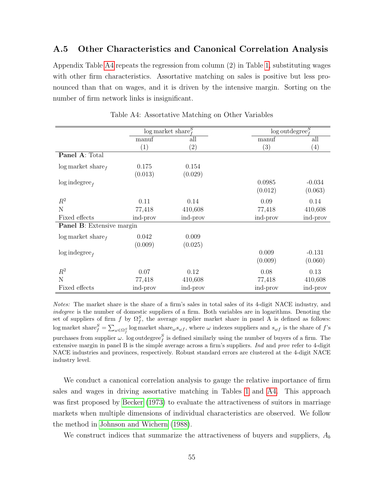#### <span id="page-56-0"></span>A.5 Other Characteristics and Canonical Correlation Analysis

Appendix Table [A4](#page-56-1) repeats the regression from column (2) in Table [1,](#page-8-2) substituting wages with other firm characteristics. Assortative matching on sales is positive but less pronounced than that on wages, and it is driven by the intensive margin. Sorting on the number of firm network links is insignificant.

<span id="page-56-1"></span>

|                                  |          | $\log$ market share <sup>S</sup> | $\log$ outdegree <sup><math>S</math></sup> |                   |
|----------------------------------|----------|----------------------------------|--------------------------------------------|-------------------|
|                                  | manuf    | all                              | manuf                                      | all               |
|                                  | (1)      | $\left( 2\right)$                | $\left( 3\right)$                          | $\left( 4\right)$ |
| Panel A: Total                   |          |                                  |                                            |                   |
| $\log$ market share $_f$         | 0.175    | 0.154                            |                                            |                   |
|                                  | (0.013)  | (0.029)                          |                                            |                   |
| $\log$ indegree <sub>f</sub>     |          |                                  | 0.0985                                     | $-0.034$          |
|                                  |          |                                  | (0.012)                                    | (0.063)           |
| $R^2$                            | 0.11     | 0.14                             | 0.09                                       | 0.14              |
| N                                | 77,418   | 410,608                          | 77,418                                     | 410,608           |
| Fixed effects                    | ind-prov | ind-prov                         | ind-prov                                   | ind-prov          |
| <b>Panel B:</b> Extensive margin |          |                                  |                                            |                   |
| $\log$ market share $_f$         | 0.042    | 0.009                            |                                            |                   |
|                                  | (0.009)  | (0.025)                          |                                            |                   |
| $\log$ indegree <sub>f</sub>     |          |                                  | 0.009                                      | $-0.131$          |
|                                  |          |                                  | (0.009)                                    | (0.060)           |
| $R^2$                            | 0.07     | 0.12                             | 0.08                                       | 0.13              |
| N                                | 77,418   | 410,608                          | 77,418                                     | 410,608           |
| Fixed effects                    | ind-prov | ind-prov                         | ind-prov                                   | ind-prov          |

Table A4: Assortative Matching on Other Variables

Notes: The market share is the share of a firm's sales in total sales of its 4-digit NACE industry, and indegree is the number of domestic suppliers of a firm. Both variables are in logarithms. Denoting the set of suppliers of firm f by  $\Omega_f^S$ , the average supplier market share in panel A is defined as follows: log market share $S_f = \sum_{\omega \in \Omega_f^S} \log$  market share $\omega s_{\omega f}$ , where  $\omega$  indexes suppliers and  $s_{\omega f}$  is the share of f's purchases from supplier  $\omega$ . log outdegree<sub>f</sub> is defined similarly using the number of buyers of a firm. The extensive margin in panel B is the simple average across a firm's suppliers. Ind and prov refer to 4-digit NACE industries and provinces, respectively. Robust standard errors are clustered at the 4-digit NACE industry level.

We conduct a canonical correlation analysis to gauge the relative importance of firm sales and wages in driving assortative matching in Tables [1](#page-8-2) and [A4.](#page-56-1) This approach was first proposed by [Becker \(1973\)](#page-44-2) to evaluate the attractiveness of suitors in marriage markets when multiple dimensions of individual characteristics are observed. We follow the method in [Johnson and Wichern \(1988\)](#page-46-4).

We construct indices that summarize the attractiveness of buyers and suppliers,  $A_b$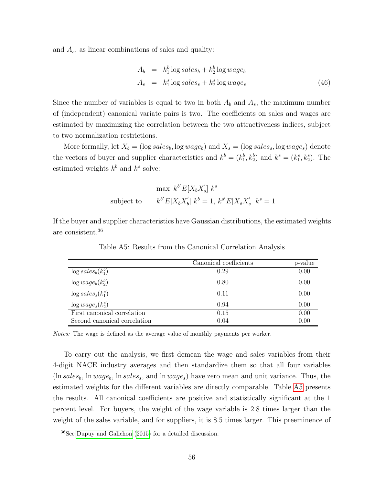and  $A_s$ , as linear combinations of sales and quality:

<span id="page-57-1"></span>
$$
A_b = k_1^b \log sales_b + k_2^b \log wage_b
$$
  
\n
$$
A_s = k_1^s \log sales_s + k_2^s \log wage_s
$$
\n(46)

Since the number of variables is equal to two in both  $A_b$  and  $A_s$ , the maximum number of (independent) canonical variate pairs is two. The coefficients on sales and wages are estimated by maximizing the correlation between the two attractiveness indices, subject to two normalization restrictions.

More formally, let  $X_b = (\log sales_b, \log wage_b)$  and  $X_s = (\log sales_s, \log wage_s)$  denote the vectors of buyer and supplier characteristics and  $k^b = (k_1^b, k_2^b)$  and  $k^s = (k_1^s, k_2^s)$ . The estimated weights  $k^b$  and  $k^s$  solve:

$$
\max k^{b'} E[X_b X_s'] \ k^s
$$
subject to 
$$
k^{b'} E[X_b X_b'] \ k^b = 1, k^{s'} E[X_s X_s'] \ k^s = 1
$$

<span id="page-57-0"></span>If the buyer and supplier characteristics have Gaussian distributions, the estimated weights are consistent.<sup>36</sup>

|                              | Canonical coefficients | p-value |
|------------------------------|------------------------|---------|
| $\log sales_b(k_1^b)$        | 0.29                   | 0.00    |
| $\log wage_b(k_2^b)$         | 0.80                   | 0.00    |
| $\log sales_{s}(k_1^s)$      | 0.11                   | 0.00    |
| $\log wage_s(k_2^s)$         | 0.94                   | 0.00    |
| First canonical correlation  | 0.15                   | 0.00    |
| Second canonical correlation | 0.04                   | 0.00    |

Table A5: Results from the Canonical Correlation Analysis

Notes: The wage is defined as the average value of monthly payments per worker.

To carry out the analysis, we first demean the wage and sales variables from their 4-digit NACE industry averages and then standardize them so that all four variables  $(\ln sales_b, \ln wage_b, \ln sales_s, \text{ and } \ln wage_s)$  have zero mean and unit variance. Thus, the estimated weights for the different variables are directly comparable. Table [A5](#page-57-0) presents the results. All canonical coefficients are positive and statistically significant at the 1 percent level. For buyers, the weight of the wage variable is 2.8 times larger than the weight of the sales variable, and for suppliers, it is 8.5 times larger. This preeminence of

<sup>36</sup>See [Dupuy and Galichon](#page-45-2) [\(2015\)](#page-45-2) for a detailed discussion.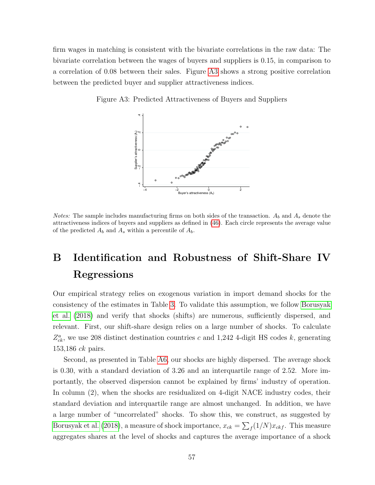firm wages in matching is consistent with the bivariate correlations in the raw data: The bivariate correlation between the wages of buyers and suppliers is 0.15, in comparison to a correlation of 0.08 between their sales. Figure [A3](#page-58-1) shows a strong positive correlation between the predicted buyer and supplier attractiveness indices.

<span id="page-58-1"></span>Figure A3: Predicted Attractiveness of Buyers and Suppliers



*Notes:* The sample includes manufacturing firms on both sides of the transaction.  $A_b$  and  $A_s$  denote the attractiveness indices of buyers and suppliers as defined in [\(46\)](#page-57-1). Each circle represents the average value of the predicted  $A_b$  and  $A_s$  within a percentile of  $A_b$ .

# <span id="page-58-0"></span>B Identification and Robustness of Shift-Share IV Regressions

Our empirical strategy relies on exogenous variation in import demand shocks for the consistency of the estimates in Table [3.](#page-13-0) To validate this assumption, we follow [Borusyak](#page-45-3) [et al. \(2018\)](#page-45-3) and verify that shocks (shifts) are numerous, sufficiently dispersed, and relevant. First, our shift-share design relies on a large number of shocks. To calculate  $Z_{ck}^{a}$ , we use 208 distinct destination countries c and 1,242 4-digit HS codes k, generating 153,186 ck pairs.

Second, as presented in Table [A6,](#page-59-0) our shocks are highly dispersed. The average shock is 0.30, with a standard deviation of 3.26 and an interquartile range of 2.52. More importantly, the observed dispersion cannot be explained by firms' industry of operation. In column (2), when the shocks are residualized on 4-digit NACE industry codes, their standard deviation and interquartile range are almost unchanged. In addition, we have a large number of "uncorrelated" shocks. To show this, we construct, as suggested by [Borusyak et al. \(2018\)](#page-45-3), a measure of shock importance,  $x_{ck} = \sum_f (1/N)x_{ckf}$ . This measure aggregates shares at the level of shocks and captures the average importance of a shock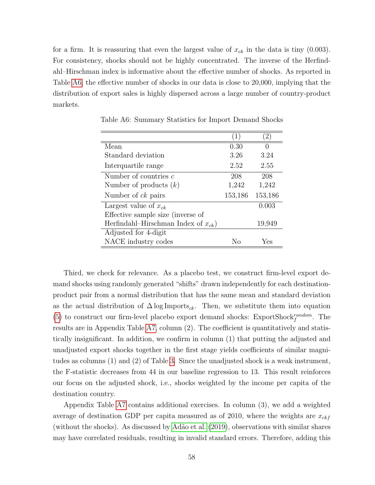for a firm. It is reassuring that even the largest value of  $x_{ck}$  in the data is tiny (0.003). For consistency, shocks should not be highly concentrated. The inverse of the Herfindahl–Hirschman index is informative about the effective number of shocks. As reported in Table [A6,](#page-59-0) the effective number of shocks in our data is close to 20,000, implying that the distribution of export sales is highly dispersed across a large number of country-product markets.

|                                          | (1)     | $2^{\circ}$      |
|------------------------------------------|---------|------------------|
| Mean                                     | 0.30    | $\left( \right)$ |
| Standard deviation                       | 3.26    | 3.24             |
| Interquartile range                      | 2.52    | 2.55             |
| Number of countries c                    | 208     | 208              |
| Number of products $(k)$                 | 1,242   | 1,242            |
| Number of <i>ck</i> pairs                | 153,186 | 153,186          |
| Largest value of $x_{ck}$                |         | 0.003            |
| Effective sample size (inverse of        |         |                  |
| Herfindahl-Hirschman Index of $x_{ck}$ ) |         | 19,949           |
| Adjusted for 4-digit                     |         |                  |
| NACE industry codes                      | Nο      | Yes              |

<span id="page-59-0"></span>Table A6: Summary Statistics for Import Demand Shocks

Third, we check for relevance. As a placebo test, we construct firm-level export demand shocks using randomly generated "shifts" drawn independently for each destinationproduct pair from a normal distribution that has the same mean and standard deviation as the actual distribution of  $\Delta \log \text{Imports}_{ck}$ . Then, we substitute them into equation [\(5\)](#page-12-0) to construct our firm-level placebo export demand shocks: ExportShock $r_q^{random}$ . The results are in Appendix Table [A7,](#page-60-0) column (2). The coefficient is quantitatively and statistically insignificant. In addition, we confirm in column (1) that putting the adjusted and unadjusted export shocks together in the first stage yields coefficients of similar magnitudes as columns (1) and (2) of Table [3.](#page-13-0) Since the unadjusted shock is a weak instrument, the F-statistic decreases from 44 in our baseline regression to 13. This result reinforces our focus on the adjusted shock, i.e., shocks weighted by the income per capita of the destination country.

Appendix Table [A7](#page-60-0) contains additional exercises. In column (3), we add a weighted average of destination GDP per capita measured as of 2010, where the weights are  $x_{ckf}$ (without the shocks). As discussed by [Ad˜ao et al. \(2019\)](#page-44-3), observations with similar shares may have correlated residuals, resulting in invalid standard errors. Therefore, adding this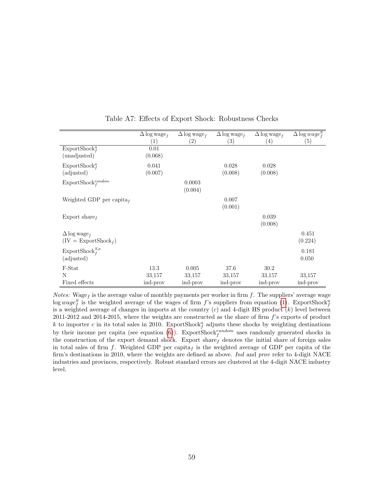<span id="page-60-0"></span>

|                                   | $\Delta \log$ wage <sub>f</sub> | $\Delta$ log wage <sub>f</sub> | $\Delta \log$ wage <sub>f</sub> | $\Delta \log$ wage <sub>f</sub> | $\Delta \log \overline{wage_f^S}$ |
|-----------------------------------|---------------------------------|--------------------------------|---------------------------------|---------------------------------|-----------------------------------|
|                                   | (1)                             | $\left( 2\right)$              | $\left(3\right)$                | $\left( 4\right)$               | $\left( 5\right)$                 |
| ExportShock <sup>u</sup>          | 0.01                            |                                |                                 |                                 |                                   |
| (unadjusted)                      | (0.068)                         |                                |                                 |                                 |                                   |
| ExportShock <sup>a</sup>          | 0.041                           |                                | 0.028                           | 0.028                           |                                   |
| (adjusted)                        | (0.007)                         |                                | (0.008)                         | (0.008)                         |                                   |
| $\text{ExportShock}^{random}_{f}$ |                                 | 0.0003                         |                                 |                                 |                                   |
|                                   |                                 | (0.004)                        |                                 |                                 |                                   |
| Weighted GDP per capita $_f$      |                                 |                                | 0.007                           |                                 |                                   |
|                                   |                                 |                                | (0.001)                         |                                 |                                   |
| Export share $_f$                 |                                 |                                |                                 | 0.039                           |                                   |
|                                   |                                 |                                |                                 | (0.008)                         |                                   |
| $\Delta \log$ wage <sub>f</sub>   |                                 |                                |                                 |                                 | 0.451                             |
| $(IV = ExportShockf)$             |                                 |                                |                                 |                                 | (0.224)                           |
| ExportShock $S^{a}_{f}$           |                                 |                                |                                 |                                 | 0.181                             |
| (adjusted)                        |                                 |                                |                                 |                                 | 0.050                             |
| F-Stat                            | 13.3                            | 0.005                          | 37.6                            | 30.2                            |                                   |
| N                                 | 33,157                          | 33,157                         | 33,157                          | 33,157                          | 33,157                            |
| Fixed effects                     | ind-prov                        | ind-prov                       | ind-prov                        | ind-prov                        | ind-prov                          |

Table A7: Effects of Export Shock: Robustness Checks

*Notes:* Wage<sub>f</sub> is the average value of monthly payments per worker in firm f. The suppliers' average wage  $\log wage_f^S$  is the weighted average of the wages of firm f's suppliers from equation [\(1\)](#page-7-0). ExportShock<sup>u</sup> is a weighted average of changes in imports at the country  $(c)$  and 4-digit HS product  $(k)$  level between  $2011-2012$  and  $2014-2015$ , where the weights are constructed as the share of firm  $f$ 's exports of product k to importer c in its total sales in 2010. ExportShock<sup>a</sup> adjusts these shocks by weighting destinations by their income per capita (see equation  $(6)$ ). ExportShock<sup>random</sup> uses randomly generated shocks in the construction of the export demand shock. Export sharef denotes the initial share of foreign sales in total sales of firm f. Weighted GDP per capita<sub>f</sub> is the weighted average of GDP per capita of the firm's destinations in 2010, where the weights are defined as above. Ind and prov refer to 4-digit NACE industries and provinces, respectively. Robust standard errors are clustered at the 4-digit NACE industry level.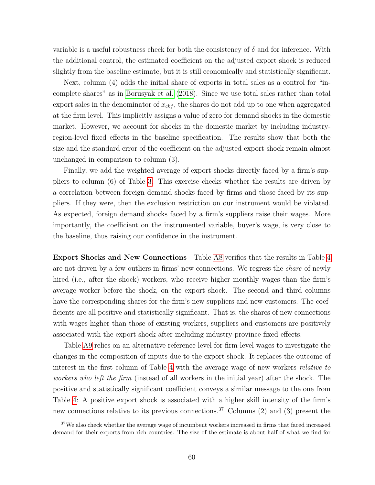variable is a useful robustness check for both the consistency of  $\delta$  and for inference. With the additional control, the estimated coefficient on the adjusted export shock is reduced slightly from the baseline estimate, but it is still economically and statistically significant.

Next, column (4) adds the initial share of exports in total sales as a control for "incomplete shares" as in [Borusyak et al. \(2018\)](#page-45-3). Since we use total sales rather than total export sales in the denominator of  $x_{ckf}$ , the shares do not add up to one when aggregated at the firm level. This implicitly assigns a value of zero for demand shocks in the domestic market. However, we account for shocks in the domestic market by including industryregion-level fixed effects in the baseline specification. The results show that both the size and the standard error of the coefficient on the adjusted export shock remain almost unchanged in comparison to column (3).

Finally, we add the weighted average of export shocks directly faced by a firm's suppliers to column (6) of Table [3.](#page-13-0) This exercise checks whether the results are driven by a correlation between foreign demand shocks faced by firms and those faced by its suppliers. If they were, then the exclusion restriction on our instrument would be violated. As expected, foreign demand shocks faced by a firm's suppliers raise their wages. More importantly, the coefficient on the instrumented variable, buyer's wage, is very close to the baseline, thus raising our confidence in the instrument.

Export Shocks and New Connections Table [A8](#page-62-1) verifies that the results in Table [4](#page-15-0) are not driven by a few outliers in firms' new connections. We regress the share of newly hired (i.e., after the shock) workers, who receive higher monthly wages than the firm's average worker before the shock, on the export shock. The second and third columns have the corresponding shares for the firm's new suppliers and new customers. The coefficients are all positive and statistically significant. That is, the shares of new connections with wages higher than those of existing workers, suppliers and customers are positively associated with the export shock after including industry-province fixed effects.

Table [A9](#page-63-0) relies on an alternative reference level for firm-level wages to investigate the changes in the composition of inputs due to the export shock. It replaces the outcome of interest in the first column of Table [4](#page-15-0) with the average wage of new workers relative to workers who left the firm (instead of all workers in the initial year) after the shock. The positive and statistically significant coefficient conveys a similar message to the one from Table [4:](#page-15-0) A positive export shock is associated with a higher skill intensity of the firm's new connections relative to its previous connections.<sup>37</sup> Columns (2) and (3) present the

<sup>&</sup>lt;sup>37</sup>We also check whether the average wage of incumbent workers increased in firms that faced increased demand for their exports from rich countries. The size of the estimate is about half of what we find for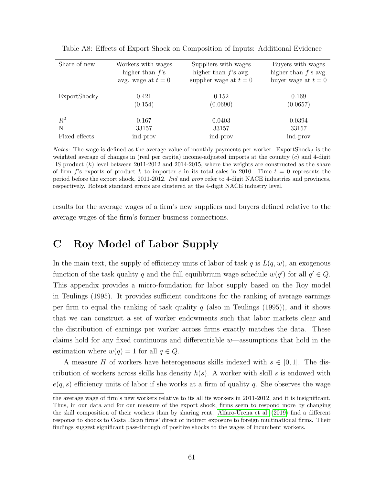| Share of new             | Workers with wages<br>higher than $f$ 's<br>avg. wage at $t=0$ | Suppliers with wages<br>higher than $f$ 's avg.<br>supplier wage at $t=0$ | Buyers with wages<br>higher than $f$ 's avg.<br>buyer wage at $t=0$ |
|--------------------------|----------------------------------------------------------------|---------------------------------------------------------------------------|---------------------------------------------------------------------|
| $\mathrm{ExportShock}_f$ | 0.421<br>(0.154)                                               | 0.152<br>(0.0690)                                                         | 0.169<br>(0.0657)                                                   |
| $\,R^2$                  | 0.167                                                          | 0.0403                                                                    | 0.0394                                                              |
| N                        | 33157                                                          | 33157                                                                     | 33157                                                               |
| Fixed effects            | ind-prov                                                       | ind-prov                                                                  | ind-prov                                                            |

<span id="page-62-1"></span>Table A8: Effects of Export Shock on Composition of Inputs: Additional Evidence

*Notes:* The wage is defined as the average value of monthly payments per worker. ExportShock  $_f$  is the weighted average of changes in (real per capita) income-adjusted imports at the country  $(c)$  and 4-digit HS product  $(k)$  level between 2011-2012 and 2014-2015, where the weights are constructed as the share of firm f's exports of product k to importer c in its total sales in 2010. Time  $t = 0$  represents the period before the export shock, 2011-2012. Ind and prov refer to 4-digit NACE industries and provinces, respectively. Robust standard errors are clustered at the 4-digit NACE industry level.

results for the average wages of a firm's new suppliers and buyers defined relative to the average wages of the firm's former business connections.

## <span id="page-62-0"></span>C Roy Model of Labor Supply

In the main text, the supply of efficiency units of labor of task  $q$  is  $L(q, w)$ , an exogenous function of the task quality q and the full equilibrium wage schedule  $w(q')$  for all  $q' \in Q$ . This appendix provides a micro-foundation for labor supply based on the Roy model in Teulings (1995). It provides sufficient conditions for the ranking of average earnings per firm to equal the ranking of task quality q (also in Teulings  $(1995)$ ), and it shows that we can construct a set of worker endowments such that labor markets clear and the distribution of earnings per worker across firms exactly matches the data. These claims hold for any fixed continuous and differentiable w—assumptions that hold in the estimation where  $w(q) = 1$  for all  $q \in Q$ .

A measure H of workers have heterogeneous skills indexed with  $s \in [0,1]$ . The distribution of workers across skills has density  $h(s)$ . A worker with skill s is endowed with  $e(q, s)$  efficiency units of labor if she works at a firm of quality q. She observes the wage

the average wage of firm's new workers relative to its all its workers in 2011-2012, and it is insignificant. Thus, in our data and for our measure of the export shock, firms seem to respond more by changing the skill composition of their workers than by sharing rent. [Alfaro-Urena et al.](#page-44-4) [\(2019\)](#page-44-4) find a different response to shocks to Costa Rican firms' direct or indirect exposure to foreign multinational firms. Their findings suggest significant pass-through of positive shocks to the wages of incumbent workers.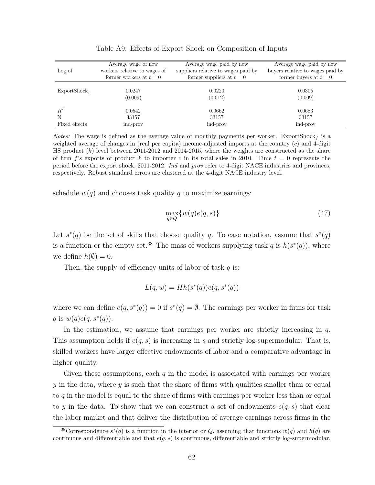<span id="page-63-0"></span>

|                          | Average wage of new          | Average wage paid by new            | Average wage paid by new         |
|--------------------------|------------------------------|-------------------------------------|----------------------------------|
| Log of                   | workers relative to wages of | suppliers relative to wages paid by | buyers relative to wages paid by |
|                          | former workers at $t=0$      | former suppliers at $t=0$           | former buyers at $t=0$           |
|                          |                              |                                     |                                  |
| $\text{ExportShock}_{f}$ | 0.0247                       | 0.0220                              | 0.0305                           |
|                          | (0.009)                      | (0.012)                             | (0.009)                          |
|                          |                              |                                     |                                  |
| $R^2$                    | 0.0542                       | 0.0662                              | 0.0683                           |
| N                        | 33157                        | 33157                               | 33157                            |
| Fixed effects            | ind-prov                     | ind-prov                            | ind-prov                         |

Table A9: Effects of Export Shock on Composition of Inputs

*Notes:* The wage is defined as the average value of monthly payments per worker. ExportShock<sub>f</sub> is a weighted average of changes in (real per capita) income-adjusted imports at the country  $(c)$  and 4-digit HS product  $(k)$  level between 2011-2012 and 2014-2015, where the weights are constructed as the share of firm f's exports of product k to importer c in its total sales in 2010. Time  $t = 0$  represents the period before the export shock, 2011-2012. Ind and prov refer to 4-digit NACE industries and provinces, respectively. Robust standard errors are clustered at the 4-digit NACE industry level.

schedule  $w(q)$  and chooses task quality q to maximize earnings:

<span id="page-63-1"></span>
$$
\max_{q \in Q} \{w(q)e(q,s)\}\tag{47}
$$

Let  $s^*(q)$  be the set of skills that choose quality q. To ease notation, assume that  $s^*(q)$ is a function or the empty set.<sup>38</sup> The mass of workers supplying task q is  $h(s^*(q))$ , where we define  $h(\emptyset) = 0$ .

Then, the supply of efficiency units of labor of task  $q$  is:

$$
L(q, w) = Hh(s^*(q))e(q, s^*(q))
$$

where we can define  $e(q, s^*(q)) = 0$  if  $s^*(q) = \emptyset$ . The earnings per worker in firms for task q is  $w(q)e(q, s^*(q)).$ 

In the estimation, we assume that earnings per worker are strictly increasing in  $q$ . This assumption holds if  $e(q, s)$  is increasing in s and strictly log-supermodular. That is, skilled workers have larger effective endowments of labor and a comparative advantage in higher quality.

Given these assumptions, each  $q$  in the model is associated with earnings per worker  $y$  in the data, where  $y$  is such that the share of firms with qualities smaller than or equal to q in the model is equal to the share of firms with earnings per worker less than or equal to y in the data. To show that we can construct a set of endowments  $e(q, s)$  that clear the labor market and that deliver the distribution of average earnings across firms in the

<sup>&</sup>lt;sup>38</sup>Correspondence  $s^*(q)$  is a function in the interior or Q, assuming that functions  $w(q)$  and  $h(q)$  are continuous and differentiable and that  $e(q, s)$  is continuous, differentiable and strictly log-supermodular.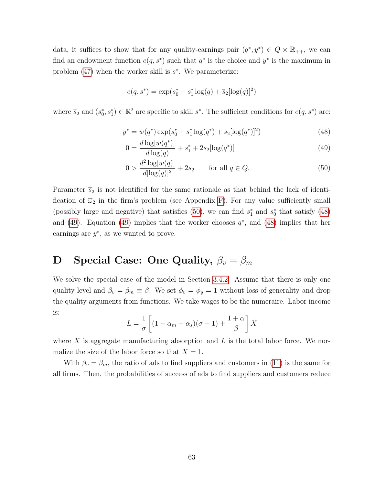data, it suffices to show that for any quality-earnings pair  $(q^*, y^*) \in Q \times \mathbb{R}_{++}$ , we can find an endowment function  $e(q, s^*)$  such that  $q^*$  is the choice and  $y^*$  is the maximum in problem  $(47)$  when the worker skill is  $s^*$ . We parameterize:

$$
e(q, s^*) = \exp(s_0^* + s_1^* \log(q) + \overline{s}_2[\log(q)]^2)
$$

where  $\overline{s}_2$  and  $(s_0^*, s_1^*) \in \mathbb{R}^2$  are specific to skill  $s^*$ . The sufficient conditions for  $e(q, s^*)$  are:

$$
y^* = w(q^*) \exp(s_0^* + s_1^* \log(q^*) + \overline{s}_2[\log(q^*)]^2)
$$
\n(48)

<span id="page-64-3"></span><span id="page-64-2"></span>
$$
0 = \frac{d \log[w(q^*)]}{d \log(q)} + s_1^* + 2\overline{s}_2[\log(q^*)]
$$
\n(49)

<span id="page-64-1"></span>
$$
0 > \frac{d^2 \log[w(q)]}{d[\log(q)]^2} + 2\overline{s}_2 \quad \text{for all } q \in Q.
$$
 (50)

Parameter  $\bar{s}_2$  is not identified for the same rationale as that behind the lack of identification of  $\overline{\omega}_2$  in the firm's problem (see Appendix [F\)](#page-72-0). For any value sufficiently small (possibly large and negative) that satisfies [\(50\)](#page-64-1), we can find  $s_1^*$  and  $s_0^*$  that satisfy [\(48\)](#page-64-2) and [\(49\)](#page-64-3). Equation (49) implies that the worker chooses  $q^*$ , and [\(48\)](#page-64-2) implies that her earnings are  $y^*$ , as we wanted to prove.

## <span id="page-64-0"></span>**D** Special Case: One Quality,  $\beta_v = \beta_m$

We solve the special case of the model in Section [3.4.2.](#page-26-0) Assume that there is only one quality level and  $\beta_v = \beta_m \equiv \beta$ . We set  $\phi_v = \phi_y = 1$  without loss of generality and drop the quality arguments from functions. We take wages to be the numeraire. Labor income is:

$$
L = \frac{1}{\sigma} \left[ (1 - \alpha_m - \alpha_s)(\sigma - 1) + \frac{1 + \alpha}{\beta} \right] X
$$

where X is aggregate manufacturing absorption and  $L$  is the total labor force. We normalize the size of the labor force so that  $X = 1$ .

With  $\beta_v = \beta_m$ , the ratio of ads to find suppliers and customers in [\(11\)](#page-19-0) is the same for all firms. Then, the probabilities of success of ads to find suppliers and customers reduce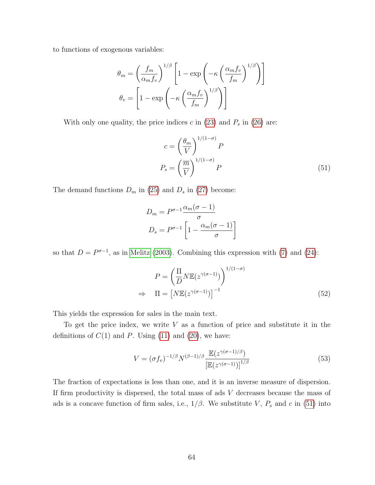to functions of exogenous variables:

$$
\theta_m = \left(\frac{f_m}{\alpha_m f_v}\right)^{1/\beta} \left[1 - \exp\left(-\kappa \left(\frac{\alpha_m f_v}{f_m}\right)^{1/\beta}\right)\right]
$$

$$
\theta_v = \left[1 - \exp\left(-\kappa \left(\frac{\alpha_m f_v}{f_m}\right)^{1/\beta}\right)\right]
$$

With only one quality, the price indices  $c$  in [\(23\)](#page-22-0) and  $P_s$  in [\(26\)](#page-24-0) are:

<span id="page-65-0"></span>
$$
c = \left(\frac{\theta_m}{V}\right)^{1/(1-\sigma)} P
$$
  

$$
P_s = \left(\frac{\overline{m}}{V}\right)^{1/(1-\sigma)} P
$$
 (51)

The demand functions  $D_m$  in [\(25\)](#page-23-0) and  $D_s$  in [\(27\)](#page-24-1) become:

$$
D_m = P^{\sigma - 1} \frac{\alpha_m(\sigma - 1)}{\sigma}
$$

$$
D_s = P^{\sigma - 1} \left[ 1 - \frac{\alpha_m(\sigma - 1)}{\sigma} \right]
$$

so that  $D = P^{\sigma-1}$ , as in [Melitz \(2003\)](#page-47-2). Combining this expression with [\(7\)](#page-18-1) and [\(24\)](#page-22-1):

<span id="page-65-1"></span>
$$
P = \left(\frac{\Pi}{D} N \mathbb{E}(z^{\gamma(\sigma-1)})\right)^{1/(1-\sigma)}
$$
  
\n
$$
\Rightarrow \Pi = \left[N \mathbb{E}(z^{\gamma(\sigma-1)})\right]^{-1}
$$
\n(52)

This yields the expression for sales in the main text.

To get the price index, we write  $V$  as a function of price and substitute it in the definitions of  $C(1)$  and P. Using  $(11)$  and  $(20)$ , we have:

$$
V = (\sigma f_v)^{-1/\beta} N^{(\beta - 1)/\beta} \frac{\mathbb{E}(z^{\gamma(\sigma - 1)/\beta})}{\left[\mathbb{E}(z^{\gamma(\sigma - 1)})\right]^{1/\beta}}
$$
(53)

The fraction of expectations is less than one, and it is an inverse measure of dispersion. If firm productivity is dispersed, the total mass of ads  $V$  decreases because the mass of ads is a concave function of firm sales, i.e.,  $1/\beta$ . We substitute V,  $P_s$  and c in [\(51\)](#page-65-0) into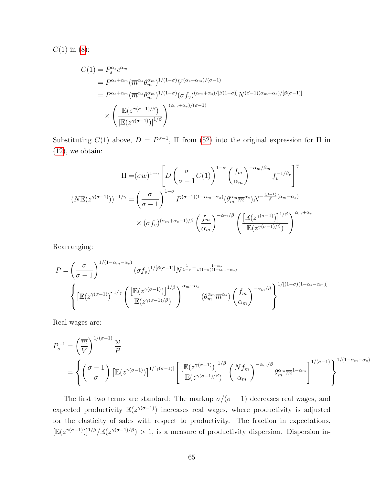$C(1)$  in [\(8\)](#page-18-0):

$$
C(1) = P_s^{\alpha_s} c^{\alpha_m}
$$
  
=  $P^{\alpha_s + \alpha_m} (\overline{m}^{\alpha_s} \theta_m^{\alpha_m})^{1/(1-\sigma)} V^{(\alpha_s + \alpha_m)/(\sigma-1)}$   
=  $P^{\alpha_s + \alpha_m} (\overline{m}^{\alpha_s} \theta_m^{\alpha_m})^{1/(1-\sigma)} (\sigma f_v)^{(\alpha_m + \alpha_s)/[\beta(1-\sigma)]} N^{(\beta-1)(\alpha_m + \alpha_s)/[\beta(\sigma-1)]}$   

$$
\times \left( \frac{\mathbb{E}(z^{\gamma(\sigma-1)/\beta})}{\left[\mathbb{E}(z^{\gamma(\sigma-1)})\right]^{1/\beta}} \right)^{(\alpha_m + \alpha_s)/(\sigma-1)}
$$

Substituting  $C(1)$  above,  $D = P^{\sigma-1}$ ,  $\Pi$  from [\(52\)](#page-65-1) into the original expression for  $\Pi$  in [\(12\)](#page-19-1), we obtain:

$$
\Pi = (\sigma w)^{1-\gamma} \left[ D \left( \frac{\sigma}{\sigma - 1} C(1) \right)^{1-\sigma} \left( \frac{f_m}{\alpha_m} \right)^{-\alpha_m/\beta_m} f_v^{-1/\beta_v} \right]^\gamma
$$

$$
(N \mathbb{E}(z^{\gamma(\sigma-1)}))^{-1/\gamma} = \left( \frac{\sigma}{\sigma - 1} \right)^{1-\sigma} P^{(\sigma-1)(1-\alpha_m-\alpha_s)} \left( \theta_m^{\alpha_m} \overline{m}^{\alpha_s} \right) N^{-\frac{(\beta-1)}{\beta}(\alpha_m+\alpha_s)}
$$

$$
\times (\sigma f_v)^{(\alpha_m+\alpha_s-1)/\beta} \left( \frac{f_m}{\alpha_m} \right)^{-\alpha_m/\beta} \left( \frac{\left[ \mathbb{E}(z^{\gamma(\sigma-1)}) \right]^{1/\beta}}{\mathbb{E}(z^{\gamma(\sigma-1)/\beta})} \right)^{\alpha_m+\alpha_s}
$$

Rearranging:

$$
P = \left(\frac{\sigma}{\sigma - 1}\right)^{1/(1 - \alpha_m - \alpha_s)} (\sigma f_v)^{1/[\beta(\sigma - 1)]} N^{\frac{1}{1 - \sigma} - \frac{1 - \alpha_s}{\beta(1 - \sigma)(1 - \alpha_m - \alpha_s)}}
$$

$$
\left\{ \left[\mathbb{E}(z^{\gamma(\sigma - 1)})\right]^{1/\gamma} \left(\frac{\left[\mathbb{E}(z^{\gamma(\sigma - 1)})\right]^{1/\beta}}{\mathbb{E}(z^{\gamma(\sigma - 1)/\beta})}\right)^{\alpha_m + \alpha_s} (\theta_m^{\alpha_m} \overline{m}^{\alpha_s}) \left(\frac{f_m}{\alpha_m}\right)^{-\alpha_m/\beta} \right\}^{1/[(1 - \sigma)(1 - \alpha_s - \alpha_m)]}
$$

Real wages are:

$$
P_s^{-1} = \left(\frac{\overline{m}}{V}\right)^{1/(\sigma-1)} \frac{w}{P}
$$
  
= 
$$
\left\{ \left(\frac{\sigma-1}{\sigma}\right) \left[\mathbb{E}(z^{\gamma(\sigma-1)})\right]^{1/[\gamma(\sigma-1)]} \left[\frac{\left[\mathbb{E}(z^{\gamma(\sigma-1)})\right]^{1/\beta}}{\mathbb{E}(z^{\gamma(\sigma-1)/\beta})} \left(\frac{Nf_m}{\alpha_m}\right)^{-\alpha_m/\beta} \theta_m^{\alpha_m} \overline{m}^{1-\alpha_m} \right]^{1/(\sigma-1)} \right\}^{1/(1-\alpha_m-\alpha_s)}
$$

The first two terms are standard: The markup  $\sigma/(\sigma - 1)$  decreases real wages, and expected productivity  $\mathbb{E}(z^{\gamma(\sigma-1)})$  increases real wages, where productivity is adjusted for the elasticity of sales with respect to productivity. The fraction in expectations,  $[\mathbb{E}(z^{\gamma(\sigma-1)})]^{1/\beta}/\mathbb{E}(z^{\gamma(\sigma-1)/\beta}) > 1$ , is a measure of productivity dispersion. Dispersion in-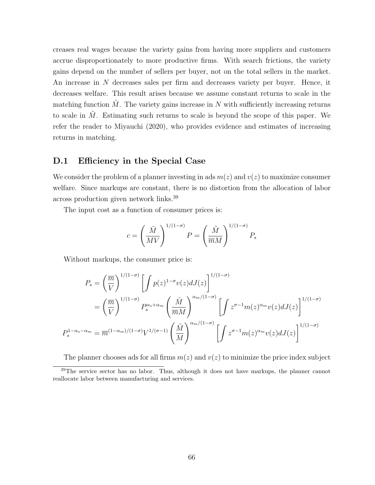creases real wages because the variety gains from having more suppliers and customers accrue disproportionately to more productive firms. With search frictions, the variety gains depend on the number of sellers per buyer, not on the total sellers in the market. An increase in N decreases sales per firm and decreases variety per buyer. Hence, it decreases welfare. This result arises because we assume constant returns to scale in the matching function  $\tilde{M}$ . The variety gains increase in N with sufficiently increasing returns to scale in  $\tilde{M}$ . Estimating such returns to scale is beyond the scope of this paper. We refer the reader to Miyauchi (2020), who provides evidence and estimates of increasing returns in matching.

#### <span id="page-67-0"></span>D.1 Efficiency in the Special Case

We consider the problem of a planner investing in ads  $m(z)$  and  $v(z)$  to maximize consumer welfare. Since markups are constant, there is no distortion from the allocation of labor across production given network links.<sup>39</sup>

The input cost as a function of consumer prices is:

$$
c = \left(\frac{\tilde{M}}{MV}\right)^{1/(1-\sigma)} P = \left(\frac{\tilde{M}}{\overline{m}M}\right)^{1/(1-\sigma)} P_s
$$

Without markups, the consumer price is:

$$
P_s = \left(\frac{\overline{m}}{V}\right)^{1/(1-\sigma)} \left[\int p(z)^{1-\sigma} v(z) dJ(z)\right]^{1/(1-\sigma)}
$$
  

$$
= \left(\frac{\overline{m}}{V}\right)^{1/(1-\sigma)} P_s^{\alpha_s + \alpha_m} \left(\frac{\tilde{M}}{\overline{m}M}\right)^{\alpha_m/(1-\sigma)} \left[\int z^{\sigma-1} m(z)^{\alpha_m} v(z) dJ(z)\right]^{1/(1-\sigma)}
$$
  

$$
P_s^{1-\alpha_s-\alpha_m} = \overline{m}^{(1-\alpha_m)/(1-\sigma)} V^{1/(\sigma-1)} \left(\frac{\tilde{M}}{M}\right)^{\alpha_m/(1-\sigma)} \left[\int z^{\sigma-1} m(z)^{\alpha_m} v(z) dJ(z)\right]^{1/(1-\sigma)}
$$

The planner chooses ads for all firms  $m(z)$  and  $v(z)$  to minimize the price index subject

<sup>&</sup>lt;sup>39</sup>The service sector has no labor. Thus, although it does not have markups, the planner cannot reallocate labor between manufacturing and services.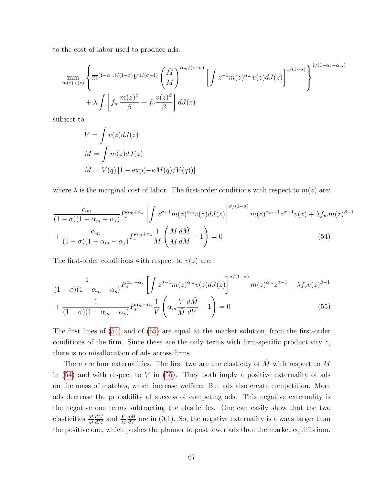to the cost of labor used to produce ads.

$$
\min_{m(z),v(z)} \left\{ \overline{m}^{(1-\alpha_m)/(1-\sigma)} V^{1/(\sigma-1)} \left(\frac{\tilde{M}}{M}\right)^{\alpha_m/(1-\sigma)} \left[\int z^{-1} m(z)^{\alpha_m} v(z) dJ(z)\right]^{1/(1-\sigma)} \right\}^{1/(1-\alpha_s-\alpha_m)} + \lambda \int \left[ f_m \frac{m(z)^{\beta}}{\beta} + f_v \frac{v(z)^{\beta}}{\beta} \right] dJ(z)
$$

subject to

<span id="page-68-0"></span>
$$
V = \int v(z)dJ(z)
$$
  
\n
$$
M = \int m(z)dJ(z)
$$
  
\n
$$
\tilde{M} = V(q) [1 - \exp(-\kappa M(q)/V(q))]
$$

where  $\lambda$  is the marginal cost of labor. The first-order conditions with respect to  $m(z)$  are:

$$
\frac{\alpha_m}{(1-\sigma)(1-\alpha_m-\alpha_s)} P_s^{\alpha_m+\alpha_s} \left[ \int z^{\sigma-1} m(z)^{\alpha_m} v(z) dJ(z) \right]^{\sigma/(1-\sigma)} m(z)^{\alpha_m-1} z^{\sigma-1} v(z) + \lambda f_m m(z)^{\beta-1}
$$

$$
+ \frac{\alpha_m}{(1-\sigma)(1-\alpha_m-\alpha_s)} P_s^{\alpha_m+\alpha_s} \frac{1}{M} \left( \frac{M}{\tilde{M}} \frac{d\tilde{M}}{dM} - 1 \right) = 0 \tag{54}
$$

The first-order conditions with respect to  $v(z)$  are:

<span id="page-68-1"></span>
$$
\frac{1}{(1-\sigma)(1-\alpha_m-\alpha_s)}P_s^{\alpha_m+\alpha_s} \left[ \int z^{\sigma-1} m(z)^{\alpha_m} v(z) dJ(z) \right]^{\sigma/(1-\sigma)} m(z)^{\alpha_m} z^{\sigma-1} + \lambda f_v v(z)^{\beta-1} + \frac{1}{(1-\sigma)(1-\alpha_m-\alpha_s)} P_s^{\alpha_m+\alpha_s} \frac{1}{V} \left( \alpha_m \frac{V}{\tilde{M}} \frac{d\tilde{M}}{dV} - 1 \right) = 0 \tag{55}
$$

The first lines of [\(54\)](#page-68-0) and of [\(55\)](#page-68-1) are equal at the market solution, from the first-order conditions of the firm. Since these are the only terms with firm-specific productivity  $z$ , there is no misallocation of ads across firms.

There are four externalities. The first two are the elasticity of  $\tilde{M}$  with respect to M in  $(54)$  and with respect to V in  $(55)$ . They both imply a positive externality of ads on the mass of matches, which increase welfare. But ads also create competition. More ads decrease the probability of success of competing ads. This negative externality is the negative one terms subtracting the elasticities. One can easily show that the two elasticities  $\frac{M}{\tilde{M}}$  $\frac{d\tilde{M}}{dM}$  and  $\frac{V}{\tilde{M}}$  $\frac{d\tilde{M}}{dV}$  are in (0,1). So, the negative externality is always larger than the positive one, which pushes the planner to post fewer ads than the market equilibrium.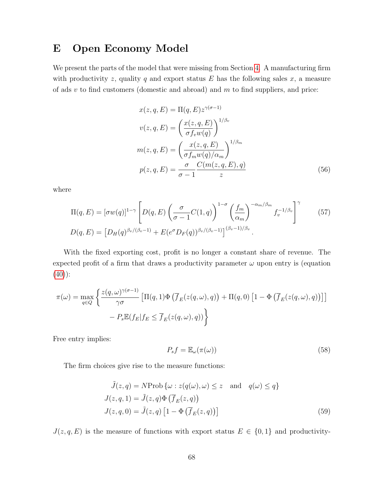## <span id="page-69-1"></span>E Open Economy Model

We present the parts of the model that were missing from Section [4.](#page-27-0) A manufacturing firm with productivity z, quality q and export status  $E$  has the following sales  $x$ , a measure of ads  $v$  to find customers (domestic and abroad) and  $m$  to find suppliers, and price:

<span id="page-69-0"></span>
$$
x(z, q, E) = \Pi(q, E) z^{\gamma(\sigma - 1)}
$$
  
\n
$$
v(z, q, E) = \left(\frac{x(z, q, E)}{\sigma f_v w(q)}\right)^{1/\beta_v}
$$
  
\n
$$
m(z, q, E) = \left(\frac{x(z, q, E)}{\sigma f_m w(q)/\alpha_m}\right)^{1/\beta_m}
$$
  
\n
$$
p(z, q, E) = \frac{\sigma}{\sigma - 1} \frac{C(m(z, q, E), q)}{z}
$$
 (56)

where

$$
\Pi(q, E) = [\sigma w(q)]^{1-\gamma} \left[ D(q, E) \left( \frac{\sigma}{\sigma - 1} C(1, q) \right)^{1-\sigma} \left( \frac{f_m}{\alpha_m} \right)^{-\alpha_m/\beta_m} f_v^{-1/\beta_v} \right]^\gamma
$$
\n
$$
D(q, E) = \left[ D_H(q)^{\beta_v/(\beta_v - 1)} + E(e^{\sigma} D_F(q))^{\beta_v/(\beta_v - 1)} \right]^{(\beta_v - 1)/\beta_v}.
$$
\n(57)

With the fixed exporting cost, profit is no longer a constant share of revenue. The expected profit of a firm that draws a productivity parameter  $\omega$  upon entry is (equation  $(40)$ :

$$
\pi(\omega) = \max_{q \in Q} \left\{ \frac{z(q, \omega)^{\gamma(\sigma - 1)}}{\gamma \sigma} \left[ \Pi(q, 1) \Phi \left( \overline{f}_E(z(q, \omega), q) \right) + \Pi(q, 0) \left[ 1 - \Phi \left( \overline{f}_E(z(q, \omega), q) \right) \right] \right] - P_s \mathbb{E}(f_E | f_E \le \overline{f}_E(z(q, \omega), q)) \right\}
$$

Free entry implies:

$$
P_s f = \mathbb{E}_{\omega}(\pi(\omega))
$$
\n(58)

The firm choices give rise to the measure functions:

$$
\tilde{J}(z,q) = N \text{Prob} \{ \omega : z(q(\omega), \omega) \le z \text{ and } q(\omega) \le q \}
$$
  

$$
J(z,q,1) = \tilde{J}(z,q) \Phi \left( \overline{f}_E(z,q) \right)
$$
  

$$
J(z,q,0) = \tilde{J}(z,q) \left[ 1 - \Phi \left( \overline{f}_E(z,q) \right) \right]
$$
 (59)

 $J(z, q, E)$  is the measure of functions with export status  $E \in \{0, 1\}$  and productivity-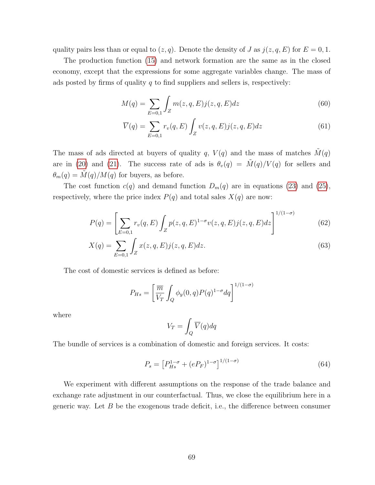quality pairs less than or equal to  $(z, q)$ . Denote the density of J as  $j(z, q, E)$  for  $E = 0, 1$ .

The production function [\(15\)](#page-20-0) and network formation are the same as in the closed economy, except that the expressions for some aggregate variables change. The mass of ads posted by firms of quality  $q$  to find suppliers and sellers is, respectively:

$$
M(q) = \sum_{E=0,1} \int_{Z} m(z, q, E) j(z, q, E) dz
$$
 (60)

$$
\overline{V}(q) = \sum_{E=0,1} r_v(q, E) \int_Z v(z, q, E) j(z, q, E) dz
$$
\n(61)

The mass of ads directed at buyers of quality q,  $V(q)$  and the mass of matches  $\tilde{M}(q)$ are in [\(20\)](#page-22-2) and [\(21\)](#page-22-3). The success rate of ads is  $\theta_v(q) = \tilde{M}(q)/V(q)$  for sellers and  $\theta_m(q) = \tilde{M}(q)/M(q)$  for buyers, as before.

The cost function  $c(q)$  and demand function  $D_m(q)$  are in equations [\(23\)](#page-22-0) and [\(25\)](#page-23-0), respectively, where the price index  $P(q)$  and total sales  $X(q)$  are now:

$$
P(q) = \left[ \sum_{E=0,1} r_v(q,E) \int_Z p(z,q,E)^{1-\sigma} v(z,q,E) j(z,q,E) dz \right]^{1/(1-\sigma)}
$$
(62)

$$
X(q) = \sum_{E=0,1} \int_{Z} x(z,q,E) j(z,q,E) dz.
$$
 (63)

The cost of domestic services is defined as before:

$$
P_{Hs} = \left[\frac{\overline{m}}{V_T} \int_Q \phi_y(0, q) P(q)^{1-\sigma} dq\right]^{1/(1-\sigma)}
$$

where

$$
V_T = \int_Q \overline{V}(q) dq
$$

The bundle of services is a combination of domestic and foreign services. It costs:

$$
P_s = \left[ P_{Hs}^{1-\sigma} + (eP_F)^{1-\sigma} \right]^{1/(1-\sigma)} \tag{64}
$$

We experiment with different assumptions on the response of the trade balance and exchange rate adjustment in our counterfactual. Thus, we close the equilibrium here in a generic way. Let  $B$  be the exogenous trade deficit, i.e., the difference between consumer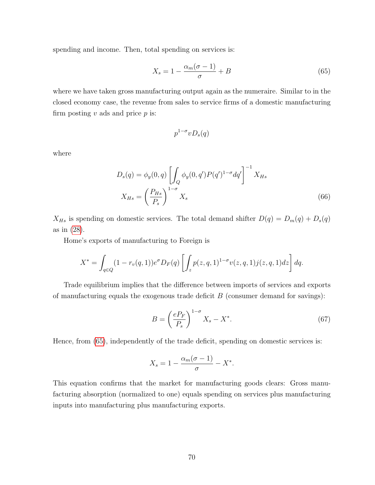spending and income. Then, total spending on services is:

<span id="page-71-0"></span>
$$
X_s = 1 - \frac{\alpha_m(\sigma - 1)}{\sigma} + B \tag{65}
$$

where we have taken gross manufacturing output again as the numeraire. Similar to in the closed economy case, the revenue from sales to service firms of a domestic manufacturing firm posting  $v$  ads and price  $p$  is:

$$
p^{1-\sigma}vD_s(q)
$$

where

$$
D_s(q) = \phi_y(0, q) \left[ \int_Q \phi_y(0, q') P(q')^{1-\sigma} dq' \right]^{-1} X_{Hs}
$$

$$
X_{Hs} = \left( \frac{P_{Hs}}{P_s} \right)^{1-\sigma} X_s
$$
(66)

 $X_{Hs}$  is spending on domestic services. The total demand shifter  $D(q) = D_m(q) + D_s(q)$ as in [\(28\)](#page-24-2).

Home's exports of manufacturing to Foreign is

$$
X^* = \int_{q \in Q} (1 - r_v(q, 1)) e^{\sigma} D_F(q) \left[ \int_z p(z, q, 1)^{1 - \sigma} v(z, q, 1) j(z, q, 1) dz \right] dq.
$$

Trade equilibrium implies that the difference between imports of services and exports of manufacturing equals the exogenous trade deficit  $B$  (consumer demand for savings):

$$
B = \left(\frac{eP_F}{P_s}\right)^{1-\sigma} X_s - X^*.
$$
\n(67)

Hence, from [\(65\)](#page-71-0), independently of the trade deficit, spending on domestic services is:

$$
X_s = 1 - \frac{\alpha_m(\sigma - 1)}{\sigma} - X^*.
$$

This equation confirms that the market for manufacturing goods clears: Gross manufacturing absorption (normalized to one) equals spending on services plus manufacturing inputs into manufacturing plus manufacturing exports.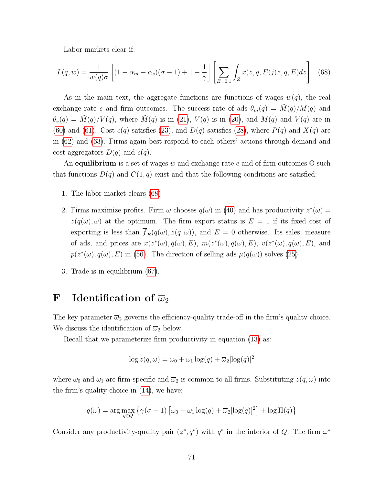Labor markets clear if:

<span id="page-72-0"></span>
$$
L(q, w) = \frac{1}{w(q)\sigma} \left[ (1 - \alpha_m - \alpha_s)(\sigma - 1) + 1 - \frac{1}{\gamma} \right] \left[ \sum_{E=0,1} \int_Z x(z, q, E) j(z, q, E) dz \right].
$$
 (68)

As in the main text, the aggregate functions are functions of wages  $w(q)$ , the real exchange rate e and firm outcomes. The success rate of ads  $\theta_m(q) = \tilde{M}(q)/M(q)$  and  $\theta_v(q) = \tilde{M}(q)/V(q)$ , where  $\tilde{M}(q)$  is in [\(21\)](#page-22-0),  $V(q)$  is in [\(20\)](#page-22-1), and  $M(q)$  and  $\overline{V}(q)$  are in [\(60\)](#page-70-0) and [\(61\)](#page-70-1). Cost  $c(q)$  satisfies [\(23\)](#page-22-2), and  $D(q)$  satisfies [\(28\)](#page-24-0), where  $P(q)$  and  $X(q)$  are in [\(62\)](#page-70-2) and [\(63\)](#page-70-3). Firms again best respond to each others' actions through demand and cost aggregators  $D(q)$  and  $c(q)$ .

An equilibrium is a set of wages w and exchange rate e and of firm outcomes  $\Theta$  such that functions  $D(q)$  and  $C(1, q)$  exist and that the following conditions are satisfied:

- 1. The labor market clears [\(68\)](#page-72-0).
- 2. Firms maximize profits. Firm  $\omega$  chooses  $q(\omega)$  in [\(40\)](#page-29-0) and has productivity  $z^*(\omega) =$  $z(q(\omega), \omega)$  at the optimum. The firm export status is  $E = 1$  if its fixed cost of exporting is less than  $\overline{f}_E(q(\omega), z(q, \omega))$ , and  $E = 0$  otherwise. Its sales, measure of ads, and prices are  $x(z^*(\omega), q(\omega), E)$ ,  $m(z^*(\omega), q(\omega), E)$ ,  $v(z^*(\omega), q(\omega), E)$ , and  $p(z^*(\omega), q(\omega), E)$  in [\(56\)](#page-69-0). The direction of selling ads  $\mu(q(\omega))$  solves [\(25\)](#page-23-0).
- 3. Trade is in equilibrium [\(67\)](#page-71-0).

# F Identification of  $\overline{\omega}_2$

The key parameter  $\bar{\omega}_2$  governs the efficiency-quality trade-off in the firm's quality choice. We discuss the identification of  $\overline{\omega}_2$  below.

Recall that we parameterize firm productivity in equation  $(13)$  as:

$$
\log z(q,\omega) = \omega_0 + \omega_1 \log(q) + \overline{\omega}_2 [\log(q)]^2
$$

where  $\omega_0$  and  $\omega_1$  are firm-specific and  $\overline{\omega}_2$  is common to all firms. Substituting  $z(q,\omega)$  into the firm's quality choice in [\(14\)](#page-19-1), we have:

$$
q(\omega) = \arg \max_{q \in Q} \left\{ \gamma(\sigma - 1) \left[ \omega_0 + \omega_1 \log(q) + \overline{\omega}_2 [\log(q)]^2 \right] + \log \Pi(q) \right\}
$$

Consider any productivity-quality pair  $(z^*, q^*)$  with  $q^*$  in the interior of Q. The firm  $\omega^*$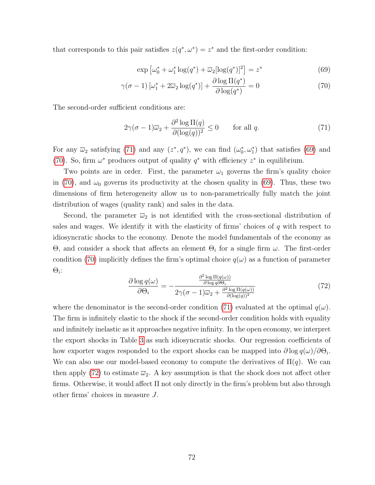that corresponds to this pair satisfies  $z(q^*, \omega^*) = z^*$  and the first-order condition:

<span id="page-73-2"></span><span id="page-73-1"></span>
$$
\exp\left[\omega_0^* + \omega_1^* \log(q^*) + \overline{\omega}_2[\log(q^*)]^2\right] = z^*
$$
\n(69)

$$
\gamma(\sigma - 1) \left[ \omega_1^* + 2\overline{\omega}_2 \log(q^*) \right] + \frac{\partial \log \Pi(q^*)}{\partial \log(q^*)} = 0 \tag{70}
$$

The second-order sufficient conditions are:

<span id="page-73-0"></span>
$$
2\gamma(\sigma - 1)\overline{\omega}_2 + \frac{\partial^2 \log \Pi(q)}{\partial (\log(q))^2} \le 0 \qquad \text{for all } q. \tag{71}
$$

For any  $\overline{\omega}_2$  satisfying [\(71\)](#page-73-0) and any  $(z^*, q^*)$ , we can find  $(\omega_0^*, \omega_1^*)$  that satisfies [\(69\)](#page-73-1) and [\(70\)](#page-73-2). So, firm  $\omega^*$  produces output of quality  $q^*$  with efficiency  $z^*$  in equilibrium.

Two points are in order. First, the parameter  $\omega_1$  governs the firm's quality choice in [\(70\)](#page-73-2), and  $\omega_0$  governs its productivity at the chosen quality in [\(69\)](#page-73-1). Thus, these two dimensions of firm heterogeneity allow us to non-parametrically fully match the joint distribution of wages (quality rank) and sales in the data.

Second, the parameter  $\overline{\omega}_2$  is not identified with the cross-sectional distribution of sales and wages. We identify it with the elasticity of firms' choices of  $q$  with respect to idiosyncratic shocks to the economy. Denote the model fundamentals of the economy as Θ, and consider a shock that affects an element  $Θ<sub>i</sub>$  for a single firm  $ω$ . The first-order condition [\(70\)](#page-73-2) implicitly defines the firm's optimal choice  $q(\omega)$  as a function of parameter  $\Theta_i$ :

<span id="page-73-3"></span>
$$
\frac{\partial \log q(\omega)}{\partial \Theta_i} = -\frac{\frac{\partial^2 \log \Pi(q(\omega))}{\partial \log q \partial \Theta_i}}{2\gamma(\sigma - 1)\overline{\omega}_2 + \frac{\partial^2 \log \Pi(q(\omega))}{\partial (\log(q))^2}}
$$
(72)

where the denominator is the second-order condition [\(71\)](#page-73-0) evaluated at the optimal  $q(\omega)$ . The firm is infinitely elastic to the shock if the second-order condition holds with equality and infinitely inelastic as it approaches negative infinity. In the open economy, we interpret the export shocks in Table [3](#page-13-0) as such idiosyncratic shocks. Our regression coefficients of how exporter wages responded to the export shocks can be mapped into  $\partial \log q(\omega) / \partial \Theta_i$ . We can also use our model-based economy to compute the derivatives of  $\Pi(q)$ . We can then apply [\(72\)](#page-73-3) to estimate  $\overline{\omega}_2$ . A key assumption is that the shock does not affect other firms. Otherwise, it would affect  $\Pi$  not only directly in the firm's problem but also through other firms' choices in measure J.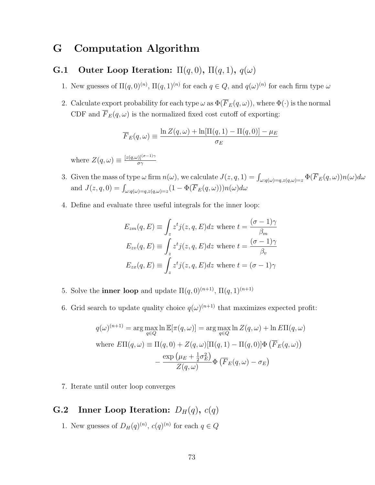# G Computation Algorithm

## G.1 Outer Loop Iteration:  $\Pi(q, 0)$ ,  $\Pi(q, 1)$ ,  $q(\omega)$

- 1. New guesses of  $\Pi(q,0)^{(n)}$ ,  $\Pi(q,1)^{(n)}$  for each  $q \in Q$ , and  $q(\omega)^{(n)}$  for each firm type  $\omega$
- 2. Calculate export probability for each type  $\omega$  as  $\Phi(\overline{F}_E(q,\omega))$ , where  $\Phi(\cdot)$  is the normal CDF and  $\overline{F}_E(q,\omega)$  is the normalized fixed cost cutoff of exporting:

$$
\overline{F}_E(q,\omega) \equiv \frac{\ln Z(q,\omega) + \ln[\Pi(q,1) - \Pi(q,0)] - \mu_E}{\sigma_E}
$$

where  $Z(q,\omega) \equiv \frac{[z(q,\omega)]^{(\sigma-1)\gamma}}{\sigma \gamma}$ σγ

- 3. Given the mass of type  $\omega$  firm  $n(\omega)$ , we calculate  $J(z,q,1) = \int_{\omega:q(\omega)=q,z(q,\omega)=z} \Phi(\overline{F}_E(q,\omega))n(\omega)d\omega$ and  $J(z,q,0) = \int_{\omega:q(\omega)=q,z(q,\omega)=z} (1 - \Phi(\overline{F}_E(q,\omega)))n(\omega)d\omega$
- 4. Define and evaluate three useful integrals for the inner loop:

$$
E_{zm}(q, E) \equiv \int_z z^t j(z, q, E) dz \text{ where } t = \frac{(\sigma - 1)\gamma}{\beta_m}
$$

$$
E_{zw}(q, E) \equiv \int_z z^t j(z, q, E) dz \text{ where } t = \frac{(\sigma - 1)\gamma}{\beta_v}
$$

$$
E_{zx}(q, E) \equiv \int_z z^t j(z, q, E) dz \text{ where } t = (\sigma - 1)\gamma
$$

- 5. Solve the **inner loop** and update  $\Pi(q,0)^{(n+1)}$ ,  $\Pi(q,1)^{(n+1)}$
- 6. Grid search to update quality choice  $q(\omega)^{(n+1)}$  that maximizes expected profit:

$$
q(\omega)^{(n+1)} = \arg\max_{q \in Q} \ln \mathbb{E}[\pi(q, \omega)] = \arg\max_{q \in Q} \ln Z(q, \omega) + \ln E\Pi(q, \omega)
$$
  
where 
$$
E\Pi(q, \omega) \equiv \Pi(q, 0) + Z(q, \omega)[\Pi(q, 1) - \Pi(q, 0)]\Phi(\overline{F}_E(q, \omega)) - \frac{\exp(\mu_E + \frac{1}{2}\sigma_E^2)}{Z(q, \omega)}\Phi(\overline{F}_E(q, \omega) - \sigma_E)
$$

7. Iterate until outer loop converges

### G.2 Inner Loop Iteration:  $D_H(q)$ ,  $c(q)$

1. New guesses of  $D_H(q)^{(n)}$ ,  $c(q)^{(n)}$  for each  $q \in Q$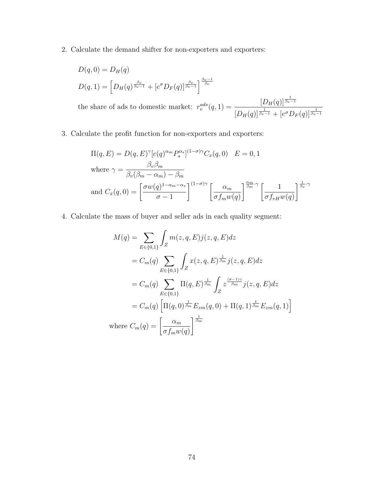2. Calculate the demand shifter for non-exporters and exporters:

$$
D(q, 0) = D_H(q)
$$
  
\n
$$
D(q, 1) = \left[ D_H(q)^{\frac{\beta_v}{\beta_v - 1}} + \left[ e^{\sigma} D_F(q) \right]^{\frac{\beta_v}{\beta_v - 1}} \right]^{\frac{\beta_v - 1}{\beta_v}}
$$
  
\nthe share of ads to domestic market:  $r_v^{ads}(q, 1) = \frac{\left[ D_H(q) \right]^{\frac{1}{\beta_v - 1}}}{\left[ D_H(q) \right]^{\frac{1}{\beta_v - 1}} + \left[ e^{\sigma} D_F(q) \right]^{\frac{1}{\beta_v - 1}}}$ 

3. Calculate the profit function for non-exporters and exporters:

$$
\Pi(q, E) = D(q, E)^{\gamma} [c(q)^{\alpha_m} P_s^{\alpha_s}]^{(1-\sigma)\gamma} C_x(q, 0) \quad E = 0, 1
$$
\nwhere  $\gamma = \frac{\beta_v \beta_m}{\beta_v (\beta_m - \alpha_m) - \beta_m}$   
\nand  $C_x(q, 0) = \left[ \frac{\sigma w(q)^{1-\alpha_m - \alpha_s}}{\sigma - 1} \right]^{(1-\sigma)\gamma} \left[ \frac{\alpha_m}{\sigma f_m w(q)} \right]^{\frac{\alpha_m}{\beta_m} \cdot \gamma} \left[ \frac{1}{\sigma f_{vH} w(q)} \right]^{\frac{1}{\beta_v} \cdot \gamma}$ 

4. Calculate the mass of buyer and seller ads in each quality segment:

$$
M(q) = \sum_{E \in \{0,1\}} \int_{Z} m(z, q, E) j(z, q, E) dz
$$
  
=  $C_m(q) \sum_{E \in \{0,1\}} \int_{Z} x(z, q, E)^{\frac{1}{\beta_m}} j(z, q, E) dz$   
=  $C_m(q) \sum_{E \in \{0,1\}} \Pi(q, E)^{\frac{1}{\beta_m}} \int_{Z} z^{\frac{(\sigma-1)\gamma}{\beta_m}} j(z, q, E) dz$   
=  $C_m(q) \left[ \Pi(q, 0)^{\frac{1}{\beta_m}} E_{zm}(q, 0) + \Pi(q, 1)^{\frac{1}{\beta_m}} E_{zm}(q, 1) \right]$   
where  $C_m(q) = \left[ \frac{\alpha_m}{\sigma f_m w(q)} \right]^{\frac{1}{\beta_m}}$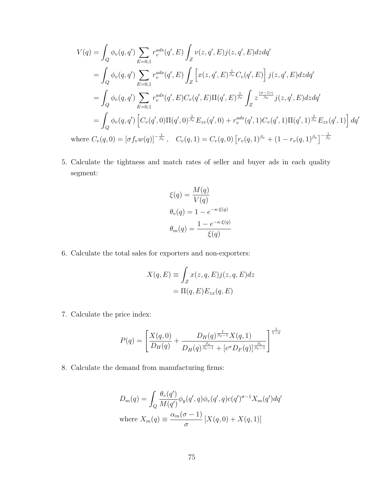$$
V(q) = \int_{Q} \phi_{v}(q, q') \sum_{E=0,1} r_v^{ads}(q', E) \int_{Z} v(z, q', E) j(z, q', E) dz dq'
$$
  
\n
$$
= \int_{Q} \phi_{v}(q, q') \sum_{E=0,1} r_v^{ads}(q', E) \int_{Z} \left[ x(z, q', E)^{\frac{1}{\beta_{v}}} C_{v}(q', E) \right] j(z, q', E) dz dq'
$$
  
\n
$$
= \int_{Q} \phi_{v}(q, q') \sum_{E=0,1} r_v^{ads}(q', E) C_{v}(q', E) \Pi(q', E)^{\frac{1}{\beta_{v}}} \int_{Z} z^{\frac{(\sigma-1)\gamma}{\beta_{v}}} j(z, q', E) dz dq'
$$
  
\n
$$
= \int_{Q} \phi_{v}(q, q') \left[ C_{v}(q', 0) \Pi(q', 0)^{\frac{1}{\beta_{v}}} E_{zv}(q', 0) + r_v^{ads}(q', 1) C_{v}(q', 1) \Pi(q', 1)^{\frac{1}{\beta_{v}}} E_{zv}(q', 1) \right] dq'
$$
  
\nwhere  $C_{v}(q, 0) = [\sigma f_{v} w(q)]^{-\frac{1}{\beta_{v}}}, \quad C_{v}(q, 1) = C_{v}(q, 0) [r_{v}(q, 1)^{\beta_{v}} + (1 - r_{v}(q, 1)^{\beta_{v}}]^{-\frac{1}{\beta_{v}}}$ 

5. Calculate the tightness and match rates of seller and buyer ads in each quality segment:

$$
\xi(q) = \frac{M(q)}{V(q)}
$$

$$
\theta_v(q) = 1 - e^{-\kappa \cdot \xi(q)}
$$

$$
\theta_m(q) = \frac{1 - e^{-\kappa \cdot \xi(q)}}{\xi(q)}
$$

6. Calculate the total sales for exporters and non-exporters:

$$
X(q, E) \equiv \int_{Z} x(z, q, E) j(z, q, E) dz
$$

$$
= \Pi(q, E) E_{zx}(q, E)
$$

7. Calculate the price index:

$$
P(q) = \left[\frac{X(q,0)}{D_H(q)} + \frac{D_H(q)^{\frac{1}{\beta_v - 1}} X(q,1)}{D_H(q)^{\frac{\beta_v}{\beta_v - 1}} + [e^{\sigma} D_F(q)]^{\frac{\beta_v}{\beta_v - 1}}}\right]^{\frac{1}{1 - \sigma}}
$$

8. Calculate the demand from manufacturing firms:

$$
D_m(q) = \int_Q \frac{\theta_v(q')}{M(q')}\phi_y(q',q)\phi_v(q',q)c(q')^{\sigma-1}X_m(q')dq'
$$
  
where  $X_m(q) \equiv \frac{\alpha_m(\sigma-1)}{\sigma} [X(q,0) + X(q,1)]$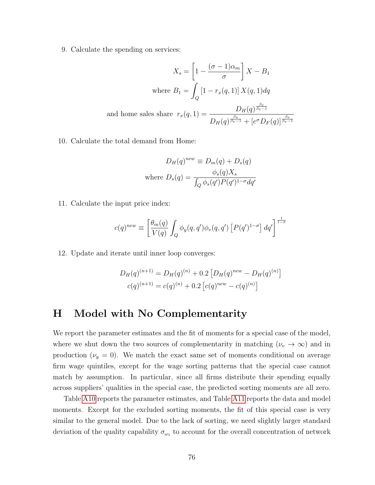9. Calculate the spending on services:

$$
X_s = \left[1 - \frac{(\sigma - 1)\alpha_m}{\sigma}\right]X - B_1
$$
  
where  $B_1 = \int_Q \left[1 - r_x(q, 1)\right]X(q, 1)dq$   
and home sales share  $r_x(q, 1) = \frac{D_H(q)^{\frac{\beta_v}{\beta_v - 1}}}{D_H(q)^{\frac{\beta_v}{\beta_v - 1}} + [e^{\sigma}D_F(q)]^{\frac{\beta_v}{\beta_v - 1}}}$ 

10. Calculate the total demand from Home:

$$
D_H(q)^{new} \equiv D_m(q) + D_s(q)
$$
  
where 
$$
D_s(q) = \frac{\phi_s(q)X_s}{\int_Q \phi_s(q')P(q')^{1-\sigma}dq'}
$$

11. Calculate the input price index:

$$
c(q)^{new} \equiv \left[\frac{\theta_m(q)}{V(q)} \int_Q \phi_y(q,q') \phi_v(q,q') \left[P(q')^{1-\sigma}\right] dq'\right]^{\frac{1}{1-\sigma}}
$$

12. Update and iterate until inner loop converges:

$$
D_H(q)^{(n+1)} = D_H(q)^{(n)} + 0.2 \left[ D_H(q)^{new} - D_H(q)^{(n)} \right]
$$

$$
c(q)^{(n+1)} = c(q)^{(n)} + 0.2 \left[ c(q)^{new} - c(q)^{(n)} \right]
$$

## H Model with No Complementarity

We report the parameter estimates and the fit of moments for a special case of the model, where we shut down the two sources of complementarity in matching  $(\nu_v \to \infty)$  and in production  $(\nu_y = 0)$ . We match the exact same set of moments conditional on average firm wage quintiles, except for the wage sorting patterns that the special case cannot match by assumption. In particular, since all firms distribute their spending equally across suppliers' qualities in the special case, the predicted sorting moments are all zero.

Table [A10](#page-78-0) reports the parameter estimates, and Table [A11](#page-79-0) reports the data and model moments. Except for the excluded sorting moments, the fit of this special case is very similar to the general model. Due to the lack of sorting, we need slightly larger standard deviation of the quality capability  $\sigma_{\omega_1}$  to account for the overall concentration of network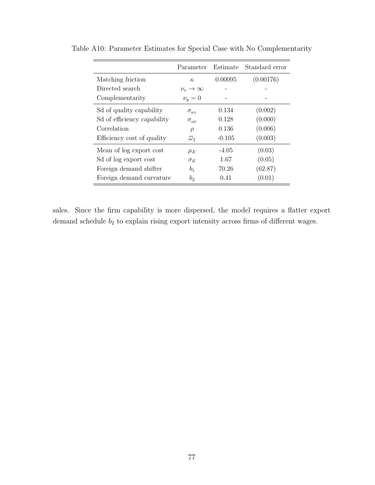|                             | Parameter                  | Estimate | Standard error |
|-----------------------------|----------------------------|----------|----------------|
| Matching friction           | $\kappa$                   | 0.00095  | (0.00176)      |
| Directed search             | $\nu_n \rightarrow \infty$ |          |                |
| Complementarity             | $\nu_y=0$                  |          |                |
| Sol of quality capability   | $\sigma_{\omega_1}$        | 0.134    | (0.002)        |
| Sd of efficiency capability | $\sigma_{\omega_0}$        | 0.128    | (0.000)        |
| Correlation                 | $\rho$                     | 0.136    | (0.006)        |
| Efficiency cost of quality  | $\overline{\omega}$        | $-0.105$ | (0.003)        |
| Mean of log export cost     | $\mu_E$                    | $-4.05$  | (0.03)         |
| Sd of log export cost       | $\sigma_E$                 | 1.67     | (0.05)         |
| Foreign demand shifter      | b <sub>1</sub>             | 70.26    | (62.87)        |
| Foreign demand curvature    | b <sub>2</sub>             | 0.41     | (0.01)         |

<span id="page-78-0"></span>Table A10: Parameter Estimates for Special Case with No Complementarity

sales. Since the firm capability is more dispersed, the model requires a flatter export demand schedule  $b_2$  to explain rising export intensity across firms of different wages.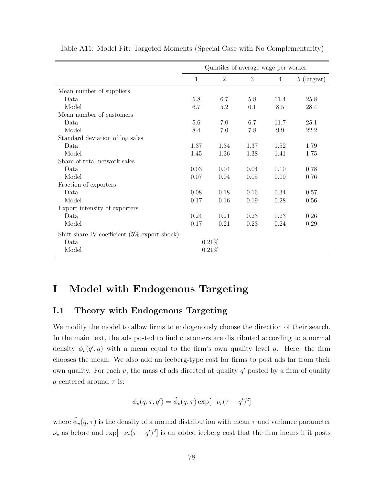|                                                 | Quintiles of average wage per worker |                |      |      |             |  |
|-------------------------------------------------|--------------------------------------|----------------|------|------|-------------|--|
|                                                 | $\mathbf{1}$                         | $\overline{2}$ | 3    | 4    | 5 (largest) |  |
| Mean number of suppliers                        |                                      |                |      |      |             |  |
| Data                                            | 5.8                                  | 6.7            | 5.8  | 11.4 | 25.8        |  |
| Model                                           | 6.7                                  | 5.2            | 6.1  | 8.5  | 28.4        |  |
| Mean number of customers                        |                                      |                |      |      |             |  |
| Data                                            | 5.6                                  | 7.0            | 6.7  | 11.7 | 25.1        |  |
| Model                                           | 8.4                                  | 7.0            | 7.8  | 9.9  | 22.2        |  |
| Standard deviation of log sales                 |                                      |                |      |      |             |  |
| Data                                            | 1.37                                 | 1.34           | 1.37 | 1.52 | 1.79        |  |
| Model                                           | 1.45                                 | 1.36           | 1.38 | 1.41 | 1.75        |  |
| Share of total network sales                    |                                      |                |      |      |             |  |
| Data                                            | 0.03                                 | 0.04           | 0.04 | 0.10 | 0.78        |  |
| Model                                           | 0.07                                 | 0.04           | 0.05 | 0.09 | 0.76        |  |
| Fraction of exporters                           |                                      |                |      |      |             |  |
| Data                                            | 0.08                                 | 0.18           | 0.16 | 0.34 | 0.57        |  |
| Model                                           | 0.17                                 | 0.16           | 0.19 | 0.28 | 0.56        |  |
| Export intensity of exporters                   |                                      |                |      |      |             |  |
| Data                                            | 0.24                                 | 0.21           | 0.23 | 0.23 | 0.26        |  |
| Model                                           | 0.17                                 | 0.21           | 0.23 | 0.24 | 0.29        |  |
| Shift-share IV coefficient $(5\%$ export shock) |                                      |                |      |      |             |  |
| Data                                            | 0.21%                                |                |      |      |             |  |
| Model                                           | 0.21%                                |                |      |      |             |  |

<span id="page-79-0"></span>Table A11: Model Fit: Targeted Moments (Special Case with No Complementarity)

# I Model with Endogenous Targeting

#### I.1 Theory with Endogenous Targeting

We modify the model to allow firms to endogenously choose the direction of their search. In the main text, the ads posted to find customers are distributed according to a normal density  $\phi_v(q', q)$  with a mean equal to the firm's own quality level q. Here, the firm chooses the mean. We also add an iceberg-type cost for firms to post ads far from their own quality. For each  $v$ , the mass of ads directed at quality  $q'$  posted by a firm of quality q centered around  $\tau$  is:

$$
\phi_v(q, \tau, q') = \tilde{\phi}_v(q, \tau) \exp[-\nu_c(\tau - q')^2]
$$

where  $\tilde{\phi}_v(q,\tau)$  is the density of a normal distribution with mean  $\tau$  and variance parameter  $\nu_v$  as before and  $\exp[-\nu_c(\tau - q')^2]$  is an added iceberg cost that the firm incurs if it posts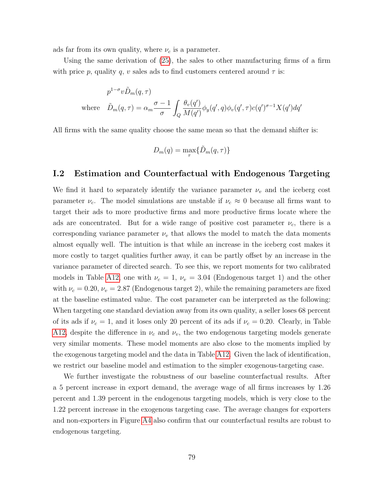ads far from its own quality, where  $\nu_c$  is a parameter.

Using the same derivation of [\(25\)](#page-23-0), the sales to other manufacturing firms of a firm with price p, quality q, v sales ads to find customers centered around  $\tau$  is:

$$
p^{1-\sigma}v\tilde{D}_m(q,\tau)
$$
  
where 
$$
\tilde{D}_m(q,\tau) = \alpha_m \frac{\sigma - 1}{\sigma} \int_Q \frac{\theta_v(q')}{M(q')}\phi_y(q',q)\phi_v(q',\tau)c(q')^{\sigma - 1}X(q')dq'
$$

All firms with the same quality choose the same mean so that the demand shifter is:

$$
D_m(q) = \max_{\tau} \{ \tilde{D}_m(q, \tau) \}
$$

#### I.2 Estimation and Counterfactual with Endogenous Targeting

We find it hard to separately identify the variance parameter  $\nu_v$  and the iceberg cost parameter  $\nu_c$ . The model simulations are unstable if  $\nu_c \approx 0$  because all firms want to target their ads to more productive firms and more productive firms locate where the ads are concentrated. But for a wide range of positive cost parameter  $\nu_c$ , there is a corresponding variance parameter  $\nu_v$  that allows the model to match the data moments almost equally well. The intuition is that while an increase in the iceberg cost makes it more costly to target qualities further away, it can be partly offset by an increase in the variance parameter of directed search. To see this, we report moments for two calibrated models in Table [A12,](#page-81-0) one with  $\nu_c = 1$ ,  $\nu_v = 3.04$  (Endogenous target 1) and the other with  $\nu_c = 0.20$ ,  $\nu_v = 2.87$  (Endogenous target 2), while the remaining parameters are fixed at the baseline estimated value. The cost parameter can be interpreted as the following: When targeting one standard deviation away from its own quality, a seller loses 68 percent of its ads if  $\nu_c = 1$ , and it loses only 20 percent of its ads if  $\nu_c = 0.20$ . Clearly, in Table [A12,](#page-81-0) despite the difference in  $\nu_c$  and  $\nu_v$ , the two endogenous targeting models generate very similar moments. These model moments are also close to the moments implied by the exogenous targeting model and the data in Table [A12.](#page-81-0) Given the lack of identification, we restrict our baseline model and estimation to the simpler exogenous-targeting case.

We further investigate the robustness of our baseline counterfactual results. After a 5 percent increase in export demand, the average wage of all firms increases by 1.26 percent and 1.39 percent in the endogenous targeting models, which is very close to the 1.22 percent increase in the exogenous targeting case. The average changes for exporters and non-exporters in Figure [A4](#page-82-0) also confirm that our counterfactual results are robust to endogenous targeting.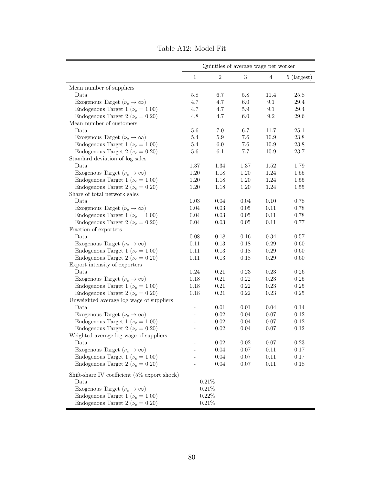<span id="page-81-0"></span>

|                                                 | Quintiles of average wage per worker |                |          |                |             |  |
|-------------------------------------------------|--------------------------------------|----------------|----------|----------------|-------------|--|
|                                                 | $\mathbf{1}$                         | $\overline{2}$ | 3        | $\overline{4}$ | 5 (largest) |  |
| Mean number of suppliers                        |                                      |                |          |                |             |  |
| Data                                            | 5.8                                  | 6.7            | 5.8      | 11.4           | 25.8        |  |
| Exogenous Target $(\nu_c \to \infty)$           | 4.7                                  | 4.7            | 6.0      | 9.1            | $29.4\,$    |  |
| Endogenous Target 1 ( $\nu_c = 1.00$ )          | 4.7                                  | 4.7            | $5.9\,$  | 9.1            | 29.4        |  |
| Endogenous Target 2 ( $\nu_c = 0.20$ )          | 4.8                                  | 4.7            | $6.0\,$  | $\,9.2$        | 29.6        |  |
| Mean number of customers                        |                                      |                |          |                |             |  |
| Data                                            | 5.6                                  | 7.0            | 6.7      | 11.7           | $25.1\,$    |  |
| Exogenous Target $(\nu_c \to \infty)$           | 5.4                                  | $5.9\,$        | 7.6      | 10.9           | $23.8\,$    |  |
| Endogenous Target 1 ( $\nu_c = 1.00$ )          | 5.4                                  | $6.0\,$        | 7.6      | 10.9           | $23.8\,$    |  |
| Endogenous Target 2 ( $\nu_c = 0.20$ )          | 5.6                                  | 6.1            | 7.7      | 10.9           | 23.7        |  |
| Standard deviation of log sales                 |                                      |                |          |                |             |  |
| Data                                            | 1.37                                 | 1.34           | 1.37     | 1.52           | 1.79        |  |
| Exogenous Target $(\nu_c \to \infty)$           | 1.20                                 | 1.18           | 1.20     | 1.24           | 1.55        |  |
| Endogenous Target 1 ( $\nu_c = 1.00$ )          | 1.20                                 | 1.18           | 1.20     | 1.24           | $1.55\,$    |  |
| Endogenous Target 2 ( $\nu_c = 0.20$ )          | 1.20                                 | 1.18           | 1.20     | 1.24           | $1.55\,$    |  |
| Share of total network sales                    |                                      |                |          |                |             |  |
| Data                                            | 0.03                                 | 0.04           | 0.04     | 0.10           | 0.78        |  |
| Exogenous Target $(\nu_c \to \infty)$           | 0.04                                 | 0.03           | 0.05     | 0.11           | 0.78        |  |
| Endogenous Target 1 ( $\nu_c = 1.00$ )          | 0.04                                 | 0.03           | 0.05     | 0.11           | 0.78        |  |
| Endogenous Target 2 ( $\nu_c = 0.20$ )          | 0.04                                 | 0.03           | 0.05     | 0.11           | 0.77        |  |
| Fraction of exporters                           |                                      |                |          |                |             |  |
| Data                                            | 0.08                                 | 0.18           | 0.16     | 0.34           | 0.57        |  |
| Exogenous Target $(\nu_c \to \infty)$           | 0.11                                 | 0.13           | 0.18     | 0.29           | 0.60        |  |
| Endogenous Target 1 ( $\nu_c = 1.00$ )          | 0.11                                 | 0.13           | 0.18     | 0.29           | 0.60        |  |
| Endogenous Target 2 ( $\nu_c = 0.20$ )          | 0.11                                 | 0.13           | 0.18     | 0.29           | 0.60        |  |
| Export intensity of exporters                   |                                      |                |          |                |             |  |
| Data                                            | 0.24                                 | 0.21           | 0.23     | 0.23           | $0.26\,$    |  |
| Exogenous Target $(\nu_c \to \infty)$           | 0.18                                 | 0.21           | 0.22     | 0.23           | $0.25\,$    |  |
| Endogenous Target 1 ( $\nu_c = 1.00$ )          | 0.18                                 | 0.21           | 0.22     | 0.23           | $0.25\,$    |  |
| Endogenous Target 2 ( $\nu_c = 0.20$ )          | 0.18                                 | 0.21           | 0.22     | 0.23           | 0.25        |  |
| Unweighted average log wage of suppliers        |                                      |                |          |                |             |  |
| Data                                            | $\overline{\phantom{0}}$             | 0.01           | $0.01\,$ | 0.04           | 0.14        |  |
| Exogenous Target $(\nu_c \to \infty)$           |                                      | 0.02           | $0.04\,$ | 0.07           | 0.12        |  |
| Endogenous Target 1 ( $\nu_c = 1.00$ )          |                                      | 0.02           | 0.04     | 0.07           | 0.12        |  |
| Endogenous Target 2 ( $\nu_c = 0.20$ )          |                                      | 0.02           | 0.04     | 0.07           | 0.12        |  |
| Weighted average log wage of suppliers          |                                      |                |          |                |             |  |
| Data                                            |                                      | 0.02           | 0.02     | 0.07           | 0.23        |  |
| Exogenous Target $(\nu_c \to \infty)$           |                                      | 0.04           | 0.07     | 0.11           | 0.17        |  |
| Endogenous Target 1 ( $\nu_c = 1.00$ )          |                                      | $0.04\,$       | 0.07     | 0.11           | 0.17        |  |
| Endogenous Target 2 ( $\nu_c = 0.20$ )          |                                      | 0.04           | 0.07     | 0.11           | 0.18        |  |
| Shift-share IV coefficient $(5\%$ export shock) |                                      |                |          |                |             |  |
| Data                                            |                                      | 0.21%          |          |                |             |  |
| Exogenous Target $(\nu_c \to \infty)$           |                                      | 0.21%          |          |                |             |  |
| Endogenous Target 1 ( $\nu_c = 1.00$ )          | $0.22\%$                             |                |          |                |             |  |
| Endogenous Target 2 ( $\nu_c = 0.20$ )          | $0.21\%$                             |                |          |                |             |  |

Table A12: Model Fit